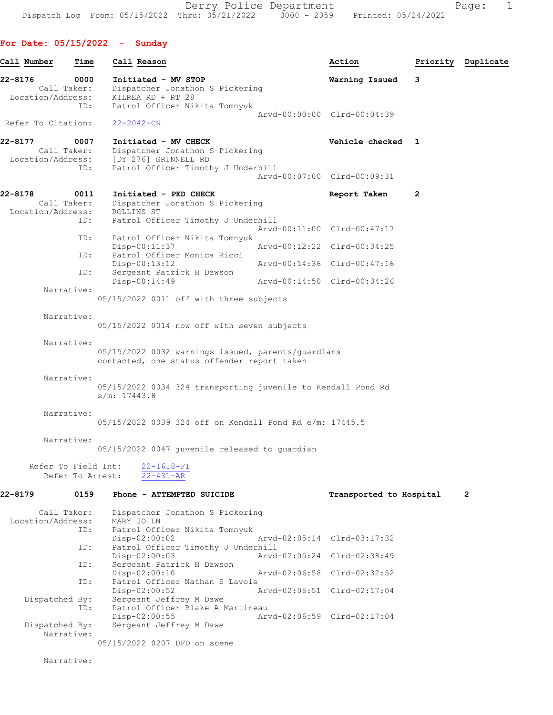Derry Police Department Fage: 1 Dispatch Log From: 05/15/2022 Thru: 05/21/2022 0000 - 2359 Printed: 05/24/2022

For Date: 05/15/2022 - Sunday

Call Number Time Call Reason Action Priority Duplicate 22-8176 0000 Initiated - MV STOP Warning Issued 3 Dispatcher Jonathon S Pickering Location/Address: KILREA RD + RT 28<br>TD: Patrol Officer Nil Patrol Officer Nikita Tomnyuk Arvd-00:00:00 Clrd-00:04:39<br>22-2042-CN Refer To Citation: 22-8177 0007 Initiated - MV CHECK Call Taker: Dispatcher Jonathon S Pickering Vehicle checked 1 Call Taker: Dispatcher Jonathon S Pickering<br>Location/Address: [DY 276] GRINNELL RD [DY 276] GRINNELL RD ID: Patrol Officer Timothy J Underhill Arvd-00:07:00 Clrd-00:09:31 22-8178 0011 Initiated - PED CHECK Report Taken 2<br>Call Taker: Dispatcher Jonathon S Pickering Dispatcher Jonathon S Pickering Location/Address: ROLLINS ST<br>ID: Patrol Off: Patrol Officer Timothy J Underhill Arvd-00:11:00 Clrd-00:47:17<br>ID: Patrol Officer Nikita Tomnyuk Patrol Officer Nikita Tomnyuk<br>Disp-00:11:37 Disp-00:11:37 Arvd-00:12:22 Clrd-00:34:25<br>ID: Patrol Officer Monica Ricci Patrol Officer Monica Ricci<br>Disp-00:13:12 Disp-00:13:12 Arvd-00:14:36 Clrd-00:47:16<br>TD: Sergeant Patrick H Dawson Sergeant Patrick H Dawson<br>Disp-00:14:49 Arvd-00:14:50 Clrd-00:34:26 Narrative: 05/15/2022 0011 off with three subjects Narrative: 05/15/2022 0014 now off with seven subjects Narrative: 05/15/2022 0032 warnings issued, parents/guardians contacted, one status offender report taken Narrative: 05/15/2022 0034 324 transporting juvenile to Kendall Pond Rd s/m: 17443.8 Narrative: 05/15/2022 0039 324 off on Kendall Pond Rd e/m: 17445.5 Narrative: 05/15/2022 0047 juvenile released to guardian Refer To Field Int: 22-1618-FI Refer To Arrest: 22-431-AR 22-8179 0159 Phone - ATTEMPTED SUICIDE Transported to Hospital 2 Call Taker: Dispatcher Jonathon S Pickering Location/Address: MARY JO LN Patrol Officer Nikita Tomnyuk Disp-02:00:02 Arvd-02:05:14 Clrd-03:17:32 ID: Patrol Officer Timothy J Underhill Disp-02:00:03 <br>ID: Sergeant Patrick H Dawson <br>Displays Arvd-02:05:24 Clrd-02:38:49 Sergeant Patrick H Dawson<br>Disp-02:00:10 Disp-02:00:10 Arvd-02:06:58 Clrd-02:32:52<br>ID: Patrol Officer Nathan S Lavoie Patrol Officer Nathan S Lavoie<br>Disp-02:00:52 7 Disp-02:00:52 Arvd-02:06:51 Clrd-02:17:04 Dispatched By: Sergeant Jeffrey M Dawe ID: Patrol Officer Blake A Martineau<br>Disp-02:00:55 Arv Disp-02:00:55 Arvd-02:06:59 Clrd-02:17:04<br>Dispatched By: Sergeant Jeffrey M Dawe Sergeant Jeffrey M Dawe Narrative: 05/15/2022 0207 DFD on scene

Narrative: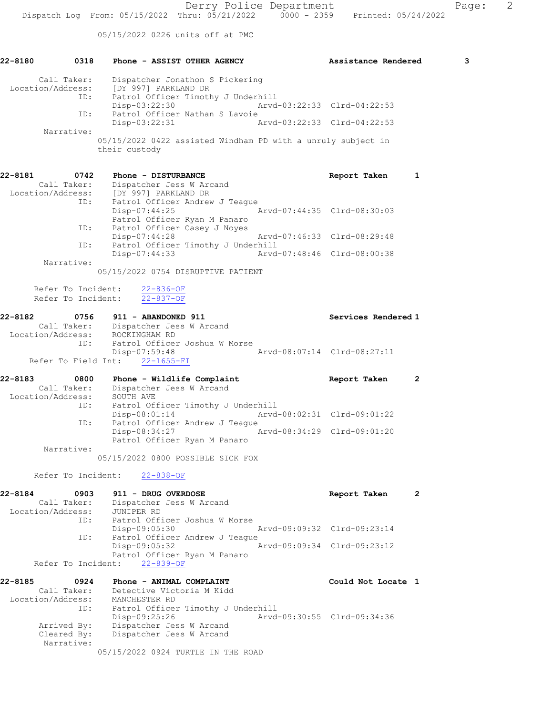05/15/2022 0226 units off at PMC

| 22-8180      |                                          | 0318 Phone - ASSIST OTHER AGENCY                                                 |                                    |                                                                   |  | Assistance Rendered                                          |                | 3 |
|--------------|------------------------------------------|----------------------------------------------------------------------------------|------------------------------------|-------------------------------------------------------------------|--|--------------------------------------------------------------|----------------|---|
|              | Call Taker:                              | Location/Address: [DY 997] PARKLAND DR<br>ID: Patrol Officer Timothy J Underhill |                                    | Dispatcher Jonathon S Pickering                                   |  |                                                              |                |   |
|              |                                          |                                                                                  | Disp-03:22:30                      |                                                                   |  | Arvd-03:22:33 Clrd-04:22:53                                  |                |   |
|              | ID:                                      |                                                                                  | Disp-03:22:31                      | Patrol Officer Nathan S Lavoie                                    |  | Arvd-03:22:33 Clrd-04:22:53                                  |                |   |
|              | Narrative:                               | their custody                                                                    |                                    |                                                                   |  | 05/15/2022 0422 assisted Windham PD with a unruly subject in |                |   |
| 22-8181 0742 |                                          | Call Taker: Dispatcher Jess W Arcand<br>Location/Address: [DY 997] PARKLAND DR   | Phone - DISTURBANCE                |                                                                   |  | Report Taken                                                 | 1              |   |
|              |                                          | ID: Patrol Officer Andrew J Teaque                                               | Disp-07:44:25                      | Patrol Officer Ryan M Panaro                                      |  | Arvd-07:44:35 Clrd-08:30:03                                  |                |   |
|              | ID:                                      | $Disp-07:44:28$                                                                  |                                    | Patrol Officer Casey J Noyes                                      |  | Arvd-07:46:33 Clrd-08:29:48                                  |                |   |
|              | ID:                                      |                                                                                  |                                    | Patrol Officer Timothy J Underhill<br>Disp-07:44:33               |  | Arvd-07:48:46 Clrd-08:00:38                                  |                |   |
|              | Narrative:                               | 05/15/2022 0754 DISRUPTIVE PATIENT                                               |                                    |                                                                   |  |                                                              |                |   |
|              | Refer To Incident:<br>Refer To Incident: |                                                                                  | $22 - 836 - OF$<br>$22 - 837 - OF$ |                                                                   |  |                                                              |                |   |
| 22-8182      |                                          | 0756 911 - ABANDONED 911                                                         |                                    |                                                                   |  | Services Rendered 1                                          |                |   |
|              | ID:                                      | Call Taker: Dispatcher Jess W Arcand<br>Location/Address: ROCKINGHAM RD          |                                    | Patrol Officer Joshua W Morse                                     |  |                                                              |                |   |
|              |                                          | Refer To Field Int: 22-1655-FI                                                   |                                    |                                                                   |  | Disp-07:59:48 Arvd-08:07:14 Clrd-08:27:11                    |                |   |
| 22-8183      | 0800<br>Call Taker:                      |                                                                                  |                                    | Phone - Wildlife Complaint<br>Dispatcher Jess W Arcand            |  | Report Taken                                                 | $\overline{2}$ |   |
|              |                                          | Location/Address: SOUTH AVE<br>ID: Patrol Of:<br>$Disp-08:01:14$                 |                                    | Patrol Officer Timothy J Underhill                                |  | Arvd-08:02:31 Clrd-09:01:22                                  |                |   |
|              | ID:                                      |                                                                                  | Disp-08:34:27                      | Patrol Officer Andrew J Teague                                    |  | Arvd-08:34:29 Clrd-09:01:20                                  |                |   |
|              | Narrative:                               |                                                                                  |                                    | Patrol Officer Ryan M Panaro<br>05/15/2022 0800 POSSIBLE SICK FOX |  |                                                              |                |   |
|              | Refer To Incident:                       |                                                                                  | $22 - 838 - OF$                    |                                                                   |  |                                                              |                |   |
| 22-8184      | 0903<br>Call Taker:<br>Location/Address: | JUNIPER RD                                                                       | 911 - DRUG OVERDOSE                | Dispatcher Jess W Arcand                                          |  | Report Taken                                                 | $\overline{2}$ |   |
|              | ID:                                      | $Disp-09:05:30$                                                                  |                                    | Patrol Officer Joshua W Morse                                     |  | Arvd-09:09:32 Clrd-09:23:14                                  |                |   |
|              | ID:                                      | Disp-09:05:32                                                                    |                                    | Patrol Officer Andrew J Teague                                    |  | Arvd-09:09:34 Clrd-09:23:12                                  |                |   |
|              | Refer To Incident:                       |                                                                                  | $22 - 839 - OF$                    | Patrol Officer Ryan M Panaro                                      |  |                                                              |                |   |
| 22-8185      | 0924<br>Call Taker:<br>Location/Address: | MANCHESTER RD                                                                    |                                    | Phone - ANIMAL COMPLAINT<br>Detective Victoria M Kidd             |  | Could Not Locate 1                                           |                |   |
|              | ID:<br>Arrived By:                       | Disp-09:25:26                                                                    |                                    | Patrol Officer Timothy J Underhill<br>Dispatcher Jess W Arcand    |  | Arvd-09:30:55 Clrd-09:34:36                                  |                |   |
|              | Cleared By:<br>Narrative:                |                                                                                  |                                    | Dispatcher Jess W Arcand                                          |  |                                                              |                |   |
|              |                                          |                                                                                  |                                    | 05/15/2022 0924 TURTLE IN THE ROAD                                |  |                                                              |                |   |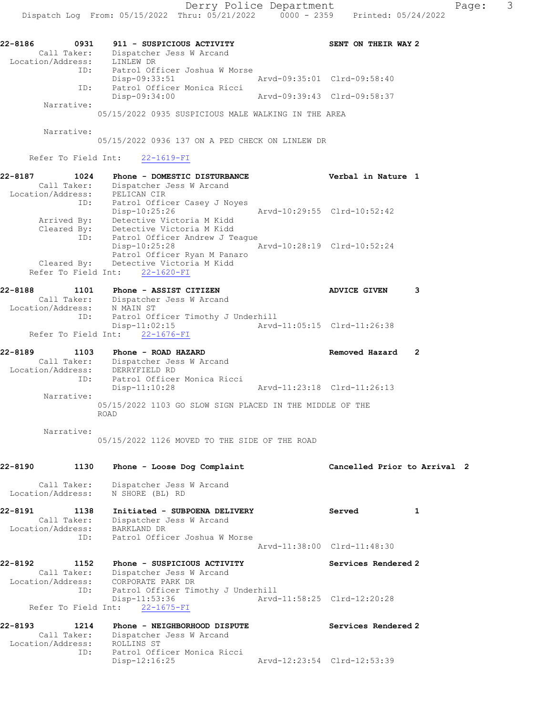| 22-8186<br>0931   | 911 - SUSPICIOUS ACTIVITY     |                             | SENT ON THEIR WAY 2 |
|-------------------|-------------------------------|-----------------------------|---------------------|
| Call Taker:       | Dispatcher Jess W Arcand      |                             |                     |
| Location/Address: | LINLEW DR                     |                             |                     |
| ID:               | Patrol Officer Joshua W Morse |                             |                     |
|                   | Disp-09:33:51                 | Arvd-09:35:01 Clrd-09:58:40 |                     |
| ID:               | Patrol Officer Monica Ricci   |                             |                     |
|                   | Disp-09:34:00                 | Arvd-09:39:43 Clrd-09:58:37 |                     |
| Narrative:        |                               |                             |                     |

05/15/2022 0935 SUSPICIOUS MALE WALKING IN THE AREA

Narrative:

05/15/2022 0936 137 ON A PED CHECK ON LINLEW DR

Refer To Field Int: 22-1619-FI

| 22-8187<br>1024   | Phone - DOMESTIC DISTURBANCE          | Verbal in Nature 1          |  |
|-------------------|---------------------------------------|-----------------------------|--|
| Call Taker:       | Dispatcher Jess W Arcand              |                             |  |
| Location/Address: | PELICAN CIR                           |                             |  |
| ID:               | Patrol Officer Casey J Noyes          |                             |  |
|                   | Disp-10:25:26                         | Arvd-10:29:55 Clrd-10:52:42 |  |
| Arrived By:       | Detective Victoria M Kidd             |                             |  |
| Cleared By:       | Detective Victoria M Kidd             |                             |  |
|                   | ID: Patrol Officer Andrew J Teaque    |                             |  |
|                   | $Disp-10:25:28$                       | Arvd-10:28:19 Clrd-10:52:24 |  |
|                   | Patrol Officer Ryan M Panaro          |                             |  |
|                   | Cleared By: Detective Victoria M Kidd |                             |  |
|                   | Refer To Field Int: 22-1620-FI        |                             |  |

| 22-8188<br>1101   | Phone - ASSIST CITIZEN             | <b>ADVICE GIVEN</b>         |  |
|-------------------|------------------------------------|-----------------------------|--|
| Call Taker:       | Dispatcher Jess W Arcand           |                             |  |
| Location/Address: | N MAIN ST                          |                             |  |
| ID:               | Patrol Officer Timothy J Underhill |                             |  |
|                   | Disp-11:02:15                      | Arvd-11:05:15 Clrd-11:26:38 |  |
|                   | Refer To Field Int: 22-1676-FI     |                             |  |

| 22-8189 | 1103              | Phone - ROAD HAZARD                                                     | Removed Hazard |  |
|---------|-------------------|-------------------------------------------------------------------------|----------------|--|
|         | Call Taker:       | Dispatcher Jess W Arcand                                                |                |  |
|         | Location/Address: | DERRYFIELD RD                                                           |                |  |
|         | ID:               | Patrol Officer Monica Ricci                                             |                |  |
|         |                   | Arvd-11:23:18 Clrd-11:26:13<br>Disp-11:10:28                            |                |  |
|         | Narrative:        |                                                                         |                |  |
|         |                   | 05/15/2022 1103 GO SLOW SIGN PLACED IN THE MIDDLE OF THE<br><b>ROAD</b> |                |  |

Narrative:

05/15/2022 1126 MOVED TO THE SIDE OF THE ROAD

| 22-8190                                       | 1130 Phone - Loose Dog Complaint                                                                                      | Cancelled Prior to Arrival 2 |  |
|-----------------------------------------------|-----------------------------------------------------------------------------------------------------------------------|------------------------------|--|
| Location/Address: N SHORE (BL) RD             | Call Taker: Dispatcher Jess W Arcand                                                                                  |                              |  |
| 22-8191 1138<br>Location/Address: BARKLAND DR | Initiated - SUBPOENA DELIVERY<br>Call Taker: Dispatcher Jess W Arcand<br>ID: Patrol Officer Joshua W Morse            | 1<br>Served                  |  |
|                                               |                                                                                                                       | Arvd-11:38:00 Clrd-11:48:30  |  |
| 22-8192                                       | 1152 Phone - SUSPICIOUS ACTIVITY<br>Call Taker: Dispatcher Jess W Arcand<br>Location/Address: CORPORATE PARK DR       | Services Rendered 2          |  |
|                                               | ID: Patrol Officer Timothy J Underhill<br>Disp-11:53:36 Arvd-11:58:25 Clrd-12:20:28<br>Refer To Field Int: 22-1675-FI |                              |  |
| 22-8193<br>Location/Address: ROLLINS ST       | 1214 Phone - NEIGHBORHOOD DISPUTE<br>Call Taker: Dispatcher Jess W Arcand<br>ID: Patrol Officer Monica Ricci          | Services Rendered 2          |  |
|                                               | $Disp-12:16:25$                                                                                                       | Arvd-12:23:54 Clrd-12:53:39  |  |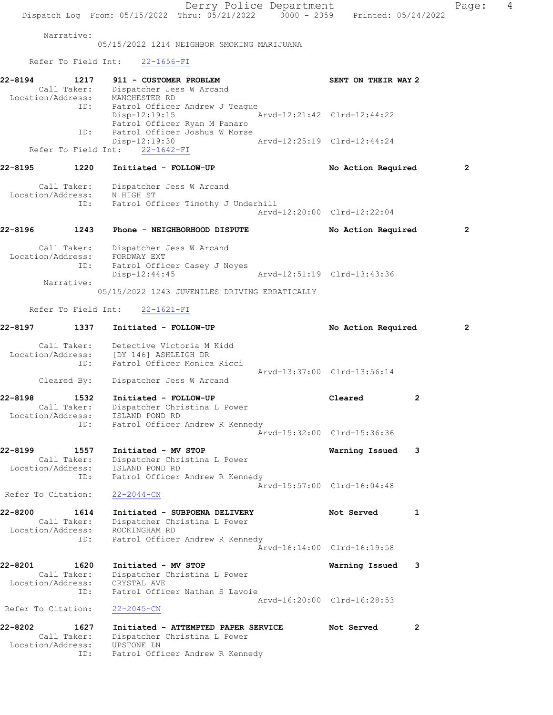Derry Police Department Page: 4 Dispatch Log From: 05/15/2022 Thru: 05/21/2022 0000 - 2359 Printed: 05/24/2022 Narrative: 05/15/2022 1214 NEIGHBOR SMOKING MARIJUANA Refer To Field Int: 22-1656-FI 22-8194 1217 911 - CUSTOMER PROBLEM SENT ON THEIR WAY 2 Call Taker: Dispatcher Jess W Arcand Location/Address: MANCHESTER RD ID: Patrol Officer Andrew J Teague<br>Disp-12:19:15 Arvd-12:21:42 Clrd-12:44:22 Patrol Officer Ryan M Panaro ID: Patrol Officer Joshua W Morse<br>Disp-12:19:30 Disp-12:19:30 Arvd-12:25:19 Clrd-12:44:24 Refer To Field Int: 22-1642-FI 22-8195 1220 Initiated - FOLLOW-UP No Action Required 2 Call Taker: Dispatcher Jess W Arcand Location/Address: N HIGH ST ID: Patrol Officer Timothy J Underhill Arvd-12:20:00 Clrd-12:22:04 22-8196 1243 Phone - NEIGHBORHOOD DISPUTE No Action Required 2 Call Taker: Dispatcher Jess W Arcand Location/Address: FORDWAY EXT ID: Patrol Officer Casey J Noyes Disp-12:44:45 Arvd-12:51:19 Clrd-13:43:36 Narrative: 05/15/2022 1243 JUVENILES DRIVING ERRATICALLY Refer To Field Int: 22-1621-FI 22-8197 1337 Initiated - FOLLOW-UP No Action Required 2 Call Taker: Detective Victoria M Kidd Location/Address: [DY 146] ASHLEIGH DR ID: Patrol Officer Monica Ricci Arvd-13:37:00 Clrd-13:56:14 Cleared By: Dispatcher Jess W Arcand 22-8198 1532 Initiated - FOLLOW-UP Cleared 2 Call Taker: Dispatcher Christina L Power Location/Address: ISLAND POND RD ID: Patrol Officer Andrew R Kennedy Arvd-15:32:00 Clrd-15:36:36 22-8199 1557 Initiated - MV STOP Warning Issued 3 Call Taker: Dispatcher Christina L Power Location/Address: ISLAND POND RD ID: Patrol Officer Andrew R Kennedy Arvd-15:57:00 Clrd-16:04:48 Refer To Citation: 22-2044-CN 22-8200 1614 Initiated - SUBPOENA DELIVERY Not Served 1 Call Taker: Dispatcher Christina L Power Location/Address: ROCKINGHAM RD ID: Patrol Officer Andrew R Kennedy Arvd-16:14:00 Clrd-16:19:58 22-8201 1620 Initiated - MV STOP Warning Issued 3 Call Taker: Dispatcher Christina L Power Location/Address: CRYSTAL AVE ID: Patrol Officer Nathan S Lavoie Arvd-16:20:00 Clrd-16:28:53 Refer To Citation: 22-2045-CN 22-8202 1627 Initiated - ATTEMPTED PAPER SERVICE Not Served 2 Call Taker: Dispatcher Christina L Power Location/Address: UPSTONE LN ID: Patrol Officer Andrew R Kennedy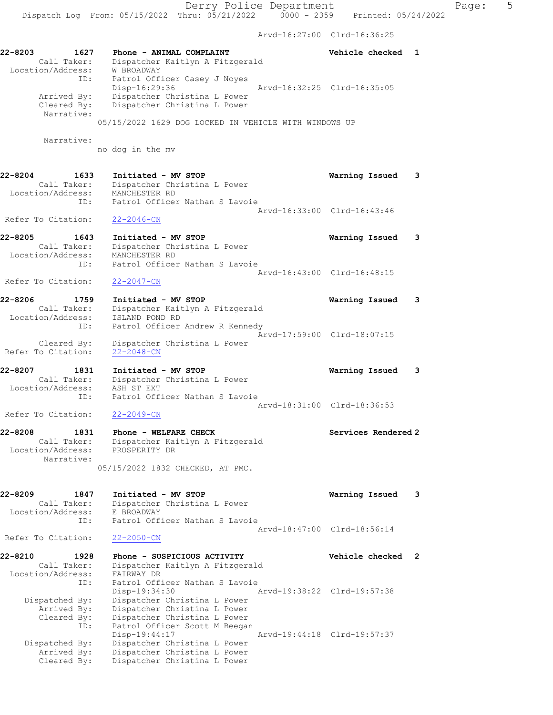Arvd-16:27:00 Clrd-16:36:25

22-8203 1627 Phone - ANIMAL COMPLAINT Vehicle checked 1 Call Taker: Dispatcher Kaitlyn A Fitzgerald Location/Address: W BROADWAY ID: Patrol Officer Casey J Noyes Disp-16:29:36 Arvd-16:32:25 Clrd-16:35:05 Arrived By: Dispatcher Christina L Power Cleared By: Dispatcher Christina L Power Narrative: 05/15/2022 1629 DOG LOCKED IN VEHICLE WITH WINDOWS UP Narrative: no dog in the mv 22-8204 1633 Initiated - MV STOP Warning Issued 3 Call Taker: Dispatcher Christina L Power Location/Address: MANCHESTER RD ID: Patrol Officer Nathan S Lavoie Arvd-16:33:00 Clrd-16:43:46 Refer To Citation: 22-2046-CN 22-8205 1643 Initiated - MV STOP Warning Issued 3 Call Taker: Dispatcher Christina L Power Location/Address: MANCHESTER RD ID: Patrol Officer Nathan S Lavoie Arvd-16:43:00 Clrd-16:48:15 Refer To Citation: 22-2047-CN 22-8206 1759 Initiated - MV STOP Warning Issued 3 Call Taker: Dispatcher Kaitlyn A Fitzgerald Location/Address: ISLAND POND RD ID: Patrol Officer Andrew R Kennedy Arvd-17:59:00 Clrd-18:07:15 Cleared By: Dispatcher Christina L Power Refer To Citation: 22-2048-CN 22-8207 1831 Initiated - MV STOP Warning Issued 3 Call Taker: Dispatcher Christina L Power Location/Address: ASH ST EXT ID: Patrol Officer Nathan S Lavoie Arvd-18:31:00 Clrd-18:36:53 Refer To Citation: 22-2049-CN 22-8208 1831 Phone - WELFARE CHECK Services Rendered 2 Call Taker: Dispatcher Kaitlyn A Fitzgerald Location/Address: PROSPERITY DR Narrative: 05/15/2022 1832 CHECKED, AT PMC. 22-8209 1847 Initiated - MV STOP Warning Issued 3 Call Taker: Dispatcher Christina L Power Location/Address: E BROADWAY ID: Patrol Officer Nathan S Lavoie Arvd-18:47:00 Clrd-18:56:14 Refer To Citation: 22-2050-CN 22-8210 1928 Phone - SUSPICIOUS ACTIVITY Vehicle checked 2 Call Taker: Dispatcher Kaitlyn A Fitzgerald Location/Address: FAIRWAY DR ID: Patrol Officer Nathan S Lavoie<br>Disp-19:34:30 Disp-19:34:30 Arvd-19:38:22 Clrd-19:57:38 Dispatched By: Dispatcher Christina L Power Arrived By: Dispatcher Christina L Power Cleared By: Dispatcher Christina L Power ID: Patrol Officer Scott M Beegan Disp-19:44:17 Arvd-19:44:18 Clrd-19:57:37 Dispatched By: Dispatcher Christina L Power Arrived By: Dispatcher Christina L Power Cleared By: Dispatcher Christina L Power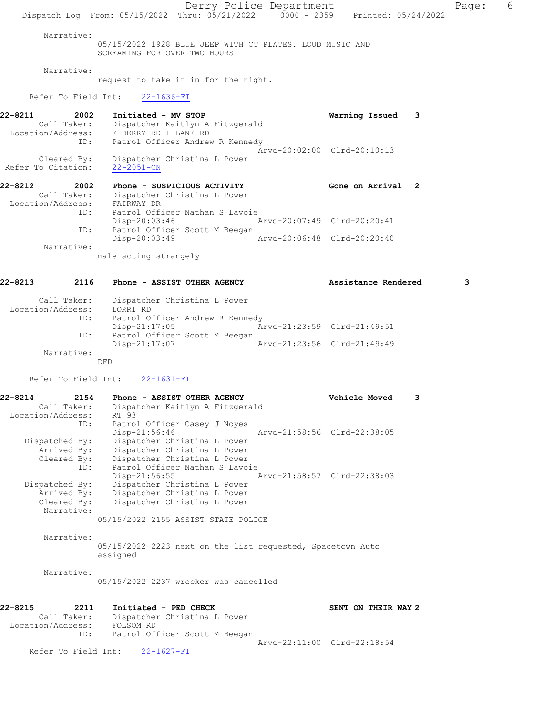Derry Police Department The Page: 6 Dispatch Log From: 05/15/2022 Thru: 05/21/2022 0000 - 2359 Printed: 05/24/2022 Narrative: 05/15/2022 1928 BLUE JEEP WITH CT PLATES. LOUD MUSIC AND SCREAMING FOR OVER TWO HOURS Narrative: request to take it in for the night. Refer To Field Int: 22-1636-FI 22-8211 2002 Initiated - MV STOP Warning Issued 3 Call Taker: Dispatcher Kaitlyn A Fitzgerald Location/Address: E DERRY RD + LANE RD ID: Patrol Officer Andrew R Kennedy Arvd-20:02:00 Clrd-20:10:13 Cleared By: Dispatcher Christina L Power Refer To Citation: 22-2051-CN 22-8212 2002 Phone - SUSPICIOUS ACTIVITY Gone on Arrival 2 Call Taker: Dispatcher Christina L Power Location/Address: FAIRWAY DR ID: Patrol Officer Nathan S Lavoie<br>Disp-20:03:46 Disp-20:03:46 Arvd-20:07:49 Clrd-20:20:41 ID: Patrol Officer Scott M Beegan<br>Disp-20:03:49 Disp-20:03:49 Arvd-20:06:48 Clrd-20:20:40 Narrative: male acting strangely 22-8213 2116 Phone - ASSIST OTHER AGENCY Assistance Rendered 3

 Call Taker: Dispatcher Christina L Power Location/Address: LORRI RD ID: Patrol Officer Andrew R Kennedy Disp-21:17:05 Arvd-21:23:59 Clrd-21:49:51 ID: Patrol Officer Scott M Beegan<br>Disp-21:17:07 Mrvd-21:23:56 Clrd-21:49:49 Disp-21:17:07 Narrative: DFD

Refer To Field Int: 22-1631-FI

22-8214 2154 Phone - ASSIST OTHER AGENCY Vehicle Moved 3 Call Taker: Dispatcher Kaitlyn A Fitzgerald Location/Address: RT 93 ID: Patrol Officer Casey J Noyes Disp-21:56:46 Arvd-21:58:56 Clrd-22:38:05 Dispatched By: Dispatcher Christina L Power Arrived By: Dispatcher Christina L Power Cleared By: Dispatcher Christina L Power<br>ID: Patrol Officer Nathan S Lavo: Patrol Officer Nathan S Lavoie Disp-21:56:55 Arvd-21:58:57 Clrd-22:38:03 Dispatched By: Dispatcher Christina L Power Arrived By: Dispatcher Christina L Power<br>Cleared By: Dispatcher Christina L Power Dispatcher Christina L Power Narrative: 05/15/2022 2155 ASSIST STATE POLICE

Narrative:

05/15/2022 2223 next on the list requested, Spacetown Auto assigned

Narrative:

05/15/2022 2237 wrecker was cancelled

| 22-8215           | 2211 |           | Initiated - PED CHECK          |                             | SENT ON THEIR WAY 2 |  |
|-------------------|------|-----------|--------------------------------|-----------------------------|---------------------|--|
| Call Taker:       |      |           | Dispatcher Christina L Power   |                             |                     |  |
| Location/Address: |      | FOLSOM RD |                                |                             |                     |  |
|                   | ID:  |           | Patrol Officer Scott M Beegan  |                             |                     |  |
|                   |      |           |                                | Aryd-22:11:00 Clrd-22:18:54 |                     |  |
|                   |      |           | Refer To Field Int: 22-1627-FI |                             |                     |  |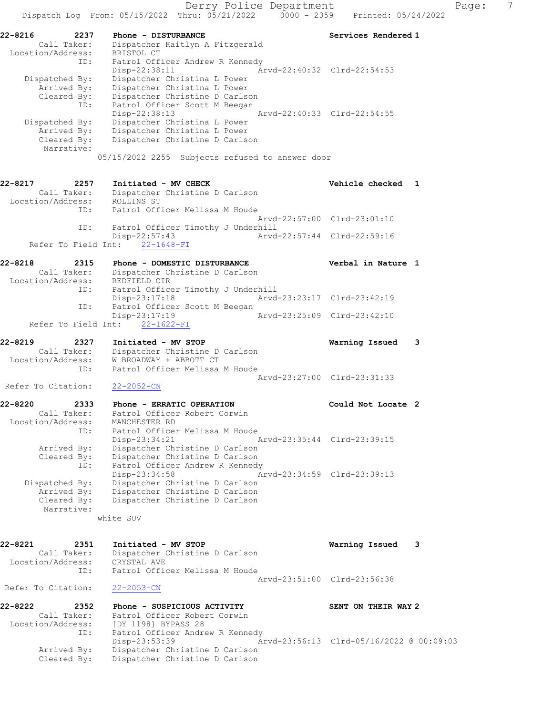| 22-8216           | 2237           | Phone - DISTURBANCE                             |                             | Services Rendered 1 |
|-------------------|----------------|-------------------------------------------------|-----------------------------|---------------------|
|                   | Call Taker:    | Dispatcher Kaitlyn A Fitzgerald                 |                             |                     |
| Location/Address: |                | BRISTOL CT                                      |                             |                     |
|                   | ID:            | Patrol Officer Andrew R Kennedy                 |                             |                     |
|                   |                | Disp-22:38:11                                   | Arvd-22:40:32 Clrd-22:54:53 |                     |
|                   | Dispatched By: | Dispatcher Christina L Power                    |                             |                     |
|                   | Arrived By:    | Dispatcher Christina L Power                    |                             |                     |
|                   | Cleared By:    | Dispatcher Christine D Carlson                  |                             |                     |
|                   | ID:            | Patrol Officer Scott M Beegan                   |                             |                     |
|                   |                | Disp-22:38:13                                   | Arvd-22:40:33 Clrd-22:54:55 |                     |
|                   | Dispatched By: | Dispatcher Christina L Power                    |                             |                     |
|                   | Arrived By:    | Dispatcher Christina L Power                    |                             |                     |
|                   | Cleared By:    | Dispatcher Christine D Carlson                  |                             |                     |
|                   | Narrative:     |                                                 |                             |                     |
|                   |                | 05/15/2022 2255 Subjects refused to answer door |                             |                     |

### 22-8217 2257 Initiated - MV CHECK Vehicle checked 1

Call Taker: Dispatcher Christine D Carlson

| Location/Address: | ROLLINS ST                         |                             |                             |
|-------------------|------------------------------------|-----------------------------|-----------------------------|
| ID:               | Patrol Officer Melissa M Houde     |                             |                             |
|                   |                                    | Aryd-22:57:00 Clrd-23:01:10 |                             |
| ID:               | Patrol Officer Timothy J Underhill |                             |                             |
|                   | Disp-22:57:43                      |                             | Aryd-22:57:44 Clrd-22:59:16 |
|                   | Refer To Field Int: 22-1648-FI     |                             |                             |

### 22-8218 2315 Phone - DOMESTIC DISTURBANCE Verbal in Nature 1 Call Taker: Dispatcher Christine D Carlson Location/Address: REDFIELD CIR ID: Patrol Officer Timothy J Underhill Disp-23:17:18 Arvd-23:23:17 Clrd-23:42:19 ID: Patrol Officer Scott M Beegan<br>Disp-23:17:19 Arvd-23:25:09 Clrd-23:42:10 Refer To Field Int: 22-1622-FI

| 22-8219            | 2327        | Initiated - MV STOP            | Warning Issued 3 |  |
|--------------------|-------------|--------------------------------|------------------|--|
|                    | Call Taker: | Dispatcher Christine D Carlson |                  |  |
| Location/Address:  |             | W BROADWAY + ABBOTT CT         |                  |  |
|                    | ID:         | Patrol Officer Melissa M Houde |                  |  |
|                    |             | Arvd-23:27:00 Clrd-23:31:33    |                  |  |
| Refer To Citation: |             | 22-2052-CN                     |                  |  |

| 22-8220           | 2333                      | Phone - ERRATIC OPERATION       |                             | Could Not Locate 2 |  |
|-------------------|---------------------------|---------------------------------|-----------------------------|--------------------|--|
|                   | Call Taker:               | Patrol Officer Robert Corwin    |                             |                    |  |
| Location/Address: |                           | MANCHESTER RD                   |                             |                    |  |
|                   | ID:                       | Patrol Officer Melissa M Houde  |                             |                    |  |
|                   |                           | Disp-23:34:21                   | Arvd-23:35:44 Clrd-23:39:15 |                    |  |
|                   | Arrived By:               | Dispatcher Christine D Carlson  |                             |                    |  |
|                   | Cleared By:               | Dispatcher Christine D Carlson  |                             |                    |  |
|                   | ID:                       | Patrol Officer Andrew R Kennedy |                             |                    |  |
|                   |                           | Disp-23:34:58                   | Arvd-23:34:59 Clrd-23:39:13 |                    |  |
| Dispatched By:    |                           | Dispatcher Christine D Carlson  |                             |                    |  |
|                   | Arrived By:               | Dispatcher Christine D Carlson  |                             |                    |  |
|                   | Cleared By:<br>Narrative: | Dispatcher Christine D Carlson  |                             |                    |  |

white SUV

| 22-8221            | 2351        | Initiated - MV STOP            | Warning Issued              | - 3 |
|--------------------|-------------|--------------------------------|-----------------------------|-----|
|                    | Call Taker: | Dispatcher Christine D Carlson |                             |     |
| Location/Address:  |             | CRYSTAL AVE                    |                             |     |
|                    | TD:         | Patrol Officer Melissa M Houde |                             |     |
|                    |             |                                | Aryd-23:51:00 Clrd-23:56:38 |     |
| Refer To Citation: |             | $22 - 2053 - CN$               |                             |     |

| 22-8222           | 2352        | Phone - SUSPICIOUS ACTIVITY     |                                          | SENT ON THEIR WAY 2 |  |
|-------------------|-------------|---------------------------------|------------------------------------------|---------------------|--|
|                   | Call Taker: | Patrol Officer Robert Corwin    |                                          |                     |  |
| Location/Address: |             | [DY 1198] BYPASS 28             |                                          |                     |  |
|                   | ID:         | Patrol Officer Andrew R Kennedy |                                          |                     |  |
|                   |             | Disp-23:53:39                   | Arvd-23:56:13 Clrd-05/16/2022 @ 00:09:03 |                     |  |
| Arrived By:       |             | Dispatcher Christine D Carlson  |                                          |                     |  |
|                   | Cleared By: | Dispatcher Christine D Carlson  |                                          |                     |  |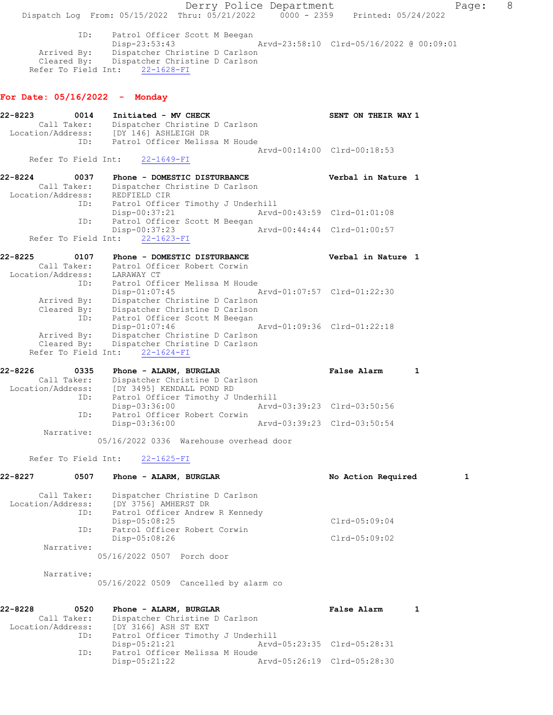Derry Police Department The Rage: 8 Dispatch Log From: 05/15/2022 Thru: 05/21/2022 0000 - 2359 Printed: 05/24/2022 ID: Patrol Officer Scott M Beegan Disp-23:53:43 Arvd-23:58:10 Clrd-05/16/2022 @ 00:09:01 Arrived By: Dispatcher Christine D Carlson Cleared By: Dispatcher Christine D Carlson Refer To Field Int: 22-1628-FI For Date: 05/16/2022 - Monday 22-8223 0014 Initiated - MV CHECK SENT ON THEIR WAY 1 Call Taker: Dispatcher Christine D Carlson Location/Address: [DY 146] ASHLEIGH DR ID: Patrol Officer Melissa M Houde Arvd-00:14:00 Clrd-00:18:53 Refer To Field Int: 22-1649-FI 22-8224 0037 Phone - DOMESTIC DISTURBANCE Verbal in Nature 1 Call Taker: Dispatcher Christine D Carlson Location/Address: REDFIELD CIR ID: Patrol Officer Timothy J Underhill Disp-00:37:21 Arvd-00:43:59 Clrd-01:01:08 ID: Patrol Officer Scott M Beegan Disp-00:37:23 Arvd-00:44:44 Clrd-01:00:57 Refer To Field Int: 22-1623-FI 22-8225 0107 Phone - DOMESTIC DISTURBANCE Verbal in Nature 1 Call Taker: Patrol Officer Robert Corwin Location/Address: LARAWAY CT ID: Patrol Officer Melissa M Houde Disp-01:07:45 Arvd-01:07:57 Clrd-01:22:30 Arrived By: Dispatcher Christine D Carlson Cleared By: Dispatcher Christine D Carlson ID: Patrol Officer Scott M Beegan Disp-01:07:46 Arvd-01:09:36 Clrd-01:22:18 Arrived By: Dispatcher Christine D Carlson Cleared By: Dispatcher Christine D Carlson Refer To Field Int: 22-1624-FI 22-8226 0335 Phone - ALARM, BURGLAR False Alarm 1 Call Taker: Dispatcher Christine D Carlson Location/Address: [DY 3495] KENDALL POND RD ID: Patrol Officer Timothy J Underhill Disp-03:36:00 Arvd-03:39:23 Clrd-03:50:56 ID: Patrol Officer Robert Corwin Disp-03:36:00 Arvd-03:39:23 Clrd-03:50:54 Narrative: 05/16/2022 0336 Warehouse overhead door Refer To Field Int: 22-1625-FI 22-8227 0507 Phone - ALARM, BURGLAR No Action Required 1 Call Taker: Dispatcher Christine D Carlson Location/Address: [DY 3756] AMHERST DR ID: Patrol Officer Andrew R Kennedy Disp-05:08:25 Clrd-05:09:04 ID: Patrol Officer Robert Corwin<br>Disp-05:08:26 Clrd-05:09:02 Narrative: 05/16/2022 0507 Porch door Narrative: 05/16/2022 0509 Cancelled by alarm co 22-8228 0520 Phone - ALARM, BURGLAR False Alarm 1 Call Taker: Dispatcher Christine D Carlson Location/Address: [DY 3166] ASH ST EXT ID: Patrol Officer Timothy J Underhill Disp-05:21:21 Arvd-05:23:35 Clrd-05:28:31<br>ID: Patrol Officer Melissa M Houde Patrol Officer Melissa M Houde<br>Disp-05:21:22 A

Arvd-05:26:19 Clrd-05:28:30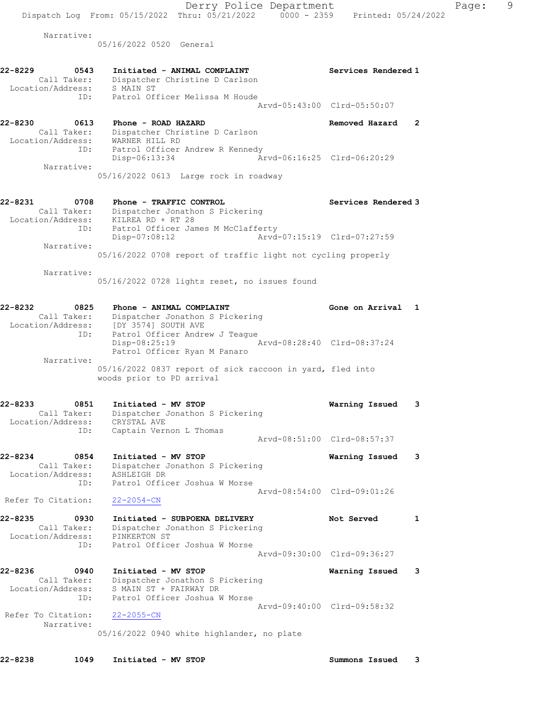Derry Police Department Fage: 9 Dispatch Log From:  $05/15/2022$  Thru:  $05/21/2022$  0000 - 2359 Printed: 05/24/2022 Narrative: 05/16/2022 0520 General 22-8229 0543 Initiated - ANIMAL COMPLAINT Services Rendered 1 Call Taker: Dispatcher Christine D Carlson Location/Address: S MAIN ST ID: Patrol Officer Melissa M Houde Arvd-05:43:00 Clrd-05:50:07 22-8230 0613 Phone - ROAD HAZARD Removed Hazard 2 Call Taker: Dispatcher Christine D Carlson Location/Address: WARNER HILL RD ID: Patrol Officer Andrew R Kennedy Disp-06:13:34 Arvd-06:16:25 Clrd-06:20:29 Narrative: 05/16/2022 0613 Large rock in roadway 22-8231 0708 Phone - TRAFFIC CONTROL Services Rendered 3 Call Taker: Dispatcher Jonathon S Pickering Location/Address: KILREA RD + RT 28 ID: Patrol Officer James M McClafferty Disp-07:08:12 Arvd-07:15:19 Clrd-07:27:59 Narrative: 05/16/2022 0708 report of traffic light not cycling properly Narrative: 05/16/2022 0728 lights reset, no issues found 22-8232 0825 Phone - ANIMAL COMPLAINT Gone on Arrival 1 Call Taker: Dispatcher Jonathon S Pickering Location/Address: [DY 3574] SOUTH AVE ID: Patrol Officer Andrew J Teague Disp-08:25:19 Arvd-08:28:40 Clrd-08:37:24 Patrol Officer Ryan M Panaro Narrative: 05/16/2022 0837 report of sick raccoon in yard, fled into woods prior to PD arrival 22-8233 0851 Initiated - MV STOP Warning Issued 3 Call Taker: Dispatcher Jonathon S Pickering Location/Address: CRYSTAL AVE ID: Captain Vernon L Thomas Arvd-08:51:00 Clrd-08:57:37 22-8234 0854 Initiated - MV STOP Warning Issued 3 Call Taker: Dispatcher Jonathon S Pickering Location/Address: ASHLEIGH DR ID: Patrol Officer Joshua W Morse Arvd-08:54:00 Clrd-09:01:26 Refer To Citation: 22-2054-CN 22-8235 0930 Initiated - SUBPOENA DELIVERY Not Served 1 Call Taker: Dispatcher Jonathon S Pickering Location/Address: PINKERTON ST ID: Patrol Officer Joshua W Morse Arvd-09:30:00 Clrd-09:36:27 22-8236 0940 Initiated - MV STOP Warning Issued 3 Call Taker: Dispatcher Jonathon S Pickering Location/Address: S MAIN ST + FAIRWAY DR ID: Patrol Officer Joshua W Morse Arvd-09:40:00 Clrd-09:58:32 Refer To Citation: 22-2055-CN Narrative: 05/16/2022 0940 white highlander, no plate

22-8238 1049 Initiated - MV STOP Summons Issued 3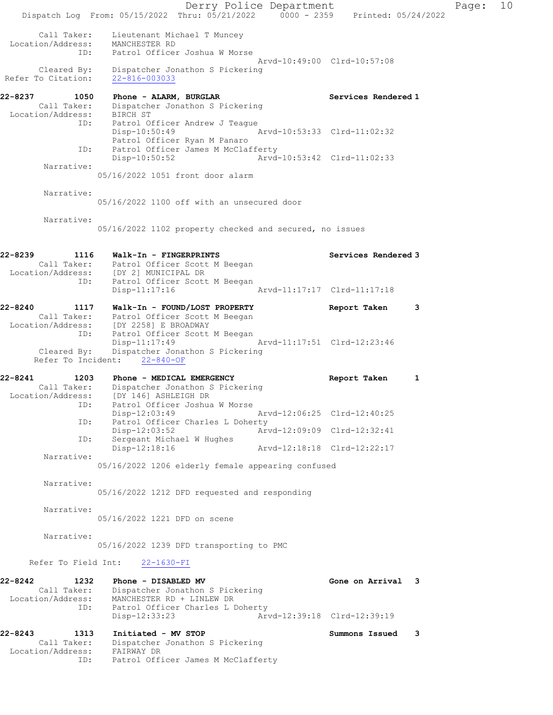Derry Police Department Fage: 10 Dispatch Log From: 05/15/2022 Thru: 05/21/2022 0000 - 2359 Printed: 05/24/2022 Call Taker: Lieutenant Michael T Muncey Location/Address: MANCHESTER RD ID: Patrol Officer Joshua W Morse Arvd-10:49:00 Clrd-10:57:08 Cleared By: Dispatcher Jonathon S Pickering Refer To Citation: 22-816-003033 22-8237 1050 Phone - ALARM, BURGLAR Services Rendered 1 Call Taker: Dispatcher Jonathon S Pickering Location/Address: BIRCH ST ID: Patrol Officer Andrew J Teague Disp-10:50:49 Arvd-10:53:33 Clrd-11:02:32 Patrol Officer Ryan M Panaro ID: Patrol Officer James M McClafferty<br>Disp-10:50:52 Arvd- Disp-10:50:52 Arvd-10:53:42 Clrd-11:02:33 Narrative: 05/16/2022 1051 front door alarm Narrative: 05/16/2022 1100 off with an unsecured door Narrative: 05/16/2022 1102 property checked and secured, no issues 22-8239 1116 Walk-In - FINGERPRINTS Services Rendered 3 Call Taker: Patrol Officer Scott M Beegan Location/Address: [DY 2] MUNICIPAL DR ID: Patrol Officer Scott M Beegan Disp-11:17:16 Arvd-11:17:17 Clrd-11:17:18 22-8240 1117 Walk-In - FOUND/LOST PROPERTY Report Taken 3 Call Taker: Patrol Officer Scott M Beegan Location/Address: [DY 2258] E BROADWAY ID: Patrol Officer Scott M Beegan Disp-11:17:49 Arvd-11:17:51 Clrd-12:23:46 Cleared By: Dispatcher Jonathon S Pickering Refer To Incident: 22-840-OF 22-8241 1203 Phone - MEDICAL EMERGENCY 1 Report Taken 1 Call Taker: Dispatcher Jonathon S Pickering Location/Address: [DY 146] ASHLEIGH DR ID: Patrol Officer Joshua W Morse Disp-12:03:49 Arvd-12:06:25 Clrd-12:40:25 ID: Patrol Officer Charles L Doherty<br>Disp-12:03:52 Arv Disp-12:03:52 Arvd-12:09:09 Clrd-12:32:41<br>ID: Sergeant Michael W Hughes Sergeant Michael W Hughes<br>Disp-12:18:16 Arvd-12:18:18 Clrd-12:22:17 Narrative: 05/16/2022 1206 elderly female appearing confused Narrative: 05/16/2022 1212 DFD requested and responding Narrative: 05/16/2022 1221 DFD on scene Narrative: 05/16/2022 1239 DFD transporting to PMC Refer To Field Int: 22-1630-FI 22-8242 1232 Phone - DISABLED MV Gone on Arrival 3 Call Taker: Dispatcher Jonathon S Pickering Location/Address: MANCHESTER RD + LINLEW DR ID: Patrol Officer Charles L Doherty<br>Disp-12:33:23 Arw Disp-12:33:23 Arvd-12:39:18 Clrd-12:39:19 22-8243 1313 Initiated - MV STOP Summons Issued 3 Call Taker: Dispatcher Jonathon S Pickering Location/Address: FAIRWAY DR ID: Patrol Officer James M McClafferty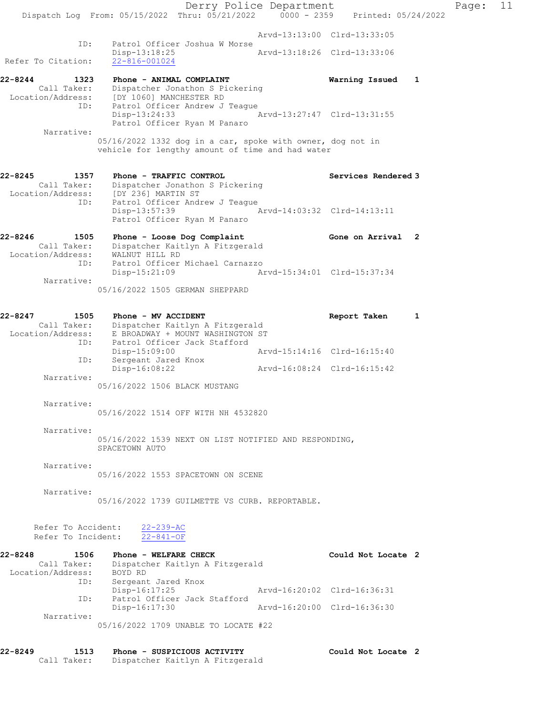Derry Police Department Page: 11 Dispatch Log From: 05/15/2022 Thru: 05/21/2022 0000 - 2359 Printed: 05/24/2022 Arvd-13:13:00 Clrd-13:33:05 ID: Patrol Officer Joshua W Morse Disp-13:18:25 Arvd-13:18:26 Clrd-13:33:06 Refer To Citation: 22-816-001024 22-8244 1323 Phone - ANIMAL COMPLAINT Warning Issued 1 Call Taker: Dispatcher Jonathon S Pickering Location/Address: [DY 1060] MANCHESTER RD ID: Patrol Officer Andrew J Teague Disp-13:24:33 Arvd-13:27:47 Clrd-13:31:55 Patrol Officer Ryan M Panaro Narrative: 05/16/2022 1332 dog in a car, spoke with owner, dog not in vehicle for lengthy amount of time and had water 22-8245 1357 Phone - TRAFFIC CONTROL Services Rendered 3 Call Taker: Dispatcher Jonathon S Pickering Location/Address: [DY 236] MARTIN ST ID: Patrol Officer Andrew J Teague Disp-13:57:39 Arvd-14:03:32 Clrd-14:13:11 Patrol Officer Ryan M Panaro 22-8246 1505 Phone - Loose Dog Complaint Gone on Arrival 2 Call Taker: Dispatcher Kaitlyn A Fitzgerald Location/Address: WALNUT HILL RD ID: Patrol Officer Michael Carnazzo Disp-15:21:09 Arvd-15:34:01 Clrd-15:37:34 Narrative: 05/16/2022 1505 GERMAN SHEPPARD 22-8247 1505 Phone - MV ACCIDENT Report Taken 1 Call Taker: Dispatcher Kaitlyn A Fitzgerald Location/Address: E BROADWAY + MOUNT WASHINGTON ST ID: Patrol Officer Jack Stafford Disp-15:09:00 Arvd-15:14:16 Clrd-16:15:40 Disp-10.00000<br>ID: Sergeant Jared Knox<br>Disp-16:08:22 Disp-16:08:22 Arvd-16:08:24 Clrd-16:15:42 Narrative: 05/16/2022 1506 BLACK MUSTANG Narrative: 05/16/2022 1514 OFF WITH NH 4532820 Narrative: 05/16/2022 1539 NEXT ON LIST NOTIFIED AND RESPONDING, SPACETOWN AUTO Narrative: 05/16/2022 1553 SPACETOWN ON SCENE Narrative: 05/16/2022 1739 GUILMETTE VS CURB. REPORTABLE. Refer To Accident: 22-239-AC Refer To Incident: 22-841-OF 22-8248 1506 Phone - WELFARE CHECK COULD Could Not Locate 2 Call Taker: Dispatcher Kaitlyn A Fitzgerald Location/Address: BOYD RD ID: Sergeant Jared Knox Disp-16:17:25 Arvd-16:20:02 Clrd-16:36:31 ID: Patrol Officer Jack Stafford<br>Disp-16:17:30 Arvd-16:20:00 Clrd-16:36:30 Narrative: 05/16/2022 1709 UNABLE TO LOCATE #22 22-8249 1513 Phone - SUSPICIOUS ACTIVITY Could Not Locate 2

Call Taker: Dispatcher Kaitlyn A Fitzgerald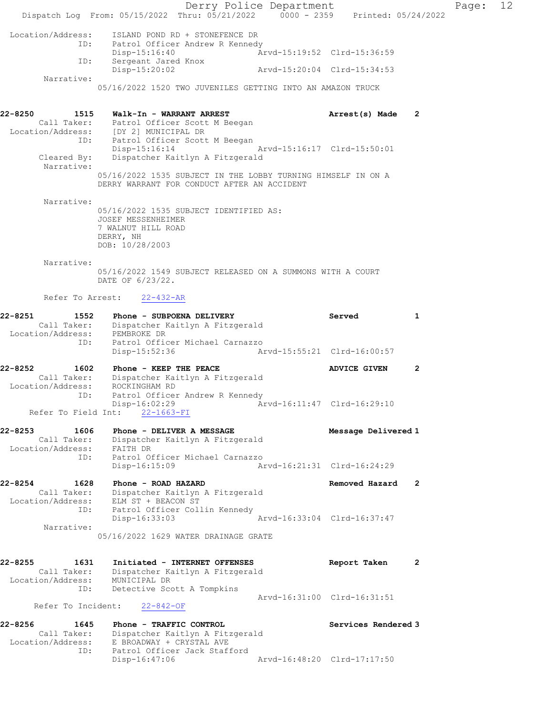Derry Police Department Fage: 12 Dispatch Log From: 05/15/2022 Thru: 05/21/2022 0000 - 2359 Printed: 05/24/2022 Location/Address: ISLAND POND RD + STONEFENCE DR<br>ID: Patrol Officer Andrew R Kennedy ID: Patrol Officer Andrew R Kennedy Disp-15:16:40 Arvd-15:19:52 Clrd-15:36:59 ID: Sergeant Jared Knox Disp-15:20:02 Arvd-15:20:04 Clrd-15:34:53 Narrative: 05/16/2022 1520 TWO JUVENILES GETTING INTO AN AMAZON TRUCK 22-8250 1515 Walk-In - WARRANT ARREST Arrest(s) Made 2 Call Taker: Patrol Officer Scott M Beegan Location/Address: [DY 2] MUNICIPAL DR ID: Patrol Officer Scott M Beegan Disp-15:16:14 Arvd-15:16:17 Clrd-15:50:01 Cleared By: Dispatcher Kaitlyn A Fitzgerald Narrative: 05/16/2022 1535 SUBJECT IN THE LOBBY TURNING HIMSELF IN ON A DERRY WARRANT FOR CONDUCT AFTER AN ACCIDENT Narrative: 05/16/2022 1535 SUBJECT IDENTIFIED AS: JOSEF MESSENHEIMER 7 WALNUT HILL ROAD DERRY, NH DOB: 10/28/2003 Narrative: 05/16/2022 1549 SUBJECT RELEASED ON A SUMMONS WITH A COURT DATE OF 6/23/22. Refer To Arrest: 22-432-AR 22-8251 1552 Phone - SUBPOENA DELIVERY 1982 Served 1 Call Taker: Dispatcher Kaitlyn A Fitzgerald Location/Address: PEMBROKE DR ID: Patrol Officer Michael Carnazzo Disp-15:52:36 Arvd-15:55:21 Clrd-16:00:57 22-8252 1602 Phone - KEEP THE PEACE 1 2 Call Taker: Dispatcher Kaitlyn A Fitzgerald Location/Address: ROCKINGHAM RD ID: Patrol Officer Andrew R Kennedy Disp-16:02:29 Arvd-16:11:47 Clrd-16:29:10 Refer To Field Int: 22-1663-FI 22-8253 1606 Phone - DELIVER A MESSAGE Nessage Delivered 1 Call Taker: Dispatcher Kaitlyn A Fitzgerald Location/Address: FAITH DR ID: Patrol Officer Michael Carnazzo Disp-16:15:09 Arvd-16:21:31 Clrd-16:24:29 22-8254 1628 Phone - ROAD HAZARD Removed Hazard 2 Call Taker: Dispatcher Kaitlyn A Fitzgerald Location/Address: ELM ST + BEACON ST ID: Patrol Officer Collin Kennedy Disp-16:33:03 Arvd-16:33:04 Clrd-16:37:47 Narrative: 05/16/2022 1629 WATER DRAINAGE GRATE 22-8255 1631 Initiated - INTERNET OFFENSES Report Taken 2 Call Taker: Dispatcher Kaitlyn A Fitzgerald Location/Address: MUNICIPAL DR ID: Detective Scott A Tompkins Arvd-16:31:00 Clrd-16:31:51 Refer To Incident: 22-842-OF 22-8256 1645 Phone - TRAFFIC CONTROL 1645 Services Rendered 3 Call Taker: Dispatcher Kaitlyn A Fitzgerald Location/Address: E BROADWAY + CRYSTAL AVE ID: Patrol Officer Jack Stafford Disp-16:47:06 Arvd-16:48:20 Clrd-17:17:50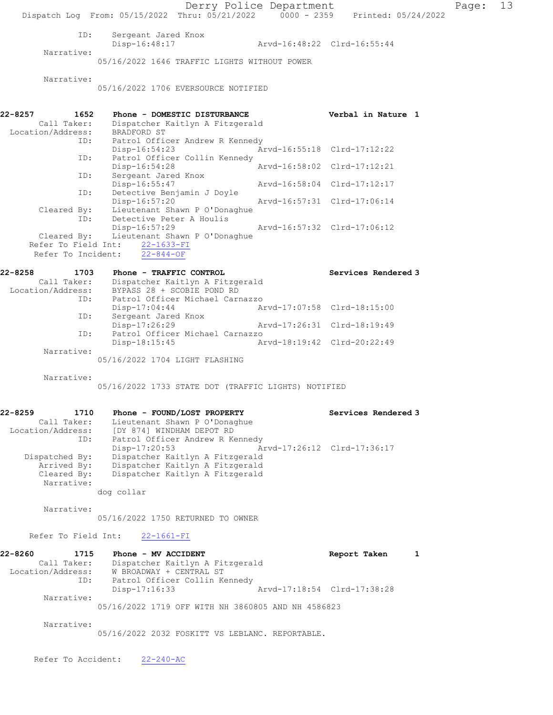Derry Police Department Page: 13 Dispatch Log From: 05/15/2022 Thru: 05/21/2022 0000 - 2359 Printed: 05/24/2022 ID: Sergeant Jared Knox<br>Disp-16:48:17 Disp-16:48:17 Arvd-16:48:22 Clrd-16:55:44 Narrative: 05/16/2022 1646 TRAFFIC LIGHTS WITHOUT POWER Narrative: 05/16/2022 1706 EVERSOURCE NOTIFIED 22-8257 1652 Phone - DOMESTIC DISTURBANCE Verbal in Nature 1<br>Call Taker: Dispatcher Kaitlyn A Fitzgerald<br>Location/Address: PRADEODA OF Call Taker: Dispatcher Kaitlyn A Fitzgerald Location/Address: BRADFORD ST ID: Patrol Officer Andrew R Kennedy<br>Disp-16:54:23 A: Disp-16:54:23 Arvd-16:55:18 Clrd-17:12:22<br>ID: Patrol Officer Collin Kennedy Patrol Officer Collin Kennedy<br>Disp-16:54:28 Disp-16:54:28 Arvd-16:58:02 Clrd-17:12:21 ID: Sergeant Jared Knox<br>Disp-16:55:47 Disp-16:55:47 Arvd-16:58:04 Clrd-17:12:17<br>ID: Detective Benjamin J Doyle Detective Benjamin J Doyle<br>Disp-16:57:20 Disp-16:57:20 Arvd-16:57:31 Clrd-17:06:14 Cleared By: Lieutenant Shawn P O'Donaghue ID: Detective Peter A Houlis Disp-16:57:29 Arvd-16:57:32 Clrd-17:06:12<br>Cleared By: Lieutenant Shawn P O'Donaghue Lieutenant Shawn P O'Donaghue Refer To Field Int: 22-1633-FI Refer To Incident:  $22-844-OF$ 22-8258 1703 Phone - TRAFFIC CONTROL 1988 Services Rendered 3 Call Taker: Dispatcher Kaitlyn A Fitzgerald Location/Address: BYPASS 28 + SCOBIE POND RD ID: Patrol Officer Michael Carnazzo Disp-17:04:44 Arvd-17:07:58 Clrd-18:15:00 ID: Sergeant Jared Knox Disp-17:26:29 Arvd-17:26:31 Clrd-18:19:49 ID: Patrol Officer Michael Carnazzo<br>Disp-18:15:45 A Disp-18:15:45 Arvd-18:19:42 Clrd-20:22:49 Narrative: 05/16/2022 1704 LIGHT FLASHING Narrative: 05/16/2022 1733 STATE DOT (TRAFFIC LIGHTS) NOTIFIED 22-8259 1710 Phone - FOUND/LOST PROPERTY Services Rendered 3 Call Taker: Lieutenant Shawn P O'Donaghue Location/Address: [DY 874] WINDHAM DEPOT RD ID: Patrol Officer Andrew R Kennedy Disp-17:20:53 Arvd-17:26:12 Clrd-17:36:17 Dispatched By: Dispatcher Kaitlyn A Fitzgerald Arrived By: Dispatcher Kaitlyn A Fitzgerald Cleared By: Dispatcher Kaitlyn A Fitzgerald Narrative: dog collar Narrative: 05/16/2022 1750 RETURNED TO OWNER Refer To Field Int: 22-1661-FI 22-8260 1715 Phone - MV ACCIDENT 1 1 Report Taken 1 Call Taker: Dispatcher Kaitlyn A Fitzgerald Location/Address: W BROADWAY + CENTRAL ST ID: Patrol Officer Collin Kennedy Disp-17:16:33 Arvd-17:18:54 Clrd-17:38:28 Narrative: 05/16/2022 1719 OFF WITH NH 3860805 AND NH 4586823 Narrative: 05/16/2022 2032 FOSKITT VS LEBLANC. REPORTABLE.

Refer To Accident: 22-240-AC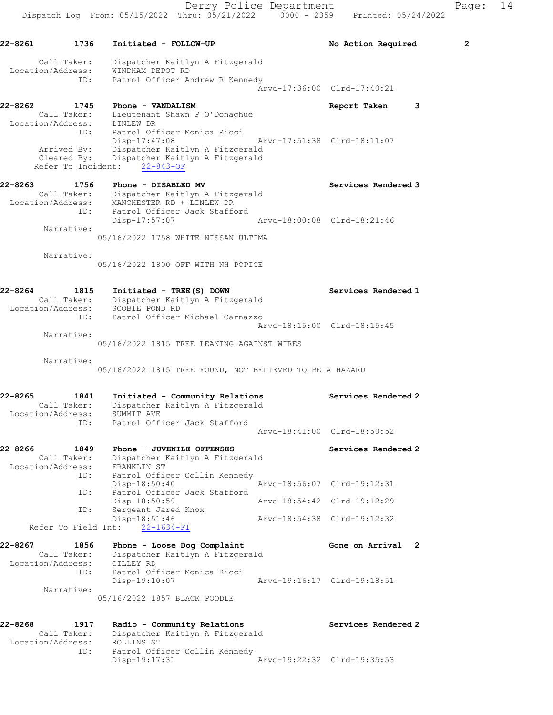22-8261 1736 Initiated - FOLLOW-UP No Action Required 2 Call Taker: Dispatcher Kaitlyn A Fitzgerald Location/Address: WINDHAM DEPOT RD ID: Patrol Officer Andrew R Kennedy Arvd-17:36:00 Clrd-17:40:21 22-8262 1745 Phone - VANDALISM Report Taken 3 Call Taker: Lieutenant Shawn P O'Donaghue Location/Address: LINLEW DR ID: Patrol Officer Monica Ricci Disp-17:47:08 Arvd-17:51:38 Clrd-18:11:07 Arrived By: Dispatcher Kaitlyn A Fitzgerald Cleared By: Dispatcher Kaitlyn A Fitzgerald Refer To Incident: 22-843-OF 22-8263 1756 Phone - DISABLED MV Services Rendered 3 Call Taker: Dispatcher Kaitlyn A Fitzgerald Location/Address: MANCHESTER RD + LINLEW DR ID: Patrol Officer Jack Stafford<br>Disp-17:57:07 Disp-17:57:07 Arvd-18:00:08 Clrd-18:21:46 Narrative: 05/16/2022 1758 WHITE NISSAN ULTIMA Narrative: 05/16/2022 1800 OFF WITH NH POPICE 22-8264 1815 Initiated - TREE(S) DOWN Services Rendered 1 Call Taker: Dispatcher Kaitlyn A Fitzgerald Location/Address: SCOBIE POND RD ID: Patrol Officer Michael Carnazzo Arvd-18:15:00 Clrd-18:15:45 Narrative: 05/16/2022 1815 TREE LEANING AGAINST WIRES Narrative: 05/16/2022 1815 TREE FOUND, NOT BELIEVED TO BE A HAZARD 22-8265 1841 Initiated - Community Relations Services Rendered 2 Call Taker: Dispatcher Kaitlyn A Fitzgerald Location/Address: SUMMIT AVE ID: Patrol Officer Jack Stafford Arvd-18:41:00 Clrd-18:50:52 22-8266 1849 Phone - JUVENILE OFFENSES Services Rendered 2 Call Taker: Dispatcher Kaitlyn A Fitzgerald Location/Address: FRANKLIN ST ID: Patrol Officer Collin Kennedy Disp-18:50:40 Arvd-18:56:07 Clrd-19:12:31 ID: Patrol Officer Jack Stafford Disp-18:50:59<br>Sergeant Jarod Mass ID: Sergeant Jared Knox Disp-18:51:46 Arvd-18:54:38 Clrd-19:12:32 Refer To Field Int: 22-1634-FI 22-8267 1856 Phone - Loose Dog Complaint Gone on Arrival 2 Call Taker: Dispatcher Kaitlyn A Fitzgerald Location/Address: CILLEY RD ID: Patrol Officer Monica Ricci Disp-19:10:07 Arvd-19:16:17 Clrd-19:18:51 Narrative: 05/16/2022 1857 BLACK POODLE 22-8268 1917 Radio - Community Relations Services Rendered 2 Call Taker: Dispatcher Kaitlyn A Fitzgerald Location/Address: ROLLINS ST ID: Patrol Officer Collin Kennedy Disp-19:17:31 Arvd-19:22:32 Clrd-19:35:53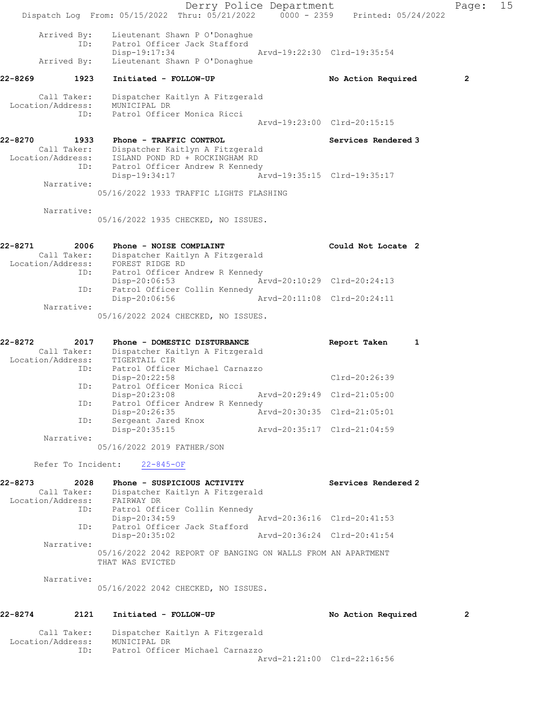Derry Police Department Fage: 15 Dispatch Log From: 05/15/2022 Thru: 05/21/2022 0000 - 2359 Printed: 05/24/2022 Arrived By: Lieutenant Shawn P O'Donaghue ID: Patrol Officer Jack Stafford<br>Disp-19:17:34 Disp-19:17:34 Arvd-19:22:30 Clrd-19:35:54 Arrived By: Lieutenant Shawn P O'Donaghue 22-8269 1923 Initiated - FOLLOW-UP No Action Required 2 Call Taker: Dispatcher Kaitlyn A Fitzgerald Location/Address: MUNICIPAL DR ID: Patrol Officer Monica Ricci Arvd-19:23:00 Clrd-20:15:15 22-8270 1933 Phone - TRAFFIC CONTROL 1988 Services Rendered 3 Call Taker: Dispatcher Kaitlyn A Fitzgerald Location/Address: ISLAND POND RD + ROCKINGHAM RD ID: Patrol Officer Andrew R Kennedy Disp-19:34:17 Arvd-19:35:15 Clrd-19:35:17 Narrative: 05/16/2022 1933 TRAFFIC LIGHTS FLASHING Narrative: 05/16/2022 1935 CHECKED, NO ISSUES. 22-8271 2006 Phone - NOISE COMPLAINT COULD Could Not Locate 2 Call Taker: Dispatcher Kaitlyn A Fitzgerald Location/Address: FOREST RIDGE RD ID: Patrol Officer Andrew R Kennedy Disp-20:06:53 Arvd-20:10:29 Clrd-20:24:13 ID: Patrol Officer Collin Kennedy Disp-20:06:56 Arvd-20:11:08 Clrd-20:24:11 Narrative: 05/16/2022 2024 CHECKED, NO ISSUES. 22-8272 2017 Phone - DOMESTIC DISTURBANCE Report Taken 1 Call Taker: Dispatcher Kaitlyn A Fitzgerald Location/Address: TIGERTAIL CIR ID: Patrol Officer Michael Carnazzo Disp-20:22:58 Clrd-20:26:39 ID: Patrol Officer Monica Ricci Disp-20:23:08 Arvd-20:29:49 Clrd-21:05:00 ID: Patrol Officer Andrew R Kennedy Disp-20:26:35 Arvd-20:30:35 Clrd-21:05:01 ID: Sergeant Jared Knox Disp-20:35:15 Arvd-20:35:17 Clrd-21:04:59 Narrative: 05/16/2022 2019 FATHER/SON Refer To Incident: 22-845-OF 22-8273 2028 Phone - SUSPICIOUS ACTIVITY Services Rendered 2 Call Taker: Dispatcher Kaitlyn A Fitzgerald Location/Address: FAIRWAY DR ID: Patrol Officer Collin Kennedy Disp-20:34:59 Arvd-20:36:16 Clrd-20:41:53 ID: Patrol Officer Jack Stafford Disp-20:35:02 Arvd-20:36:24 Clrd-20:41:54 Narrative: 05/16/2022 2042 REPORT OF BANGING ON WALLS FROM AN APARTMENT THAT WAS EVICTED Narrative: 05/16/2022 2042 CHECKED, NO ISSUES. 22-8274 2121 Initiated - FOLLOW-UP No Action Required 2 Call Taker: Dispatcher Kaitlyn A Fitzgerald Location/Address: MUNICIPAL DR

Arvd-21:21:00 Clrd-22:16:56

ID: Patrol Officer Michael Carnazzo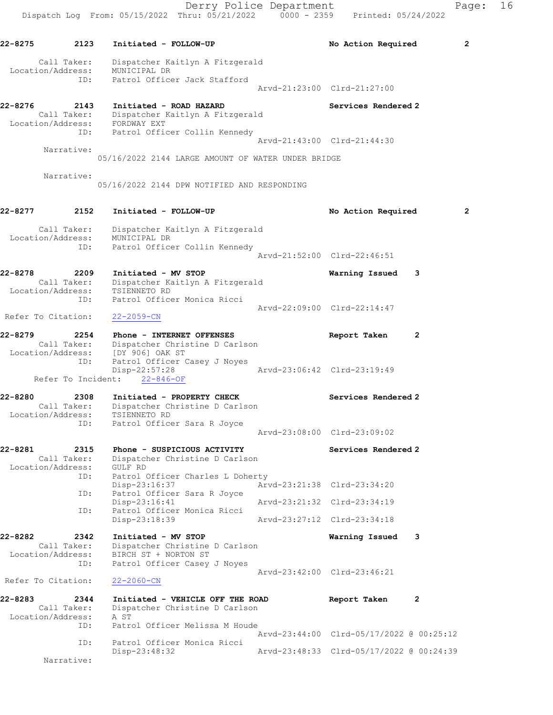Derry Police Department Fage: 16 Dispatch Log From: 05/15/2022 Thru: 05/21/2022 0000 - 2359 Printed: 05/24/2022 22-8275 2123 Initiated - FOLLOW-UP No Action Required 2 Call Taker: Dispatcher Kaitlyn A Fitzgerald Location/Address: MUNICIPAL DR ID: Patrol Officer Jack Stafford Arvd-21:23:00 Clrd-21:27:00 22-8276 2143 Initiated - ROAD HAZARD 22-8276 Services Rendered 2 Call Taker: Dispatcher Kaitlyn A Fitzgerald Location/Address: FORDWAY EXT ID: Patrol Officer Collin Kennedy Arvd-21:43:00 Clrd-21:44:30 Narrative: 05/16/2022 2144 LARGE AMOUNT OF WATER UNDER BRIDGE Narrative: 05/16/2022 2144 DPW NOTIFIED AND RESPONDING 22-8277 2152 Initiated - FOLLOW-UP No Action Required 2 Call Taker: Dispatcher Kaitlyn A Fitzgerald Location/Address: MUNICIPAL DR ID: Patrol Officer Collin Kennedy Arvd-21:52:00 Clrd-22:46:51 22-8278 2209 Initiated - MV STOP Warning Issued 3 Call Taker: Dispatcher Kaitlyn A Fitzgerald Location/Address: TSIENNETO RD ID: Patrol Officer Monica Ricci Arvd-22:09:00 Clrd-22:14:47 Refer To Citation: 22-2059-CN 22-8279 2254 Phone - INTERNET OFFENSES Report Taken 2 Call Taker: Dispatcher Christine D Carlson Location/Address: [DY 906] OAK ST ID: Patrol Officer Casey J Noyes Disp-22:57:28 Arvd-23:06:42 Clrd-23:19:49 Refer To Incident: 22-846-OF 22-8280 2308 Initiated - PROPERTY CHECK Services Rendered 2 Call Taker: Dispatcher Christine D Carlson Location/Address: TSIENNETO RD ID: Patrol Officer Sara R Joyce Arvd-23:08:00 Clrd-23:09:02 22-8281 2315 Phone - SUSPICIOUS ACTIVITY Services Rendered 2 Call Taker: Dispatcher Christine D Carlson Location/Address: GULF RD ID: Patrol Officer Charles L Doherty Disp-23:16:37 Arvd-23:21:38 Clrd-23:34:20 ID: Patrol Officer Sara R Joyce<br>Disp-23:16:41 Arvd-23:21:32 Clrd-23:34:19 ID: Patrol Officer Monica Ricci Disp-23:18:39 Arvd-23:27:12 Clrd-23:34:18 22-8282 2342 Initiated - MV STOP Warning Issued 3 Call Taker: Dispatcher Christine D Carlson Location/Address: BIRCH ST + NORTON ST ID: Patrol Officer Casey J Noyes Arvd-23:42:00 Clrd-23:46:21 Refer To Citation: 22-2060-CN 22-8283 2344 Initiated - VEHICLE OFF THE ROAD Report Taken 2 Call Taker: Dispatcher Christine D Carlson Location/Address: A ST Patrol Officer Melissa M Houde Arvd-23:44:00 Clrd-05/17/2022 @ 00:25:12 ID: Patrol Officer Monica Ricci Disp-23:48:32 Arvd-23:48:33 Clrd-05/17/2022 @ 00:24:39 Narrative: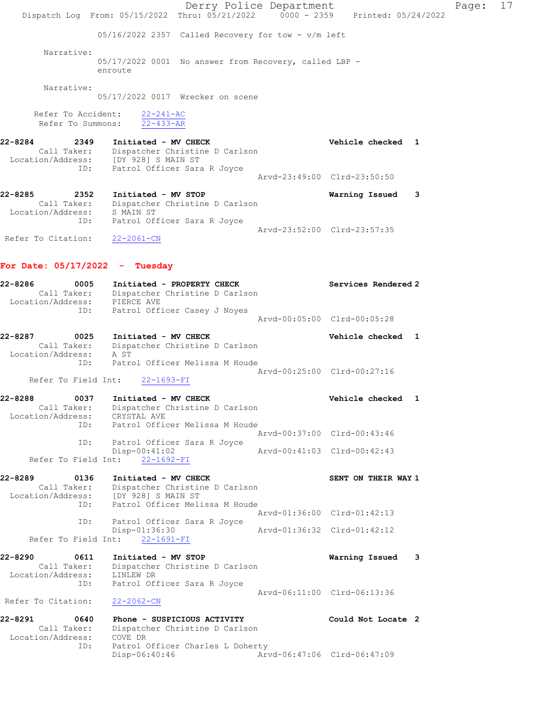Derry Police Department Fage: 17 Dispatch Log From:  $05/15/2022$  Thru:  $05/21/2022$  0000 - 2359 Printed: 05/24/2022 05/16/2022 2357 Called Recovery for tow - v/m left Narrative: 05/17/2022 0001 No answer from Recovery, called LBP enroute Narrative: 05/17/2022 0017 Wrecker on scene Refer To Accident: 22-241-AC Refer To Summons: 22-433-AR 22-8284 2349 Initiated - MV CHECK Vehicle checked 1 Call Taker: Dispatcher Christine D Carlson Location/Address: [DY 928] S MAIN ST ID: Patrol Officer Sara R Joyce Arvd-23:49:00 Clrd-23:50:50 22-8285 2352 Initiated - MV STOP Warning Issued 3 Call Taker: Dispatcher Christine D Carlson Location/Address: S MAIN ST ID: Patrol Officer Sara R Joyce Arvd-23:52:00 Clrd-23:57:35 Refer To Citation: 22-2061-CN For Date: 05/17/2022 - Tuesday 22-8286 0005 Initiated - PROPERTY CHECK Services Rendered 2 Call Taker: Dispatcher Christine D Carlson Location/Address: PIERCE AVE ID: Patrol Officer Casey J Noyes Arvd-00:05:00 Clrd-00:05:28 22-8287 0025 Initiated - MV CHECK CHECK Vehicle checked 1 Call Taker: Dispatcher Christine D Carlson Location/Address: A ST ID: Patrol Officer Melissa M Houde Arvd-00:25:00 Clrd-00:27:16 Refer To Field Int: 22-1693-FI 22-8288 0037 Initiated - MV CHECK Vehicle checked 1 Call Taker: Dispatcher Christine D Carlson Location/Address: CRYSTAL AVE ID: Patrol Officer Melissa M Houde Arvd-00:37:00 Clrd-00:43:46 ID: Patrol Officer Sara R Joyce Disp-00:41:02 Arvd-00:41:03 Clrd-00:42:43 Refer To Field Int: 22-1692-FI 22-8289 0136 Initiated - MV CHECK SENT ON THEIR WAY 1 Call Taker: Dispatcher Christine D Carlson Location/Address: [DY 928] S MAIN ST ID: Patrol Officer Melissa M Houde Arvd-01:36:00 Clrd-01:42:13 ID: Patrol Officer Sara R Joyce Disp-01:36:30 Arvd-01:36:32 Clrd-01:42:12 Refer To Field Int: 22-1691-FI 22-8290 0611 Initiated - MV STOP Warning Issued 3 Call Taker: Dispatcher Christine D Carlson Location/Address: LINLEW DR ID: Patrol Officer Sara R Joyce Arvd-06:11:00 Clrd-06:13:36 Refer To Citation: 22-2062-CN 22-8291 0640 Phone - SUSPICIOUS ACTIVITY Could Not Locate 2 Call Taker: Dispatcher Christine D Carlson Location/Address: COVE DR ID: Patrol Officer Charles L Doherty<br>Disp-06:40:46 Arv Disp-06:40:46 Arvd-06:47:06 Clrd-06:47:09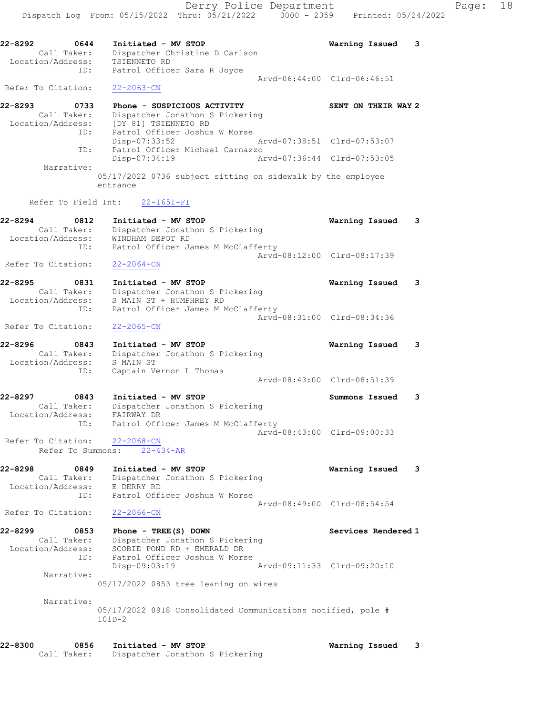Dispatch Log From: 05/15/2022 Thru: 05/21/2022 0000 - 2359 Printed: 05/24/2022 22-8292 0644 Initiated - MV STOP Warning Issued 3 Call Taker: Dispatcher Christine D Carlson Location/Address: TSIENNETO RD ID: Patrol Officer Sara R Joyce Arvd-06:44:00 Clrd-06:46:51 Refer To Citation: 22-2063-CN 22-8293 0733 Phone - SUSPICIOUS ACTIVITY SENT ON THEIR WAY 2 Call Taker: Dispatcher Jonathon S Pickering Location/Address: [DY 81] TSIENNETO RD ID: Patrol Officer Joshua W Morse Disp-07:33:52 Arvd-07:38:51 Clrd-07:53:07 ID: Patrol Officer Michael Carnazzo Disp-07:34:19 Arvd-07:36:44 Clrd-07:53:05 Narrative: 05/17/2022 0736 subject sitting on sidewalk by the employee entrance Refer To Field Int: 22-1651-FI 22-8294 0812 Initiated - MV STOP Warning Issued 3 Call Taker: Dispatcher Jonathon S Pickering Location/Address: WINDHAM DEPOT RD ID: Patrol Officer James M McClafferty Arvd-08:12:00 Clrd-08:17:39 Refer To Citation: 22-2064-CN 22-8295 0831 Initiated - MV STOP Warning Issued 3 Call Taker: Dispatcher Jonathon S Pickering Location/Address: S MAIN ST + HUMPHREY RD ID: Patrol Officer James M McClafferty Arvd-08:31:00 Clrd-08:34:36 Refer To Citation: 22-2065-CN 22-8296 0843 Initiated - MV STOP Warning Issued 3 Call Taker: Dispatcher Jonathon S Pickering Location/Address: S MAIN ST ID: Captain Vernon L Thomas Arvd-08:43:00 Clrd-08:51:39 22-8297 0843 Initiated - MV STOP Summons Issued 3 Call Taker: Dispatcher Jonathon S Pickering Location/Address: FAIRWAY DR ID: Patrol Officer James M McClafferty Arvd-08:43:00 Clrd-09:00:33 Refer To Citation: 22-2068-CN Refer To Summons: 22-434-AR 22-8298 0849 Initiated - MV STOP Warning Issued 3 Call Taker: Dispatcher Jonathon S Pickering Location/Address: E DERRY RD ID: Patrol Officer Joshua W Morse Arvd-08:49:00 Clrd-08:54:54 Refer To Citation: 22-2066-CN 22-8299 0853 Phone - TREE(S) DOWN Services Rendered 1 Call Taker: Dispatcher Jonathon S Pickering Location/Address: SCOBIE POND RD + EMERALD DR ID: Patrol Officer Joshua W Morse Disp-09:03:19 Arvd-09:11:33 Clrd-09:20:10 Narrative: 05/17/2022 0853 tree leaning on wires Narrative: 05/17/2022 0918 Consolidated Communications notified, pole # 101D-2 22-8300 0856 Initiated - MV STOP Warning Issued 3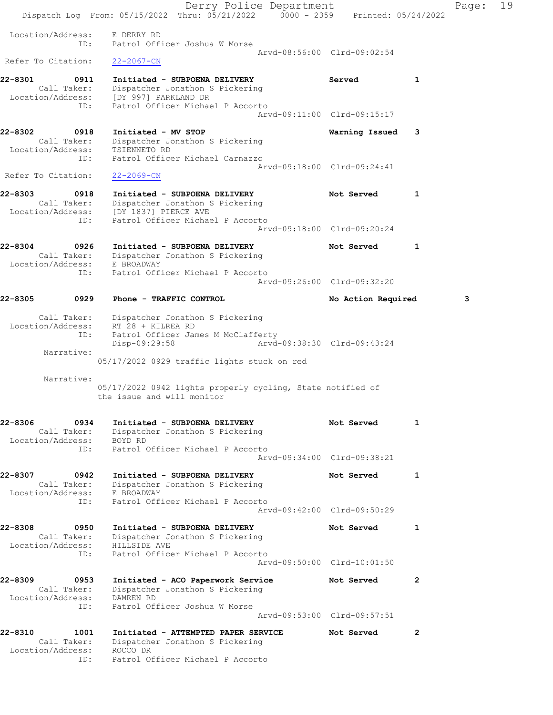|                                  | Derry Police Department<br>Dispatch Log From: 05/15/2022 Thru: 05/21/2022 0000 - 2359 Printed: 05/24/2022 |                             |              | Page: | 19 |
|----------------------------------|-----------------------------------------------------------------------------------------------------------|-----------------------------|--------------|-------|----|
|                                  |                                                                                                           |                             |              |       |    |
| Location/Address:<br>ID:         | E DERRY RD<br>Patrol Officer Joshua W Morse                                                               |                             |              |       |    |
| Refer To Citation:               | $22 - 2067 - CN$                                                                                          | Arvd-08:56:00 Clrd-09:02:54 |              |       |    |
| 22-8301<br>0911                  | Initiated - SUBPOENA DELIVERY                                                                             | Served                      | 1            |       |    |
|                                  | Call Taker: Dispatcher Jonathon S Pickering<br>Location/Address: [DY 997] PARKLAND DR                     |                             |              |       |    |
| ID:                              | Patrol Officer Michael P Accorto                                                                          | Arvd-09:11:00 Clrd-09:15:17 |              |       |    |
| 22-8302<br>0918<br>Call Taker:   | Initiated - MV STOP<br>Dispatcher Jonathon S Pickering                                                    | Warning Issued              | 3            |       |    |
| Location/Address:<br>ID:         | TSIENNETO RD<br>Patrol Officer Michael Carnazzo                                                           |                             |              |       |    |
| Refer To Citation:               | $22 - 2069 - CN$                                                                                          | Arvd-09:18:00 Clrd-09:24:41 |              |       |    |
| 22-8303<br>0918                  | Initiated - SUBPOENA DELIVERY                                                                             | Not Served                  | 1            |       |    |
| Call Taker:                      | Dispatcher Jonathon S Pickering<br>Location/Address: [DY 1837] PIERCE AVE                                 |                             |              |       |    |
| ID:                              | Patrol Officer Michael P Accorto                                                                          | Aryd-09:18:00 Clrd-09:20:24 |              |       |    |
| 22-8304<br>0926                  | Initiated - SUBPOENA DELIVERY                                                                             | Not Served                  | 1            |       |    |
| Location/Address:                | Call Taker: Dispatcher Jonathon S Pickering<br>E BROADWAY<br>Patrol Officer Michael P Accorto             |                             |              |       |    |
| ID:                              |                                                                                                           | Arvd-09:26:00 Clrd-09:32:20 |              |       |    |
| 22-8305<br>0929                  | Phone - TRAFFIC CONTROL                                                                                   | No Action Required          |              | 3     |    |
| Call Taker:<br>Location/Address: | Dispatcher Jonathon S Pickering<br>RT 28 + KILREA RD                                                      |                             |              |       |    |
| ID:                              | Patrol Officer James M McClafferty<br>Disp-09:29:58                                                       | Arvd-09:38:30 Clrd-09:43:24 |              |       |    |
| Narrative:                       | 05/17/2022 0929 traffic lights stuck on red                                                               |                             |              |       |    |
| Narrative:                       |                                                                                                           |                             |              |       |    |
|                                  | 05/17/2022 0942 lights properly cycling, State notified of<br>the issue and will monitor                  |                             |              |       |    |
| 22-8306<br>0934<br>Call Taker:   | Initiated - SUBPOENA DELIVERY<br>Dispatcher Jonathon S Pickering                                          | Not Served                  | 1            |       |    |
| Location/Address:<br>ID:         | BOYD RD<br>Patrol Officer Michael P Accorto                                                               |                             |              |       |    |
|                                  |                                                                                                           | Arvd-09:34:00 Clrd-09:38:21 |              |       |    |
| 22-8307<br>0942<br>Call Taker:   | Initiated - SUBPOENA DELIVERY<br>Dispatcher Jonathon S Pickering                                          | Not Served                  | 1            |       |    |
| Location/Address:<br>ID:         | E BROADWAY<br>Patrol Officer Michael P Accorto                                                            |                             |              |       |    |
|                                  |                                                                                                           | Arvd-09:42:00 Clrd-09:50:29 |              |       |    |
| 22-8308<br>0950<br>Call Taker:   | Initiated - SUBPOENA DELIVERY<br>Dispatcher Jonathon S Pickering                                          | Not Served                  | 1            |       |    |
| Location/Address:<br>ID:         | HILLSIDE AVE<br>Patrol Officer Michael P Accorto                                                          |                             |              |       |    |
|                                  |                                                                                                           | Arvd-09:50:00 Clrd-10:01:50 |              |       |    |
| 22-8309<br>0953<br>Call Taker:   | Initiated - ACO Paperwork Service<br>Dispatcher Jonathon S Pickering                                      | Not Served                  | $\mathbf{2}$ |       |    |
| Location/Address:<br>ID:         | DAMREN RD<br>Patrol Officer Joshua W Morse                                                                |                             |              |       |    |
|                                  |                                                                                                           | Arvd-09:53:00 Clrd-09:57:51 |              |       |    |
| 22-8310<br>1001<br>Call Taker:   | Initiated - ATTEMPTED PAPER SERVICE<br>Dispatcher Jonathon S Pickering                                    | Not Served                  | $\mathbf{2}$ |       |    |
| Location/Address:<br>ID:         | ROCCO DR<br>Patrol Officer Michael P Accorto                                                              |                             |              |       |    |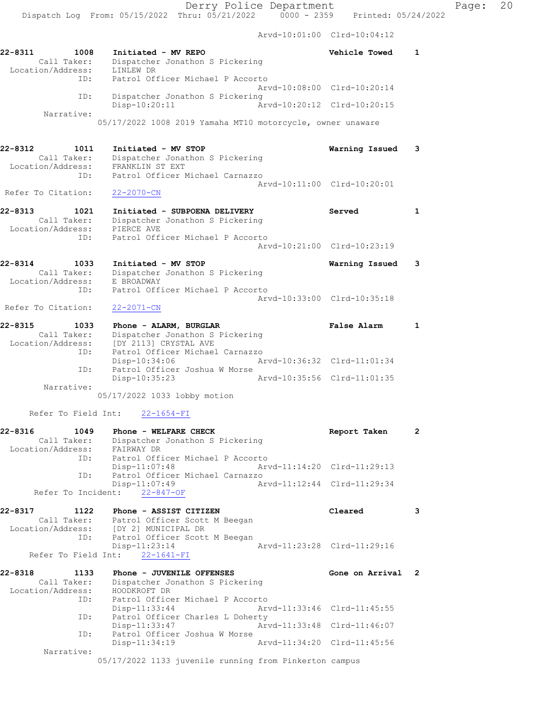|                              |                                             |                                                                                                                                      |                             | Arvd-10:01:00 Clrd-10:04:12 |   |
|------------------------------|---------------------------------------------|--------------------------------------------------------------------------------------------------------------------------------------|-----------------------------|-----------------------------|---|
| 22-8311<br>Location/Address: | 1008<br>Call Taker:                         | Initiated - MV REPO<br>Dispatcher Jonathon S Pickering<br>LINLEW DR                                                                  |                             | Vehicle Towed               | 1 |
|                              | ID:                                         | Patrol Officer Michael P Accorto                                                                                                     |                             | Aryd-10:08:00 Clrd-10:20:14 |   |
|                              | ID:<br>Narrative:                           | Dispatcher Jonathon S Pickering<br>Disp-10:20:11                                                                                     | Arvd-10:20:12 Clrd-10:20:15 |                             |   |
|                              |                                             | 05/17/2022 1008 2019 Yamaha MT10 motorcycle, owner unaware                                                                           |                             |                             |   |
| 22-8312<br>Location/Address: | 1011<br>Call Taker:<br>ID:                  | Initiated - MV STOP<br>Dispatcher Jonathon S Pickering<br>FRANKLIN ST EXT<br>Patrol Officer Michael Carnazzo                         |                             | Warning Issued              | 3 |
| Refer To Citation:           |                                             | 22-2070-CN                                                                                                                           |                             | Arvd-10:11:00 Clrd-10:20:01 |   |
| 22-8313                      | 1021<br>Call Taker:<br>ID:                  | Initiated - SUBPOENA DELIVERY<br>Dispatcher Jonathon S Pickering<br>Location/Address: PIERCE AVE<br>Patrol Officer Michael P Accorto |                             | Served                      | 1 |
|                              |                                             |                                                                                                                                      |                             | Arvd-10:21:00 Clrd-10:23:19 |   |
| 22-8314<br>Location/Address: | 1033<br>Call Taker:<br>$T\mathsf{D}\bullet$ | Initiated - MV STOP<br>Dispatcher Jonathon S Pickering<br>E BROADWAY<br>Datrol Officer Michael P Accorte                             |                             | Warning Issued              | 3 |

 ID: Patrol Officer Michael P Accorto Arvd-10:33:00 Clrd-10:35:18 Refer To Citation: 22-2071-CN

22-8315 1033 Phone - ALARM, BURGLAR False Alarm 1 Call Taker: Dispatcher Jonathon S Pickering Location/Address: [DY 2113] CRYSTAL AVE ID: Patrol Officer Michael Carnazzo Disp-10:34:06 Arvd-10:36:32 Clrd-11:01:34 ID: Patrol Officer Joshua W Morse<br>Disp-10:35:23 Disp-10:35:23 Arvd-10:35:56 Clrd-11:01:35 Narrative:

05/17/2022 1033 lobby motion

Refer To Field Int: 22-1654-FI

| 22-8316           | 1049        | Phone - WELFARE CHECK            |                             | Report Taken                |  |
|-------------------|-------------|----------------------------------|-----------------------------|-----------------------------|--|
|                   | Call Taker: | Dispatcher Jonathon S Pickering  |                             |                             |  |
| Location/Address: |             | FAIRWAY DR                       |                             |                             |  |
|                   | ID:         | Patrol Officer Michael P Accorto |                             |                             |  |
|                   |             | Disp-11:07:48                    | Arvd-11:14:20 Clrd-11:29:13 |                             |  |
|                   | ID:         | Patrol Officer Michael Carnazzo  |                             |                             |  |
|                   |             | $Disp-11:07:49$                  |                             | Arvd-11:12:44 Clrd-11:29:34 |  |
|                   |             | Refer To Incident: 22-847-OF     |                             |                             |  |

22-8317 1122 Phone - ASSIST CITIZEN Cleared 3 Call Taker: Patrol Officer Scott M Beegan<br>Location/Address: [DY 2] MUNICIPAL DR Location/Address: [DY 2] MUNICIPAL DR ID: Patrol Officer Scott M Beegan Disp-11:23:14 Arvd-11:23:28 Clrd-11:29:16 Refer To Field Int: 22-1641-FI

| 22-8318           | 1133        | Phone - JUVENILE OFFENSES                                                                                          |                             | Gone on Arrival 2           |  |
|-------------------|-------------|--------------------------------------------------------------------------------------------------------------------|-----------------------------|-----------------------------|--|
|                   | Call Taker: | Dispatcher Jonathon S Pickering                                                                                    |                             |                             |  |
| Location/Address: |             | HOODKROFT DR                                                                                                       |                             |                             |  |
|                   | ID:         | Patrol Officer Michael P Accorto                                                                                   |                             |                             |  |
|                   |             | Disp-11:33:44                                                                                                      | Arvd-11:33:46 Clrd-11:45:55 |                             |  |
|                   | ID:         | Patrol Officer Charles L Doherty                                                                                   |                             |                             |  |
|                   |             | Disp-11:33:47                                                                                                      | Arvd-11:33:48 Clrd-11:46:07 |                             |  |
|                   | ID:         | Patrol Officer Joshua W Morse                                                                                      |                             |                             |  |
|                   |             | $Disp-11:34:19$                                                                                                    |                             | Arvd-11:34:20 Clrd-11:45:56 |  |
|                   | Narrative:  |                                                                                                                    |                             |                             |  |
|                   |             | $\overline{AB}/17/0000$ $\overline{1100}$ increased the properties for $\overline{BA}$ and $\overline{BA}$ expects |                             |                             |  |

05/17/2022 1133 juvenile running from Pinkerton campus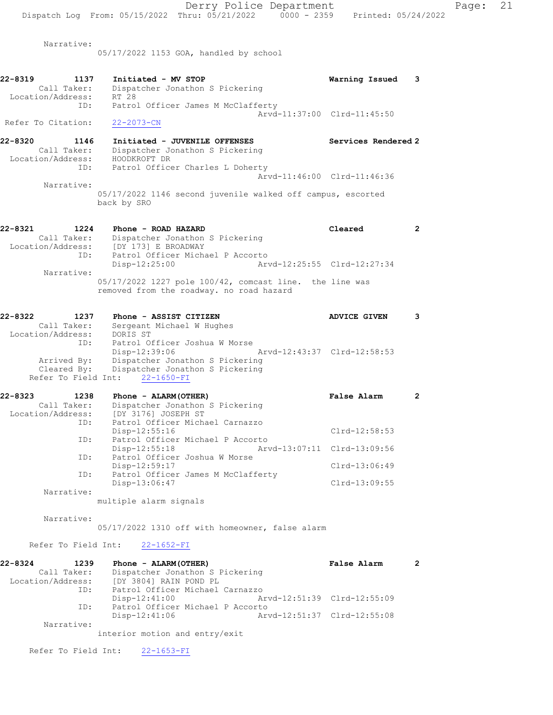Narrative: 05/17/2022 1153 GOA, handled by school

- 22-8319 1137 Initiated MV STOP Warning Issued 3 Call Taker: Dispatcher Jonathon S Pickering Location/Address: RT 28 ID: Patrol Officer James M McClafferty Arvd-11:37:00 Clrd-11:45:50<br>
22-2073-CN Refer To Citation:
- 22-8320 1146 Initiated JUVENILE OFFENSES Services Rendered 2 Call Taker: Dispatcher Jonathon S Pickering Location/Address: HOODKROFT DR ID: Patrol Officer Charles L Doherty Arvd-11:46:00 Clrd-11:46:36
	- Narrative: 05/17/2022 1146 second juvenile walked off campus, escorted back by SRO
- 22-8321 1224 Phone ROAD HAZARD Cleared 2 Call Taker: Dispatcher Jonathon S Pickering Location/Address: [DY 173] E BROADWAY ID: Patrol Officer Michael P Accorto Disp-12:25:00 Arvd-12:25:55 Clrd-12:27:34 Narrative: 05/17/2022 1227 pole 100/42, comcast line. the line was removed from the roadway. no road hazard

### 22-8322 1237 Phone - ASSIST CITIZEN ADVICE GIVEN 3 Call Taker: Sergeant Michael W Hughes Location/Address: DORIS ST ID: Patrol Officer Joshua W Morse Disp-12:39:06 Arvd-12:43:37 Clrd-12:58:53 Arrived By: Dispatcher Jonathon S Pickering Cleared By: Dispatcher Jonathon S Pickering Refer To Field Int: 22-1650-FI

| 22-8323<br>1238   | Phone - ALARM (OTHER)                          | False Alarm     | 2 |
|-------------------|------------------------------------------------|-----------------|---|
| Call Taker:       | Dispatcher Jonathon S Pickering                |                 |   |
| Location/Address: | [DY 3176] JOSEPH ST                            |                 |   |
| ID:               | Patrol Officer Michael Carnazzo                |                 |   |
|                   | $Disp-12:55:16$                                | $Clrd-12:58:53$ |   |
| ID:               | Patrol Officer Michael P Accorto               |                 |   |
|                   | Arvd-13:07:11 Clrd-13:09:56<br>$Disp-12:55:18$ |                 |   |
| ID:               | Patrol Officer Joshua W Morse                  |                 |   |
|                   | Disp-12:59:17                                  | Clrd-13:06:49   |   |
| ID:               | Patrol Officer James M McClafferty             |                 |   |
|                   | Disp-13:06:47                                  | $Clrd-13:09:55$ |   |
| Narrative:        |                                                |                 |   |

multiple alarm signals

Narrative:

05/17/2022 1310 off with homeowner, false alarm

#### Refer To Field Int: 22-1652-FI

| 22-8324           | 1239        | Phone - ALARM (OTHER)            | False Alarm                 |  |
|-------------------|-------------|----------------------------------|-----------------------------|--|
|                   | Call Taker: | Dispatcher Jonathon S Pickering  |                             |  |
| Location/Address: |             | [DY 3804] RAIN POND PL           |                             |  |
|                   | ID:         | Patrol Officer Michael Carnazzo  |                             |  |
|                   |             | Disp-12:41:00                    | Arvd-12:51:39 Clrd-12:55:09 |  |
|                   | ID:         | Patrol Officer Michael P Accorto |                             |  |
|                   |             | Disp-12:41:06                    | Arvd-12:51:37 Clrd-12:55:08 |  |
|                   | Narrative:  |                                  |                             |  |

interior motion and entry/exit

Refer To Field Int: 22-1653-FI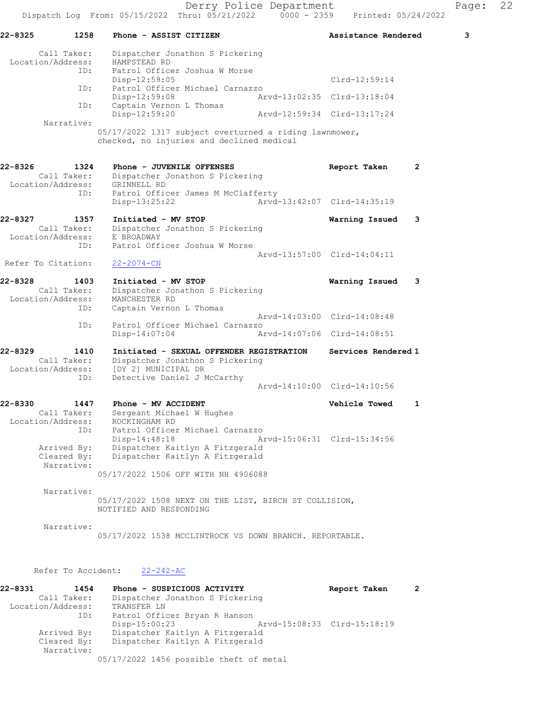| 22-8325<br>1258                                            | Phone - ASSIST CITIZEN                                                                                                            | Assistance Rendered                                        | 3 |
|------------------------------------------------------------|-----------------------------------------------------------------------------------------------------------------------------------|------------------------------------------------------------|---|
| Call Taker:<br>Location/Address:                           | Dispatcher Jonathon S Pickering<br>HAMPSTEAD RD                                                                                   |                                                            |   |
| ID:                                                        | Patrol Officer Joshua W Morse<br>Disp-12:59:05                                                                                    | Clrd-12:59:14                                              |   |
| ID:                                                        | Patrol Officer Michael Carnazzo<br>$Disp-12:59:08$                                                                                | Arvd-13:02:35 Clrd-13:18:04                                |   |
| ID:                                                        | Captain Vernon L Thomas<br>Disp-12:59:20                                                                                          | Arvd-12:59:34 Clrd-13:17:24                                |   |
| Narrative:                                                 | 05/17/2022 1317 subject overturned a riding lawnmower,<br>checked, no injuries and declined medical                               |                                                            |   |
| 22-8326<br>1324<br>Call Taker:<br>Location/Address:        | Phone - JUVENILE OFFENSES<br>Dispatcher Jonathon S Pickering<br>GRINNELL RD                                                       | Report Taken<br>2                                          |   |
| ID:                                                        | Patrol Officer James M McClafferty<br>Disp-13:25:22                                                                               | Arvd-13:42:07 Clrd-14:35:19                                |   |
| 22-8327<br>1357<br>Call Taker:<br>Location/Address:<br>ID: | Initiated - MV STOP<br>Dispatcher Jonathon S Pickering<br>E BROADWAY<br>Patrol Officer Joshua W Morse                             | Warning Issued<br>3                                        |   |
| Refer To Citation:                                         | $22 - 2074 - CN$                                                                                                                  | Arvd-13:57:00 Clrd-14:04:11                                |   |
| 22-8328<br>1403<br>Call Taker:<br>Location/Address:<br>ID: | Initiated - MV STOP<br>Dispatcher Jonathon S Pickering<br>MANCHESTER RD<br>Captain Vernon L Thomas                                | Warning Issued<br>3                                        |   |
| ID:                                                        | Patrol Officer Michael Carnazzo<br>Disp-14:07:04                                                                                  | Arvd-14:03:00 Clrd-14:08:48<br>Arvd-14:07:06 Clrd-14:08:51 |   |
| 22-8329<br>1410<br>Call Taker:<br>Location/Address:<br>ID: | Initiated - SEXUAL OFFENDER REGISTRATION<br>Dispatcher Jonathon S Pickering<br>[DY 2] MUNICIPAL DR<br>Detective Daniel J McCarthy | Services Rendered 1                                        |   |
|                                                            |                                                                                                                                   | Arvd-14:10:00 Clrd-14:10:56                                |   |
| 22-8330<br>1447<br>Call Taker:<br>Location/Address:<br>ID: | Phone - MV ACCIDENT<br>Sergeant Michael W Hughes<br>ROCKINGHAM RD<br>Patrol Officer Michael Carnazzo                              | Vehicle Towed<br>1                                         |   |
| Arrived By:<br>Cleared By:<br>Narrative:                   | Disp-14:48:18<br>Dispatcher Kaitlyn A Fitzgerald<br>Dispatcher Kaitlyn A Fitzgerald<br>05/17/2022 1506 OFF WITH NH 4906088        | Arvd-15:06:31 Clrd-15:34:56                                |   |
| Narrative:                                                 | 05/17/2022 1508 NEXT ON THE LIST, BIRCH ST COLLISION,<br>NOTIFIED AND RESPONDING                                                  |                                                            |   |
| Narrative:                                                 | 05/17/2022 1538 MCCLINTROCK VS DOWN BRANCH. REPORTABLE.                                                                           |                                                            |   |
| Refer To Accident:                                         | $22 - 242 - AC$                                                                                                                   |                                                            |   |
| 22-8331<br>1454<br>Call Taker:                             | Phone - SUSPICIOUS ACTIVITY<br>Dispatcher Jonathon S Pickering                                                                    | Report Taken<br>2                                          |   |

| Call Taker:       | Dispatcher Jonathon S Pickering         |                             |  |
|-------------------|-----------------------------------------|-----------------------------|--|
| Location/Address: | TRANSFER LN                             |                             |  |
| ID:               | Patrol Officer Bryan R Hanson           |                             |  |
|                   | $Disp-15:00:23$                         | Arvd-15:08:33 Clrd-15:18:19 |  |
| Arrived By:       | Dispatcher Kaitlyn A Fitzgerald         |                             |  |
| Cleared By:       | Dispatcher Kaitlyn A Fitzgerald         |                             |  |
| Narrative:        |                                         |                             |  |
|                   | 05/17/2022 1456 possible theft of metal |                             |  |
|                   |                                         |                             |  |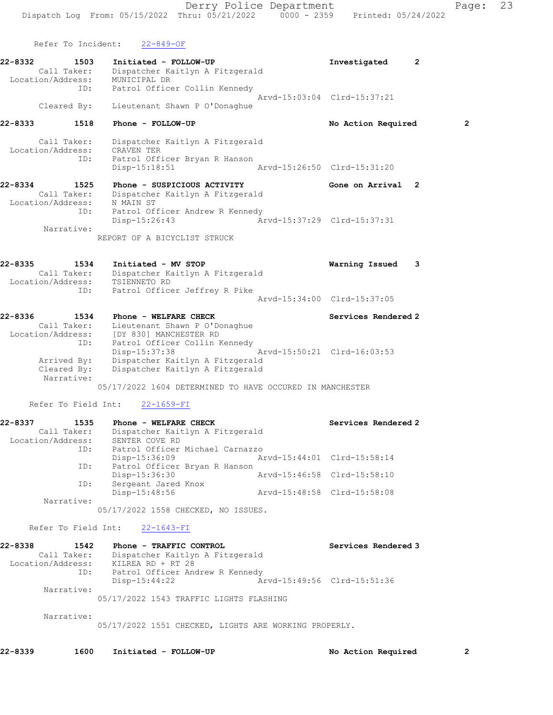Refer To Incident: 22-849-OF

22-8332 1503 Initiated - FOLLOW-UP Investigated 2 Call Taker: Dispatcher Kaitlyn A Fitzgerald Location/Address: MUNICIPAL DR ID: Patrol Officer Collin Kennedy Arvd-15:03:04 Clrd-15:37:21 Cleared By: Lieutenant Shawn P O'Donaghue

### 22-8333 1518 Phone - FOLLOW-UP No Action Required 2

 Call Taker: Dispatcher Kaitlyn A Fitzgerald Location/Address: CRAVEN TER ID: Patrol Officer Bryan R Hanson Disp-15:18:51 Arvd-15:26:50 Clrd-15:31:20

22-8334 1525 Phone - SUSPICIOUS ACTIVITY Gone on Arrival 2 Call Taker: Dispatcher Kaitlyn A Fitzgerald Location/Address: N MAIN ST ID: Patrol Officer Andrew R Kennedy Disp-15:26:43 Arvd-15:37:29 Clrd-15:37:31 Narrative:

REPORT OF A BICYCLIST STRUCK

| 22-8335           | 1534 | Initiated - MV STOP             | Warning Issued              | - 3 |
|-------------------|------|---------------------------------|-----------------------------|-----|
| Call Taker:       |      | Dispatcher Kaitlyn A Fitzgerald |                             |     |
| Location/Address: |      | TSIENNETO RD                    |                             |     |
|                   | ID:  | Patrol Officer Jeffrey R Pike   |                             |     |
|                   |      |                                 | Arvd-15:34:00 Clrd-15:37:05 |     |

| 22-8336<br>1534   | Phone - WELFARE CHECK                                    | Services Rendered 2         |
|-------------------|----------------------------------------------------------|-----------------------------|
| Call Taker:       | Lieutenant Shawn P O'Donaghue                            |                             |
| Location/Address: | [DY 830] MANCHESTER RD                                   |                             |
| ID:               | Patrol Officer Collin Kennedy                            |                             |
|                   | Disp-15:37:38                                            | Arvd-15:50:21 Clrd-16:03:53 |
| Arrived By:       | Dispatcher Kaitlyn A Fitzgerald                          |                             |
| Cleared By:       | Dispatcher Kaitlyn A Fitzgerald                          |                             |
| Narrative:        |                                                          |                             |
|                   | 05/17/2022 1604 DETERMINED TO HAVE OCCURED IN MANCHESTER |                             |

Refer To Field Int: 22-1659-FI

| 22-8337           | 1535        | Phone - WELFARE CHECK           |                             | Services Rendered 2 |
|-------------------|-------------|---------------------------------|-----------------------------|---------------------|
|                   | Call Taker: | Dispatcher Kaitlyn A Fitzgerald |                             |                     |
| Location/Address: |             | SENTER COVE RD                  |                             |                     |
|                   | ID:         | Patrol Officer Michael Carnazzo |                             |                     |
|                   |             | Disp-15:36:09                   | Arvd-15:44:01 Clrd-15:58:14 |                     |
|                   | ID:         | Patrol Officer Bryan R Hanson   |                             |                     |
|                   |             | Disp-15:36:30                   | Arvd-15:46:58 Clrd-15:58:10 |                     |
|                   | ID:         | Sergeant Jared Knox             |                             |                     |
|                   |             | Disp-15:48:56                   | Arvd-15:48:58 Clrd-15:58:08 |                     |
|                   | Narrative:  |                                 |                             |                     |

05/17/2022 1558 CHECKED, NO ISSUES.

Refer To Field Int: 22-1643-FI

| 22-8338<br>1542   | Phone - TRAFFIC CONTROL                 |                             | Services Rendered 3 |
|-------------------|-----------------------------------------|-----------------------------|---------------------|
| Call Taker:       | Dispatcher Kaitlyn A Fitzgerald         |                             |                     |
| Location/Address: | KILREA RD + RT 28                       |                             |                     |
| ID:               | Patrol Officer Andrew R Kennedy         |                             |                     |
|                   | $Disp-15:44:22$                         | Arvd-15:49:56 Clrd-15:51:36 |                     |
| Narrative:        |                                         |                             |                     |
|                   | 05/17/2022 1543 TRAFFIC LIGHTS FLASHING |                             |                     |
|                   |                                         |                             |                     |
| Narrative:        |                                         |                             |                     |

05/17/2022 1551 CHECKED, LIGHTS ARE WORKING PROPERLY.

22-8339 1600 Initiated - FOLLOW-UP No Action Required 2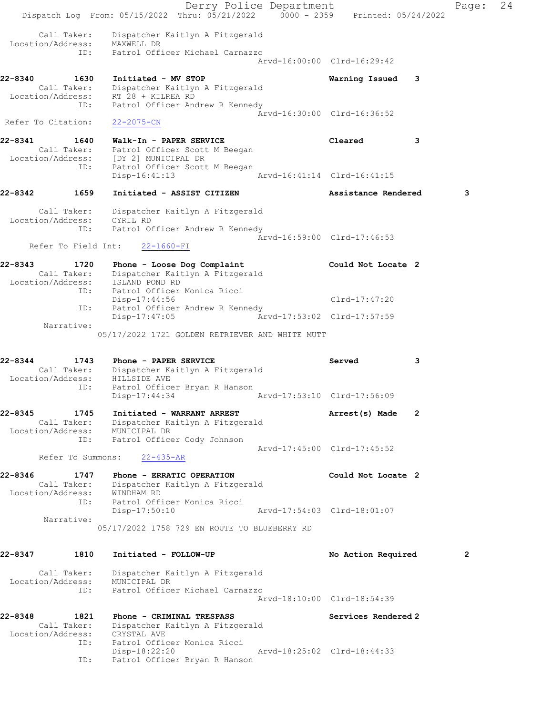Derry Police Department Fage: 24 Dispatch Log From: 05/15/2022 Thru: 05/21/2022 0000 - 2359 Printed: 05/24/2022 Call Taker: Dispatcher Kaitlyn A Fitzgerald Location/Address: MAXWELL DR ID: Patrol Officer Michael Carnazzo Arvd-16:00:00 Clrd-16:29:42 22-8340 1630 Initiated - MV STOP Warning Issued 3 Call Taker: Dispatcher Kaitlyn A Fitzgerald Location/Address: RT 28 + KILREA RD ID: Patrol Officer Andrew R Kennedy Arvd-16:30:00 Clrd-16:36:52 Refer To Citation: 22-2075-CN 22-8341 1640 Walk-In - PAPER SERVICE Cleared 3 Call Taker: Patrol Officer Scott M Beegan Location/Address: [DY 2] MUNICIPAL DR ID: Patrol Officer Scott M Beegan Disp-16:41:13 Arvd-16:41:14 Clrd-16:41:15 22-8342 1659 Initiated - ASSIST CITIZEN Assistance Rendered 3 Call Taker: Dispatcher Kaitlyn A Fitzgerald Location/Address: CYRIL RD ID: Patrol Officer Andrew R Kennedy Arvd-16:59:00 Clrd-17:46:53 Refer To Field Int: 22-1660-FI 22-8343 1720 Phone - Loose Dog Complaint Could Not Locate 2 Call Taker: Dispatcher Kaitlyn A Fitzgerald Location/Address: ISLAND POND RD ID: Patrol Officer Monica Ricci Disp-17:44:56 Clrd-17:47:20 ID: Patrol Officer Andrew R Kennedy Disp-17:47:05 Arvd-17:53:02 Clrd-17:57:59 Narrative: 05/17/2022 1721 GOLDEN RETRIEVER AND WHITE MUTT 22-8344 1743 Phone - PAPER SERVICE Served 3 Call Taker: Dispatcher Kaitlyn A Fitzgerald Location/Address: HILLSIDE AVE ID: Patrol Officer Bryan R Hanson Disp-17:44:34 Arvd-17:53:10 Clrd-17:56:09 22-8345 1745 Initiated - WARRANT ARREST Arrest(s) Made 2 Call Taker: Dispatcher Kaitlyn A Fitzgerald Location/Address: MUNICIPAL DR ID: Patrol Officer Cody Johnson Arvd-17:45:00 Clrd-17:45:52 Refer To Summons: 22-435-AR 22-8346 1747 Phone - ERRATIC OPERATION Could Not Locate 2 Call Taker: Dispatcher Kaitlyn A Fitzgerald Location/Address: WINDHAM RD ID: Patrol Officer Monica Ricci Disp-17:50:10 Arvd-17:54:03 Clrd-18:01:07 Narrative: 05/17/2022 1758 729 EN ROUTE TO BLUEBERRY RD 22-8347 1810 Initiated - FOLLOW-UP 12 No Action Required 2 Call Taker: Dispatcher Kaitlyn A Fitzgerald Location/Address: MUNICIPAL DR ID: Patrol Officer Michael Carnazzo Arvd-18:10:00 Clrd-18:54:39 22-8348 1821 Phone - CRIMINAL TRESPASS Services Rendered 2 Call Taker: Dispatcher Kaitlyn A Fitzgerald Location/Address: CRYSTAL AVE ID: Patrol Officer Monica Ricci Disp-18:22:20 Arvd-18:25:02 Clrd-18:44:33 ID: Patrol Officer Bryan R Hanson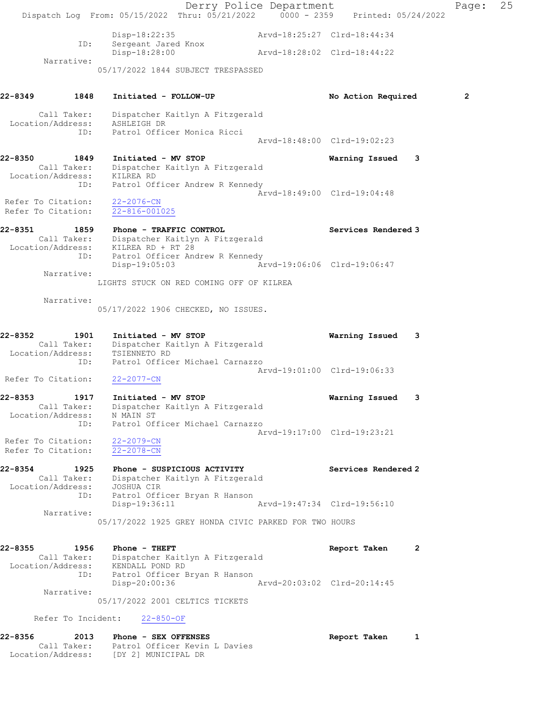|                                                                | Dispatch Log From: 05/15/2022 Thru: 05/21/2022 0000 - 2359 Printed: 05/24/2022                                                 | Derry Police Department |                             |   | Page:        | 25 |
|----------------------------------------------------------------|--------------------------------------------------------------------------------------------------------------------------------|-------------------------|-----------------------------|---|--------------|----|
|                                                                | Disp-18:22:35                                                                                                                  |                         | Arvd-18:25:27 Clrd-18:44:34 |   |              |    |
| ID:                                                            | Sergeant Jared Knox<br>Disp-18:28:00                                                                                           |                         | Arvd-18:28:02 Clrd-18:44:22 |   |              |    |
| Narrative:                                                     | 05/17/2022 1844 SUBJECT TRESPASSED                                                                                             |                         |                             |   |              |    |
|                                                                |                                                                                                                                |                         |                             |   |              |    |
| 22-8349<br>1848                                                | Initiated - FOLLOW-UP                                                                                                          |                         | No Action Required          |   | $\mathbf{2}$ |    |
| Call Taker:<br>Location/Address: ASHLEIGH DR<br>ID:            | Dispatcher Kaitlyn A Fitzgerald<br>Patrol Officer Monica Ricci                                                                 |                         |                             |   |              |    |
|                                                                |                                                                                                                                |                         | Arvd-18:48:00 Clrd-19:02:23 |   |              |    |
| 22-8350<br>1849<br>Location/Address: KILREA RD                 | Initiated - MV STOP<br>Call Taker: Dispatcher Kaitlyn A Fitzgerald                                                             |                         | Warning Issued              | 3 |              |    |
| ID:                                                            | Patrol Officer Andrew R Kennedy                                                                                                |                         | Arvd-18:49:00 Clrd-19:04:48 |   |              |    |
| Refer To Citation:<br>Refer To Citation:                       | $22 - 2076 - CN$<br>$22 - 816 - 001025$                                                                                        |                         |                             |   |              |    |
| 22-8351<br>1859<br>Location/Address:<br>ID:                    | Phone - TRAFFIC CONTROL<br>Call Taker: Dispatcher Kaitlyn A Fitzgerald<br>KILREA RD + RT 28<br>Patrol Officer Andrew R Kennedy |                         | Services Rendered 3         |   |              |    |
| Narrative:                                                     | $Disp-19:05:03$                                                                                                                |                         | Arvd-19:06:06 Clrd-19:06:47 |   |              |    |
|                                                                | LIGHTS STUCK ON RED COMING OFF OF KILREA                                                                                       |                         |                             |   |              |    |
| Narrative:                                                     | 05/17/2022 1906 CHECKED, NO ISSUES.                                                                                            |                         |                             |   |              |    |
| 22-8352<br>1901<br>Call Taker:<br>Location/Address:<br>ID:     | Initiated - MV STOP<br>Dispatcher Kaitlyn A Fitzgerald<br>TSIENNETO RD<br>Patrol Officer Michael Carnazzo                      |                         | Warning Issued              | 3 |              |    |
| Refer To Citation:                                             | $22 - 2077 - CN$                                                                                                               |                         | Arvd-19:01:00 Clrd-19:06:33 |   |              |    |
| 22-8353<br>1917<br>Location/Address:                           | Initiated - MV STOP<br>Call Taker: Dispatcher Kaitlyn A Fitzgerald<br>N MAIN ST                                                |                         | Warning Issued              | 3 |              |    |
| ID:<br>Refer To Citation:                                      | Patrol Officer Michael Carnazzo<br>$22 - 2079 - CN$                                                                            |                         | Arvd-19:17:00 Clrd-19:23:21 |   |              |    |
| Refer To Citation:                                             | $22 - 2078 - CN$                                                                                                               |                         |                             |   |              |    |
| 22-8354<br>1925<br>Call Taker:<br>Location/Address: JOSHUA CIR | Phone - SUSPICIOUS ACTIVITY<br>Dispatcher Kaitlyn A Fitzgerald                                                                 |                         | Services Rendered 2         |   |              |    |
| ID:                                                            | Patrol Officer Bryan R Hanson<br>Disp-19:36:11                                                                                 |                         | Arvd-19:47:34 Clrd-19:56:10 |   |              |    |
| Narrative:                                                     | 05/17/2022 1925 GREY HONDA CIVIC PARKED FOR TWO HOURS                                                                          |                         |                             |   |              |    |
| 22-8355                                                        | 1956 Phone - THEFT<br>Call Taker: Dispatcher Kaitlyn A Fitzgerald<br>Location/Address: KENDALL POND RD                         |                         | Report Taken 2              |   |              |    |
| ID:                                                            | Patrol Officer Bryan R Hanson<br>Disp-20:00:36                                                                                 |                         | Arvd-20:03:02 Clrd-20:14:45 |   |              |    |
| Narrative:                                                     | 05/17/2022 2001 CELTICS TICKETS                                                                                                |                         |                             |   |              |    |
| Refer To Incident:                                             | $22 - 850 - OF$                                                                                                                |                         |                             |   |              |    |
| 22-8356<br>Location/Address:                                   | 2013 Phone - SEX OFFENSES<br>Call Taker: Patrol Officer Kevin L Davies<br>[DY 2] MUNICIPAL DR                                  |                         | Report Taken                | 1 |              |    |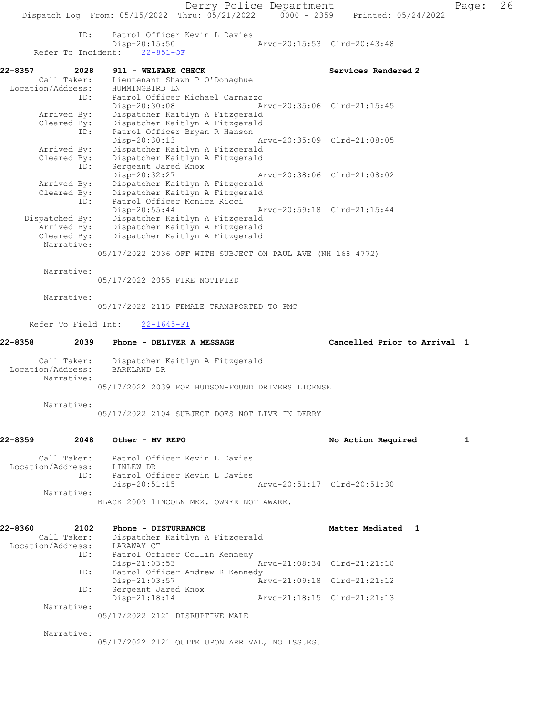Derry Police Department Page: 26 Dispatch Log From: 05/15/2022 Thru: 05/21/2022 0000 - 2359 Printed: 05/24/2022 ID: Patrol Officer Kevin L Davies<br>Disp-20:15:50 0-20:15:50 Arvd-20:15:53 Clrd-20:43:48<br>22-851-OF Refer To Incident: 22-8357 2028 911 - WELFARE CHECK Services Rendered 2 Call Taker: Lieutenant Shawn P O'Donaghue Location/Address: HUMMINGBIRD LN ID: Patrol Officer Michael Carnazzo Disp-20:30:08 Arvd-20:35:06 Clrd-21:15:45 Arrived By: Dispatcher Kaitlyn A Fitzgerald Cleared By: Dispatcher Kaitlyn A Fitzgerald ID: Patrol Officer Bryan R Hanson Disp-20:30:13 Arvd-20:35:09 Clrd-21:08:05 Arrived By: Dispatcher Kaitlyn A Fitzgerald Cleared By: Dispatcher Kaitlyn A Fitzgerald ID: Sergeant Jared Knox<br>Disp-20:32:27 Disp-20:32:27 Arvd-20:38:06 Clrd-21:08:02 Arrived By: Dispatcher Kaitlyn A Fitzgerald Cleared By: Dispatcher Kaitlyn A Fitzgerald ID: Patrol Officer Monica Ricci Disp-20:55:44 Arvd-20:59:18 Clrd-21:15:44 Dispatched By: Dispatcher Kaitlyn A Fitzgerald Arrived By: Dispatcher Kaitlyn A Fitzgerald Cleared By: Dispatcher Kaitlyn A Fitzgerald Narrative: 05/17/2022 2036 OFF WITH SUBJECT ON PAUL AVE (NH 168 4772) Narrative: 05/17/2022 2055 FIRE NOTIFIED Narrative: 05/17/2022 2115 FEMALE TRANSPORTED TO PMC Refer To Field Int: 22-1645-FI 22-8358 2039 Phone - DELIVER A MESSAGE Cancelled Prior to Arrival 1 Call Taker: Dispatcher Kaitlyn A Fitzgerald Location/Address: BARKLAND DR Narrative: 05/17/2022 2039 FOR HUDSON-FOUND DRIVERS LICENSE Narrative: 05/17/2022 2104 SUBJECT DOES NOT LIVE IN DERRY 22-8359 2048 Other - MV REPO 2001 2010 No Action Required 1 Call Taker: Patrol Officer Kevin L Davies Location/Address: LINLEW DR ID: Patrol Officer Kevin L Davies Disp-20:51:15 Arvd-20:51:17 Clrd-20:51:30 Narrative: BLACK 2009 lINCOLN MKZ. OWNER NOT AWARE. 22-8360 2102 Phone - DISTURBANCE New Matter Mediated 1 Call Taker: Dispatcher Kaitlyn A Fitzgerald Location/Address: LARAWAY CT ID: Patrol Officer Collin Kennedy<br>Disp-21:03:53 Disp-21:03:53 Arvd-21:08:34 Clrd-21:21:10<br>ID: Patrol Officer Andrew R Kennedy Patrol Officer Andrew R Kennedy<br>Disp-21:03:57 An Disp-21:03:57 Arvd-21:09:18 Clrd-21:21:12 ID: Sergeant Jared Knox<br>Disp-21:18:14 Arvd-21:18:15 Clrd-21:21:13 Narrative: 05/17/2022 2121 DISRUPTIVE MALE

Narrative:

05/17/2022 2121 QUITE UPON ARRIVAL, NO ISSUES.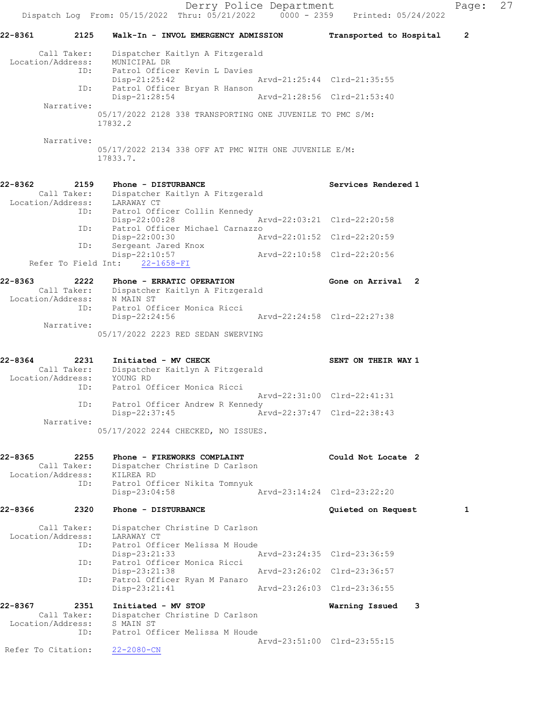Derry Police Department Page: 27 Dispatch Log From: 05/15/2022 Thru: 05/21/2022 0000 - 2359 Printed: 05/24/2022 22-8361 2125 Walk-In - INVOL EMERGENCY ADMISSION Transported to Hospital 2 Call Taker: Dispatcher Kaitlyn A Fitzgerald Location/Address: MUNICIPAL DR ID: Patrol Officer Kevin L Davies Disp-21:25:42 Arvd-21:25:44 Clrd-21:35:55 ID: Patrol Officer Bryan R Hanson Disp-21:28:54 Arvd-21:28:56 Clrd-21:53:40 Narrative: 05/17/2022 2128 338 TRANSPORTING ONE JUVENILE TO PMC S/M: 17832.2 Narrative: 05/17/2022 2134 338 OFF AT PMC WITH ONE JUVENILE E/M: 17833.7. 22-8362 2159 Phone - DISTURBANCE Services Rendered 1 Call Taker: Dispatcher Kaitlyn A Fitzgerald Location/Address: LARAWAY CT ID: Patrol Officer Collin Kennedy Disp-22:00:28 Arvd-22:03:21 Clrd-22:20:58 ID: Patrol Officer Michael Carnazzo<br>Disp-22:00:30 Ar Disp-22:00:30 Arvd-22:01:52 Clrd-22:20:59 ID: Sergeant Jared Knox Disp-22:10:57 Arvd-22:10:58 Clrd-22:20:56 Refer To Field Int: 22-1658-FI 22-8363 2222 Phone - ERRATIC OPERATION Gone on Arrival 2<br>Call Taker: Dispatcher Kaitlyn A Fitzgerald Call Taker: Dispatcher Kaitlyn A Fitzgerald Location/Address: N MAIN ST ID: Patrol Officer Monica Ricci Disp-22:24:56 Arvd-22:24:58 Clrd-22:27:38 Narrative: 05/17/2022 2223 RED SEDAN SWERVING 22-8364 2231 Initiated - MV CHECK SENT ON THEIR WAY 1 Call Taker: Dispatcher Kaitlyn A Fitzgerald Location/Address: YOUNG RD ID: Patrol Officer Monica Ricci Arvd-22:31:00 Clrd-22:41:31 ID: Patrol Officer Andrew R Kennedy<br>Disp-22:37:45 Ar Disp-22:37:45 Arvd-22:37:47 Clrd-22:38:43 Narrative: 05/17/2022 2244 CHECKED, NO ISSUES. 22-8365 2255 Phone - FIREWORKS COMPLAINT Could Not Locate 2 Call Taker: Dispatcher Christine D Carlson Location/Address: KILREA RD ID: Patrol Officer Nikita Tomnyuk Disp-23:04:58 Arvd-23:14:24 Clrd-23:22:20 22-8366 2320 Phone - DISTURBANCE Quieted on Request 1 Call Taker: Dispatcher Christine D Carlson Location/Address: LARAWAY CT ID: Patrol Officer Melissa M Houde<br>Disp-23:21:33 7 Disp-23:21:33 Arvd-23:24:35 Clrd-23:36:59<br>ID: Patrol Officer Monica Ricci Patrol Officer Monica Ricci Disp-23:21:38 Arvd-23:26:02 Clrd-23:36:57 ID: Patrol Officer Ryan M Panaro Arvd-23:26:03 Clrd-23:36:55 22-8367 2351 Initiated - MV STOP Warning Issued 3 Call Taker: Dispatcher Christine D Carlson Location/Address: S MAIN ST ID: Patrol Officer Melissa M Houde Arvd-23:51:00 Clrd-23:55:15 Refer To Citation: 22-2080-CN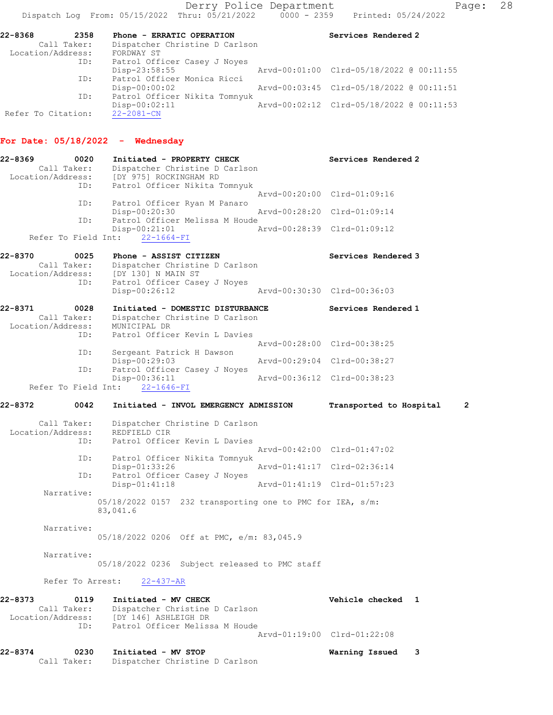| 22-8368<br>2358    | Phone - ERRATIC OPERATION      | Services Rendered 2                      |
|--------------------|--------------------------------|------------------------------------------|
| Call Taker:        | Dispatcher Christine D Carlson |                                          |
| Location/Address:  | FORDWAY ST                     |                                          |
| ID:                | Patrol Officer Casey J Noyes   |                                          |
|                    | Disp-23:58:55                  | Arvd-00:01:00 Clrd-05/18/2022 @ 00:11:55 |
| ID:                | Patrol Officer Monica Ricci    |                                          |
|                    | $Disp-00:00:02$                | Arvd-00:03:45 Clrd-05/18/2022 @ 00:11:51 |
| ID:                | Patrol Officer Nikita Tomnyuk  |                                          |
|                    | $Disp-00:02:11$                | Arvd-00:02:12 Clrd-05/18/2022 @ 00:11:53 |
| Refer To Citation: | $22 - 2081 - CN$               |                                          |

### For Date: 05/18/2022 - Wednesday

| 22-8369<br>0020<br>Call Taker:<br>Location/Address: | Initiated - PROPERTY CHECK<br>Dispatcher Christine D Carlson<br>[DY 975] ROCKINGHAM RD |                             | Services Rendered 2         |
|-----------------------------------------------------|----------------------------------------------------------------------------------------|-----------------------------|-----------------------------|
| ID:                                                 | Patrol Officer Nikita Tomnyuk                                                          |                             |                             |
|                                                     |                                                                                        |                             | Arvd-00:20:00 Clrd-01:09:16 |
| ID:                                                 | Patrol Officer Ryan M Panaro                                                           |                             |                             |
|                                                     | Disp-00:20:30                                                                          | Arvd-00:28:20 Clrd-01:09:14 |                             |
| ID:                                                 | Patrol Officer Melissa M Houde                                                         |                             |                             |
|                                                     | Disp-00:21:01                                                                          |                             | Arvd-00:28:39 Clrd-01:09:12 |
|                                                     | Refer To Field Int: 22-1664-FI                                                         |                             |                             |

| 22-8370           | 0025        | Phone - ASSIST CITIZEN         | Services Rendered 3         |
|-------------------|-------------|--------------------------------|-----------------------------|
|                   | Call Taker: | Dispatcher Christine D Carlson |                             |
| Location/Address: |             | IDY 1301 N MAIN ST             |                             |
|                   | ID:         | Patrol Officer Casey J Noyes   |                             |
|                   |             | Disp-00:26:12                  | Arvd-00:30:30 Clrd-00:36:03 |
|                   |             |                                |                             |

| 22-8371<br>Call Taker:<br>Location/Address: | 0028 | MUNICIPAL DR  | Initiated - DOMESTIC DISTURBANCE<br>Dispatcher Christine D Carlson |                             | Services Rendered 1 |
|---------------------------------------------|------|---------------|--------------------------------------------------------------------|-----------------------------|---------------------|
|                                             | ID:  |               | Patrol Officer Kevin L Davies                                      |                             |                     |
|                                             |      |               |                                                                    | Aryd-00:28:00 Clrd-00:38:25 |                     |
|                                             | ID:  |               | Sergeant Patrick H Dawson                                          |                             |                     |
|                                             |      | Disp-00:29:03 |                                                                    | Arvd-00:29:04 Clrd-00:38:27 |                     |
|                                             | ID:  |               | Patrol Officer Casey J Noyes                                       |                             |                     |
|                                             |      | Disp-00:36:11 |                                                                    | Arvd-00:36:12 Clrd-00:38:23 |                     |
| Refer To Field Int: 22-1646-FI              |      |               |                                                                    |                             |                     |

## 22-8372 0042 Initiated - INVOL EMERGENCY ADMISSION Transported to Hospital 2

| Call Taker:<br>Location/Address:<br>ID: | Dispatcher Christine D Carlson<br>REDFIELD CIR<br>Patrol Officer Kevin L Davies |
|-----------------------------------------|---------------------------------------------------------------------------------|
|                                         | Arvd-00:42:00 Clrd-01:47:02                                                     |
| ID:                                     | Patrol Officer Nikita Tomnyuk                                                   |
|                                         | Arvd-01:41:17 Clrd-02:36:14<br>Disp-01:33:26                                    |
| ID:                                     | Patrol Officer Casey J Noyes                                                    |
|                                         | $Disp-01:41:18$<br>Arvd-01:41:19 Clrd-01:57:23                                  |
| Narrative:                              |                                                                                 |
|                                         | $05/18/2022$ 0157 232 transporting one to PMC for IEA, $s/m$ :<br>83,041.6      |

 Narrative: 05/18/2022 0206 Off at PMC, e/m: 83,045.9

Narrative:

05/18/2022 0236 Subject released to PMC staff

Refer To Arrest: 22-437-AR

| 22-8373           | 0119 | Initiated - MV CHECK           | Vehicle checked 1           |  |
|-------------------|------|--------------------------------|-----------------------------|--|
| Call Taker:       |      | Dispatcher Christine D Carlson |                             |  |
| Location/Address: |      | [DY 146] ASHLEIGH DR           |                             |  |
|                   | TD:  | Patrol Officer Melissa M Houde |                             |  |
|                   |      |                                | Aryd-01:19:00 Clrd-01:22:08 |  |

### 22-8374 0230 Initiated - MV STOP Warning Issued 3

| Call Taker: | Dispatcher Christine D Carlson |  |  |  |
|-------------|--------------------------------|--|--|--|
|-------------|--------------------------------|--|--|--|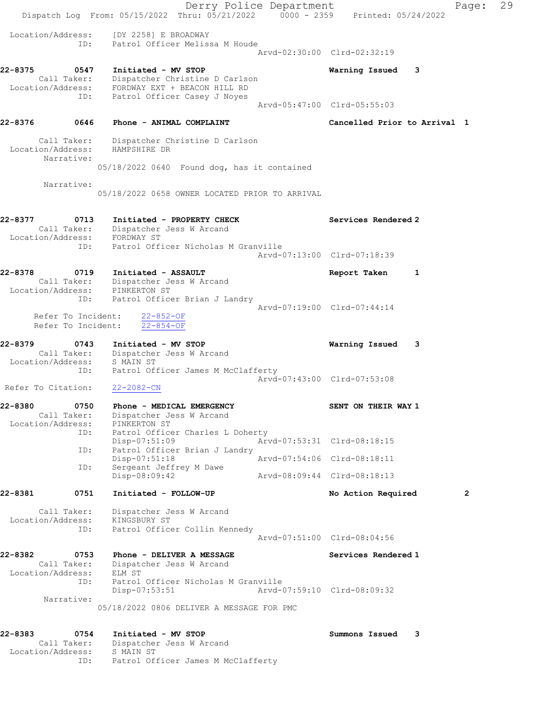|                                                            | Dispatch Log From: 05/15/2022 Thru: 05/21/2022 0000 - 2359 Printed: 05/24/2022                                                    | Derry Police Department     |                              |   | Page:          | 29 |
|------------------------------------------------------------|-----------------------------------------------------------------------------------------------------------------------------------|-----------------------------|------------------------------|---|----------------|----|
| Location/Address:<br>ID:                                   | [DY 2258] E BROADWAY<br>Patrol Officer Melissa M Houde                                                                            |                             |                              |   |                |    |
|                                                            |                                                                                                                                   |                             | Arvd-02:30:00 Clrd-02:32:19  |   |                |    |
| 22-8375<br>0547<br>Location/Address:<br>ID:                | Initiated - MV STOP<br>Call Taker: Dispatcher Christine D Carlson<br>FORDWAY EXT + BEACON HILL RD<br>Patrol Officer Casey J Noyes |                             | Warning Issued               | 3 |                |    |
|                                                            |                                                                                                                                   | Arvd-05:47:00 Clrd-05:55:03 |                              |   |                |    |
| 22-8376<br>0646                                            | Phone - ANIMAL COMPLAINT                                                                                                          |                             | Cancelled Prior to Arrival 1 |   |                |    |
| Call Taker:<br>Location/Address:<br>Narrative:             | Dispatcher Christine D Carlson<br>HAMPSHIRE DR                                                                                    |                             |                              |   |                |    |
|                                                            | 05/18/2022 0640 Found dog, has it contained                                                                                       |                             |                              |   |                |    |
| Narrative:                                                 | 05/18/2022 0658 OWNER LOCATED PRIOR TO ARRIVAL                                                                                    |                             |                              |   |                |    |
| 22-8377<br>0713                                            | Initiated - PROPERTY CHECK<br>Call Taker: Dispatcher Jess W Arcand<br>Location/Address: FORDWAY ST                                |                             | Services Rendered 2          |   |                |    |
| ID:                                                        | Patrol Officer Nicholas M Granville                                                                                               | Arvd-07:13:00 Clrd-07:18:39 |                              |   |                |    |
| 22-8378<br>0719                                            | Initiated - ASSAULT<br>Call Taker: Dispatcher Jess W Arcand                                                                       |                             | Report Taken                 | 1 |                |    |
| Location/Address: PINKERTON ST<br>ID:                      | Patrol Officer Brian J Landry                                                                                                     | Arvd-07:19:00 Clrd-07:44:14 |                              |   |                |    |
| Refer To Incident:<br>Refer To Incident:                   | $22 - 852 - OF$<br>$22 - 854 - OF$                                                                                                |                             |                              |   |                |    |
| 22-8379<br>0743                                            | Initiated - MV STOP<br>Call Taker: Dispatcher Jess W Arcand<br>Location/Address: S MAIN ST                                        |                             | Warning Issued               | 3 |                |    |
| ID:                                                        | Patrol Officer James M McClafferty                                                                                                | Arvd-07:43:00 Clrd-07:53:08 |                              |   |                |    |
| Refer To Citation:                                         | 22-2082-CN                                                                                                                        |                             |                              |   |                |    |
| 22-8380                                                    | 0750 Phone - MEDICAL EMERGENCY                                                                                                    |                             | SENT ON THEIR WAY 1          |   |                |    |
| Call Taker:<br>Location/Address:                           | Dispatcher Jess W Arcand<br>PINKERTON ST                                                                                          |                             |                              |   |                |    |
| ID:<br>ID:                                                 | Patrol Officer Charles L Doherty<br>$Disp-07:51:09$<br>Patrol Officer Brian J Landry                                              |                             | Arvd-07:53:31 Clrd-08:18:15  |   |                |    |
| ID:                                                        | Disp-07:51:18<br>Sergeant Jeffrey M Dawe                                                                                          |                             | Arvd-07:54:06 Clrd-08:18:11  |   |                |    |
|                                                            | Disp-08:09:42                                                                                                                     |                             | Arvd-08:09:44 Clrd-08:18:13  |   |                |    |
| 22-8381<br>0751                                            | Initiated - FOLLOW-UP                                                                                                             |                             | No Action Required           |   | $\overline{2}$ |    |
| Call Taker:<br>Location/Address:                           | Dispatcher Jess W Arcand<br>KINGSBURY ST                                                                                          |                             |                              |   |                |    |
| ID:                                                        | Patrol Officer Collin Kennedy                                                                                                     | Arvd-07:51:00 Clrd-08:04:56 |                              |   |                |    |
| 22-8382<br>0753<br>Call Taker:                             | Phone - DELIVER A MESSAGE<br>Dispatcher Jess W Arcand                                                                             |                             | Services Rendered 1          |   |                |    |
| Location/Address:<br>ID:                                   | ELM ST<br>Patrol Officer Nicholas M Granville<br>$Disp-07:53:51$                                                                  | Arvd-07:59:10 Clrd-08:09:32 |                              |   |                |    |
| Narrative:                                                 | 05/18/2022 0806 DELIVER A MESSAGE FOR PMC                                                                                         |                             |                              |   |                |    |
| 22-8383<br>0754<br>Call Taker:<br>Location/Address:<br>ID: | Initiated - MV STOP<br>Dispatcher Jess W Arcand<br>S MAIN ST<br>Patrol Officer James M McClafferty                                |                             | Summons Issued               | 3 |                |    |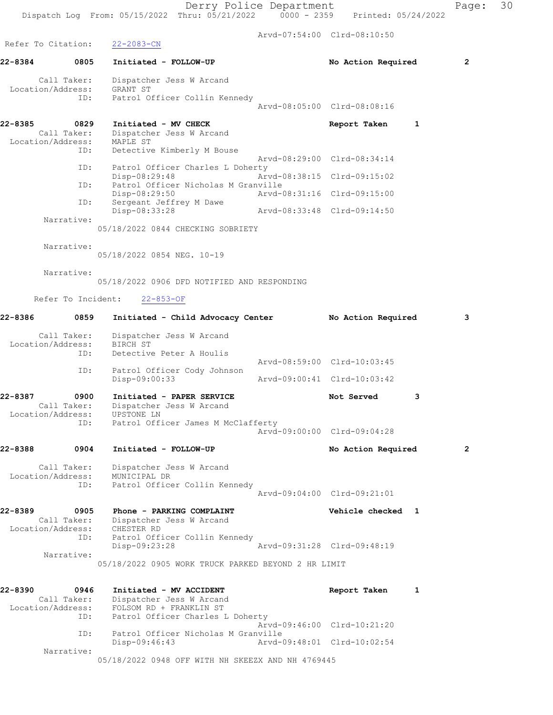Derry Police Department Fage: 30 Dispatch Log From: 05/15/2022 Thru: 05/21/2022 0000 - 2359 Printed: 05/24/2022 Arvd-07:54:00 Clrd-08:10:50 Refer To Citation: 22-2083-CN 22-8384 0805 Initiated - FOLLOW-UP No Action Required 2 Call Taker: Dispatcher Jess W Arcand Location/Address: GRANT ST ID: Patrol Officer Collin Kennedy Arvd-08:05:00 Clrd-08:08:16 22-8385 0829 Initiated - MV CHECK Report Taken 1 Call Taker: Dispatcher Jess W Arcand Location/Address: MAPLE ST ID: Detective Kimberly M Bouse Arvd-08:29:00 Clrd-08:34:14 ID: Patrol Officer Charles L Doherty<br>Disp-08:29:48 Arv Disp-08:29:48 Arvd-08:38:15 Clrd-09:15:02 ID: Patrol Officer Nicholas M Granville Disp-08:29:50 Arvd-08:31:16 Clrd-09:15:00 ID: Sergeant Jeffrey M Dawe Disp-08:33:28 Arvd-08:33:48 Clrd-09:14:50 Narrative: 05/18/2022 0844 CHECKING SOBRIETY Narrative: 05/18/2022 0854 NEG. 10-19 Narrative: 05/18/2022 0906 DFD NOTIFIED AND RESPONDING Refer To Incident: 22-853-OF 22-8386 0859 Initiated - Child Advocacy Center No Action Required 3 Call Taker: Dispatcher Jess W Arcand Location/Address: BIRCH ST ID: Detective Peter A Houlis Arvd-08:59:00 Clrd-10:03:45 ID: Patrol Officer Cody Johnson Disp-09:00:33 Arvd-09:00:41 Clrd-10:03:42 22-8387 0900 Initiated - PAPER SERVICE Not Served 3 Call Taker: Dispatcher Jess W Arcand Location/Address: UPSTONE LN ID: Patrol Officer James M McClafferty Arvd-09:00:00 Clrd-09:04:28 22-8388 0904 Initiated - FOLLOW-UP No Action Required 2 Call Taker: Dispatcher Jess W Arcand Location/Address: MUNICIPAL DR ID: Patrol Officer Collin Kennedy Arvd-09:04:00 Clrd-09:21:01 22-8389 0905 Phone - PARKING COMPLAINT Vehicle checked 1 Call Taker: Dispatcher Jess W Arcand Location/Address: CHESTER RD ID: Patrol Officer Collin Kennedy Disp-09:23:28 Arvd-09:31:28 Clrd-09:48:19 Narrative: 05/18/2022 0905 WORK TRUCK PARKED BEYOND 2 HR LIMIT 22-8390 0946 Initiated - MV ACCIDENT Report Taken 1 Call Taker: Dispatcher Jess W Arcand Location/Address: FOLSOM RD + FRANKLIN ST ID: Patrol Officer Charles L Doherty Arvd-09:46:00 Clrd-10:21:20 ID: Patrol Officer Nicholas M Granville

05/18/2022 0948 OFF WITH NH SKEEZX AND NH 4769445

Disp-09:46:43 Arvd-09:48:01 Clrd-10:02:54

Narrative: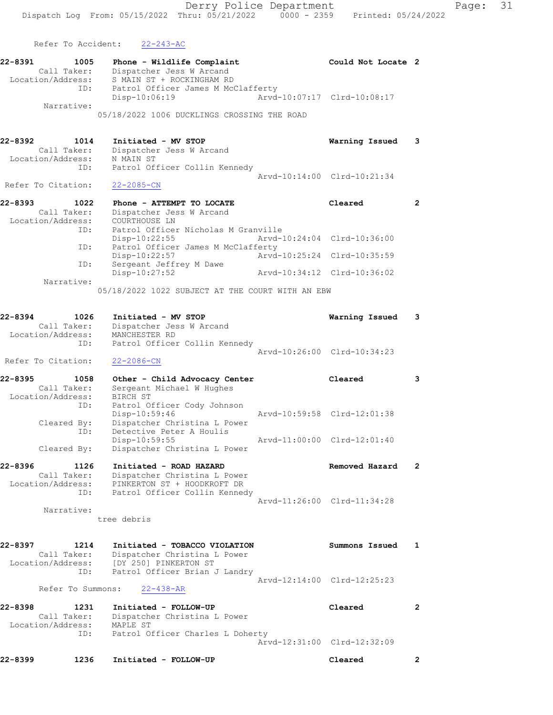Refer To Accident: 22-243-AC

| 22-8391           | 1005 | Phone - Wildlife Complaint                  |                             | Could Not Locate 2 |  |
|-------------------|------|---------------------------------------------|-----------------------------|--------------------|--|
| Call Taker:       |      | Dispatcher Jess W Arcand                    |                             |                    |  |
| Location/Address: |      | S MAIN ST + ROCKINGHAM RD                   |                             |                    |  |
|                   | ID:  | Patrol Officer James M McClafferty          |                             |                    |  |
|                   |      | $Disp-10:06:19$                             | Arvd-10:07:17 Clrd-10:08:17 |                    |  |
| Narrative:        |      |                                             |                             |                    |  |
|                   |      | 05/18/2022 1006 DUCKLINGS CROSSING THE ROAD |                             |                    |  |
|                   |      |                                             |                             |                    |  |
|                   |      |                                             |                             |                    |  |

| 22-8392 | 1014               | Initiated - MV STOP           | Warning Issued              | $\overline{\mathbf{3}}$ |
|---------|--------------------|-------------------------------|-----------------------------|-------------------------|
|         | Call Taker:        | Dispatcher Jess W Arcand      |                             |                         |
|         | Location/Address:  | N MAIN ST                     |                             |                         |
|         | ID:                | Patrol Officer Collin Kennedy |                             |                         |
|         |                    |                               | Aryd-10:14:00 Clrd-10:21:34 |                         |
|         | Refer To Citation: | 22-2085-CN                    |                             |                         |

| 22-8393<br>1022   | Phone - ATTEMPT TO LOCATE           | Cleared                     |  |
|-------------------|-------------------------------------|-----------------------------|--|
| Call Taker:       | Dispatcher Jess W Arcand            |                             |  |
| Location/Address: | COURTHOUSE LN                       |                             |  |
| ID:               | Patrol Officer Nicholas M Granville |                             |  |
|                   | $Disp-10:22:55$                     | Arvd-10:24:04 Clrd-10:36:00 |  |
| ID:               | Patrol Officer James M McClafferty  |                             |  |
|                   | Disp-10:22:57                       | Arvd-10:25:24 Clrd-10:35:59 |  |
| ID:               | Sergeant Jeffrey M Dawe             |                             |  |
|                   | $Disp-10:27:52$                     | Arvd-10:34:12 Clrd-10:36:02 |  |
| Narrative:        |                                     |                             |  |

05/18/2022 1022 SUBJECT AT THE COURT WITH AN EBW

| 22-8394            | 1026        | Initiated - MV STOP           | Warning Issued              | 3 |
|--------------------|-------------|-------------------------------|-----------------------------|---|
|                    | Call Taker: | Dispatcher Jess W Arcand      |                             |   |
| Location/Address:  |             | MANCHESTER RD                 |                             |   |
|                    | ID:         | Patrol Officer Collin Kennedy |                             |   |
|                    |             |                               | Arvd-10:26:00 Clrd-10:34:23 |   |
| Refer To Citation: |             | 22-2086-CN                    |                             |   |
| 22-8395            | 1058        | Other - Child Advocacy Center | Cleared                     |   |
|                    | Call Taker: | Sergeant Michael W Hughes     |                             |   |

| $C = 1$           | perdenie michiaer w hadnes   |                             |  |
|-------------------|------------------------------|-----------------------------|--|
| Location/Address: | BIRCH ST                     |                             |  |
| ID:               | Patrol Officer Cody Johnson  |                             |  |
|                   | Disp-10:59:46                | Arvd-10:59:58 Clrd-12:01:38 |  |
| Cleared By:       | Dispatcher Christina L Power |                             |  |
| ID:               | Detective Peter A Houlis     |                             |  |
|                   | $Disp-10:59:55$              | Arvd-11:00:00 Clrd-12:01:40 |  |
| Cleared By:       | Dispatcher Christina L Power |                             |  |
|                   |                              |                             |  |

| 22-8396           | 1126        | Initiated - ROAD HAZARD       | Removed Hazard              |  |
|-------------------|-------------|-------------------------------|-----------------------------|--|
|                   | Call Taker: | Dispatcher Christina L Power  |                             |  |
| Location/Address: |             | PINKERTON ST + HOODKROFT DR   |                             |  |
|                   | ID:         | Patrol Officer Collin Kennedy |                             |  |
|                   |             |                               | Arvd-11:26:00 Clrd-11:34:28 |  |

Narrative:

tree debris

| 22-8397           | 1214              | Initiated - TOBACCO VIOLATION |                             | Summons Issued |  |
|-------------------|-------------------|-------------------------------|-----------------------------|----------------|--|
|                   | Call Taker:       | Dispatcher Christina L Power  |                             |                |  |
| Location/Address: |                   | TDY 2501 PINKERTON ST         |                             |                |  |
|                   | ID:               | Patrol Officer Brian J Landry |                             |                |  |
|                   |                   |                               | Aryd-12:14:00 Clrd-12:25:23 |                |  |
|                   | Refer To Summons: | $22 - 438 - AR$               |                             |                |  |

```
22-8398 1231 Initiated - FOLLOW-UP Cleared 2 
 Call Taker: Dispatcher Christina L Power
 Location/Address: MAPLE ST
 ID: Patrol Officer Charles L Doherty
Arvd-12:31:00 Clrd-12:32:09
```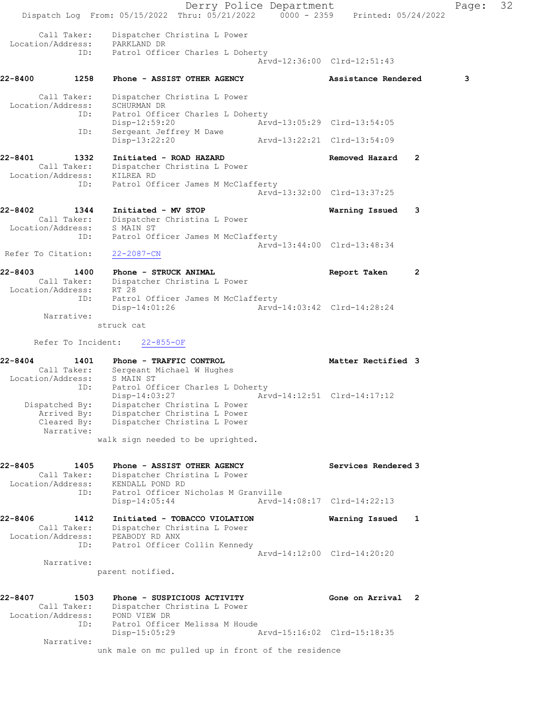Derry Police Department Fage: 32 Dispatch Log From: 05/15/2022 Thru: 05/21/2022 0000 - 2359 Printed: 05/24/2022 Call Taker: Dispatcher Christina L Power Location/Address: PARKLAND DR ID: Patrol Officer Charles L Doherty Arvd-12:36:00 Clrd-12:51:43 22-8400 1258 Phone - ASSIST OTHER AGENCY Assistance Rendered 3 Call Taker: Dispatcher Christina L Power Location/Address: SCHURMAN DR ID: Patrol Officer Charles L Doherty Disp-12:59:20 Arvd-13:05:29 Clrd-13:54:05 ID: Sergeant Jeffrey M Dawe Disp-13:22:20 Arvd-13:22:21 Clrd-13:54:09 22-8401 1332 Initiated - ROAD HAZARD Removed Hazard 2 Call Taker: Dispatcher Christina L Power Location/Address: KILREA RD ID: Patrol Officer James M McClafferty Arvd-13:32:00 Clrd-13:37:25 22-8402 1344 Initiated - MV STOP Warning Issued 3 Call Taker: Dispatcher Christina L Power Location/Address: S MAIN ST ID: Patrol Officer James M McClafferty Arvd-13:44:00 Clrd-13:48:34 Refer To Citation: 22-2087-CN 22-8403 1400 Phone - STRUCK ANIMAL Report Taken 2 Call Taker: Dispatcher Christina L Power Location/Address: RT 28 ID: Patrol Officer James M McClafferty Disp-14:01:26 Arvd-14:03:42 Clrd-14:28:24 Narrative: struck cat Refer To Incident: 22-855-OF 22-8404 1401 Phone - TRAFFIC CONTROL 120 Matter Rectified 3 Call Taker: Sergeant Michael W Hughes Location/Address: S MAIN ST ID: Patrol Officer Charles L Doherty<br>Disp-14:03:27 Arvd-14:12:51 Clrd-14:17:12 Disp-14:03:27 Arvd-14:12:51 Clrd-14:17:12 Dispatched By: Dispatcher Christina L Power Arrived By: Dispatcher Christina L Power Cleared By: Dispatcher Christina L Power Narrative: walk sign needed to be uprighted. 22-8405 1405 Phone - ASSIST OTHER AGENCY Services Rendered 3 Call Taker: Dispatcher Christina L Power Location/Address: KENDALL POND RD ID: Patrol Officer Nicholas M Granville Disp-14:05:44 Arvd-14:08:17 Clrd-14:22:13 22-8406 1412 Initiated - TOBACCO VIOLATION Warning Issued 1 Call Taker: Dispatcher Christina L Power Location/Address: PEABODY RD ANX ID: Patrol Officer Collin Kennedy Arvd-14:12:00 Clrd-14:20:20 Narrative: parent notified. 22-8407 1503 Phone - SUSPICIOUS ACTIVITY Gone on Arrival 2 Call Taker: Dispatcher Christina L Power Location/Address: POND VIEW DR ID: Patrol Officer Melissa M Houde Disp-15:05:29 Arvd-15:16:02 Clrd-15:18:35 Narrative: unk male on mc pulled up in front of the residence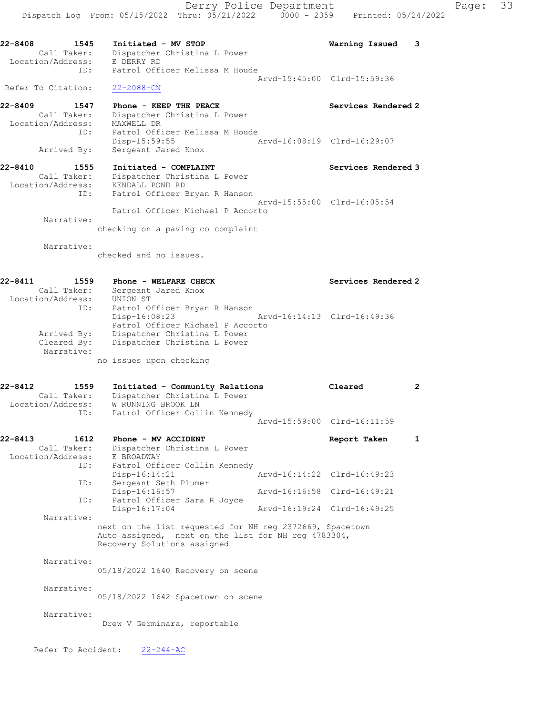22-8408 1545 Initiated - MV STOP Warning Issued 3 Call Taker: Dispatcher Christina L Power Location/Address: E DERRY RD ID: Patrol Officer Melissa M Houde Arvd-15:45:00 Clrd-15:59:36 Refer To Citation: 22-2088-CN

22-8409 1547 Phone - KEEP THE PEACE No. 22-8409 Services Rendered 2 Call Taker: Dispatcher Christina L Power Location/Address: MAXWELL DR ID: Patrol Officer Melissa M Houde Disp-15:59:55 Arvd-16:08:19 Clrd-16:29:07 Arrived By: Sergeant Jared Knox

22-8410 1555 Initiated - COMPLAINT Number of Services Rendered 3 Call Taker: Dispatcher Christina L Power Location/Address: KENDALL POND RD ID: Patrol Officer Bryan R Hanson Arvd-15:55:00 Clrd-16:05:54 Patrol Officer Michael P Accorto

Narrative:

checking on a paving co complaint

Narrative:

checked and no issues.

| 22-8411           | 1559        | Phone - WELFARE CHECK            |                             | Services Rendered 2 |
|-------------------|-------------|----------------------------------|-----------------------------|---------------------|
|                   | Call Taker: | Sergeant Jared Knox              |                             |                     |
| Location/Address: |             | UNION ST                         |                             |                     |
|                   | ID:         | Patrol Officer Bryan R Hanson    |                             |                     |
|                   |             | $Disp-16:08:23$                  | Arvd-16:14:13 Clrd-16:49:36 |                     |
|                   |             | Patrol Officer Michael P Accorto |                             |                     |
|                   | Arrived By: | Dispatcher Christina L Power     |                             |                     |
|                   | Cleared By: | Dispatcher Christina L Power     |                             |                     |
|                   | Narrative:  |                                  |                             |                     |
|                   |             | no issues upon checking          |                             |                     |

22-8412 1559 Initiated - Community Relations Cleared 2 Call Taker: Dispatcher Christina L Power Location/Address: W RUNNING BROOK LN ID: Patrol Officer Collin Kennedy Arvd-15:59:00 Clrd-16:11:59

### 22-8413 1612 Phone - MV ACCIDENT Report Taken 1 Call Taker: Dispatcher Christina L Power Location/Address: E BROADWAY ID: Patrol Officer Collin Kennedy Disp-16:14:21 Arvd-16:14:22 Clrd-16:49:23 ID: Sergeant Seth Plumer Disp-16:16:57 Arvd-16:16:58 Clrd-16:49:21 Disp-16:16:57<br>ID: Patrol Officer Sara R Joyce<br>Disp-16:17:04 Disp-16:17:04 Arvd-16:19:24 Clrd-16:49:25 Narrative: next on the list requested for NH reg 2372669, Spacetown Auto assigned, next on the list for NH reg 4783304, Recovery Solutions assigned Narrative: 05/18/2022 1640 Recovery on scene

05/18/2022 1642 Spacetown on scene

Narrative:

Narrative:

Drew V Germinara, reportable

Refer To Accident: 22-244-AC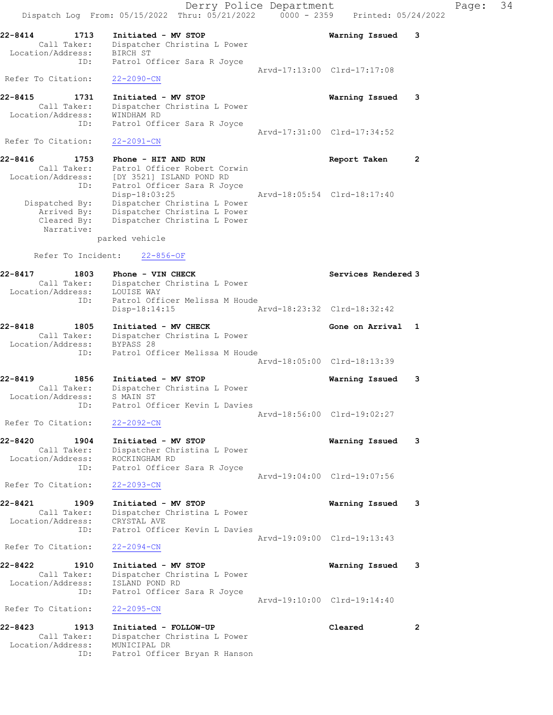Derry Police Department Fage: 34 Dispatch Log From: 05/15/2022 Thru: 05/21/2022 0000 - 2359 Printed: 05/24/2022 22-8414 1713 Initiated - MV STOP Warning Issued 3 Call Taker: Dispatcher Christina L Power Location/Address: BIRCH ST ID: Patrol Officer Sara R Joyce Arvd-17:13:00 Clrd-17:17:08 Refer To Citation: 22-2090-CN 22-8415 1731 Initiated - MV STOP Warning Issued 3 Call Taker: Dispatcher Christina L Power Location/Address: WINDHAM RD ID: Patrol Officer Sara R Joyce Arvd-17:31:00 Clrd-17:34:52<br>22-2091-CN Refer To Citation: 22-8416 1753 Phone - HIT AND RUN Report Taken 2 Call Taker: Patrol Officer Robert Corwin Location/Address: [DY 3521] ISLAND POND RD ID: Patrol Officer Sara R Joyce Disp-18:03:25 Arvd-18:05:54 Clrd-18:17:40 Dispatched By: Dispatcher Christina L Power Arrived By: Dispatcher Christina L Power Cleared By: Dispatcher Christina L Power Narrative: parked vehicle Refer To Incident: 22-856-OF 22-8417 1803 Phone - VIN CHECK Services Rendered 3<br>Call Taker: Dispatcher Christina L Power Call Taker: Dispatcher Christina L Power Location/Address: LOUISE WAY ID: Patrol Officer Melissa M Houde Disp-18:14:15 Arvd-18:23:32 Clrd-18:32:42 22-8418 1805 Initiated - MV CHECK 1988 1989 Gone on Arrival 1 Call Taker: Dispatcher Christina L Power Location/Address: BYPASS 28 ID: Patrol Officer Melissa M Houde Arvd-18:05:00 Clrd-18:13:39 22-8419 1856 Initiated - MV STOP Warning Issued 3 Call Taker: Dispatcher Christina L Power Location/Address: S MAIN ST ID: Patrol Officer Kevin L Davies Arvd-18:56:00 Clrd-19:02:27 Refer To Citation: 22-2092-CN 22-8420 1904 Initiated - MV STOP Warning Issued 3 Call Taker: Dispatcher Christina L Power Location/Address: ROCKINGHAM RD ID: Patrol Officer Sara R Joyce Arvd-19:04:00 Clrd-19:07:56 Refer To Citation: 22-2093-CN 22-8421 1909 Initiated - MV STOP Warning Issued 3 Call Taker: Dispatcher Christina L Power Location/Address: CRYSTAL AVE ID: Patrol Officer Kevin L Davies Arvd-19:09:00 Clrd-19:13:43 Refer To Citation: 22-2094-CN 22-8422 1910 Initiated - MV STOP Warning Issued 3 Call Taker: Dispatcher Christina L Power Location/Address: ISLAND POND RD ID: Patrol Officer Sara R Joyce Arvd-19:10:00 Clrd-19:14:40 Refer To Citation: 22-2095-CN 22-8423 1913 Initiated - FOLLOW-UP Cleared 2 Call Taker: Dispatcher Christina L Power Location/Address: MUNICIPAL DR ID: Patrol Officer Bryan R Hanson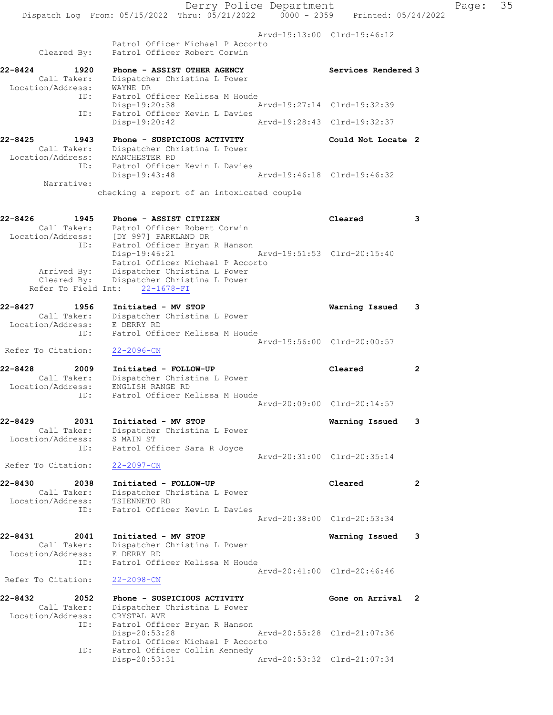Derry Police Department Fage: 35 Dispatch Log From: 05/15/2022 Thru: 05/21/2022 0000 - 2359 Printed: 05/24/2022 Arvd-19:13:00 Clrd-19:46:12 Patrol Officer Michael P Accorto Cleared By: Patrol Officer Robert Corwin 22-8424 1920 Phone - ASSIST OTHER AGENCY Services Rendered 3 Call Taker: Dispatcher Christina L Power Location/Address: WAYNE DR ID: Patrol Officer Melissa M Houde<br>Disp-19:20:38 Disp-19:20:38 Arvd-19:27:14 Clrd-19:32:39 ID: Patrol Officer Kevin L Davies Disp-19:20:42 Arvd-19:28:43 Clrd-19:32:37 22-8425 1943 Phone - SUSPICIOUS ACTIVITY Could Not Locate 2 Call Taker: Dispatcher Christina L Power Location/Address: MANCHESTER RD ID: Patrol Officer Kevin L Davies Disp-19:43:48 Arvd-19:46:18 Clrd-19:46:32 Narrative: checking a report of an intoxicated couple 22-8426 1945 Phone - ASSIST CITIZEN Cleared 3 Call Taker: Patrol Officer Robert Corwin Location/Address: [DY 997] PARKLAND DR ID: Patrol Officer Bryan R Hanson Disp-19:46:21 Arvd-19:51:53 Clrd-20:15:40 Patrol Officer Michael P Accorto Arrived By: Dispatcher Christina L Power Cleared By: Dispatcher Christina L Power Refer To Field Int: 22-1678-FI 22-8427 1956 Initiated - MV STOP Warning Issued 3 Call Taker: Dispatcher Christina L Power Location/Address: E DERRY RD ID: Patrol Officer Melissa M Houde Arvd-19:56:00 Clrd-20:00:57 Refer To Citation: 22-2096-CN 22-8428 2009 Initiated - FOLLOW-UP Cleared 2 Call Taker: Dispatcher Christina L Power Location/Address: ENGLISH RANGE RD ID: Patrol Officer Melissa M Houde Arvd-20:09:00 Clrd-20:14:57 22-8429 2031 Initiated - MV STOP Warning Issued 3 Call Taker: Dispatcher Christina L Power Location/Address: S MAIN ST ID: Patrol Officer Sara R Joyce Arvd-20:31:00 Clrd-20:35:14 Refer To Citation: 22-2097-CN 22-8430 2038 Initiated - FOLLOW-UP Cleared 2 Call Taker: Dispatcher Christina L Power Location/Address: TSIENNETO RD ID: Patrol Officer Kevin L Davies Arvd-20:38:00 Clrd-20:53:34 22-8431 2041 Initiated - MV STOP Warning Issued 3 Call Taker: Dispatcher Christina L Power Location/Address: E DERRY RD ID: Patrol Officer Melissa M Houde Arvd-20:41:00 Clrd-20:46:46<br>22-2098-CN Refer To Citation: 22-8432 2052 Phone - SUSPICIOUS ACTIVITY Cone on Arrival 2 Call Taker: Dispatcher Christina L Power Location/Address: CRYSTAL AVE<br>ID: Patrol Offic Patrol Officer Bryan R Hanson Disp-20:53:28 Arvd-20:55:28 Clrd-21:07:36 Patrol Officer Michael P Accorto ID: Patrol Officer Collin Kennedy<br>Disp-20:53:31 Disp-20:53:31 Arvd-20:53:32 Clrd-21:07:34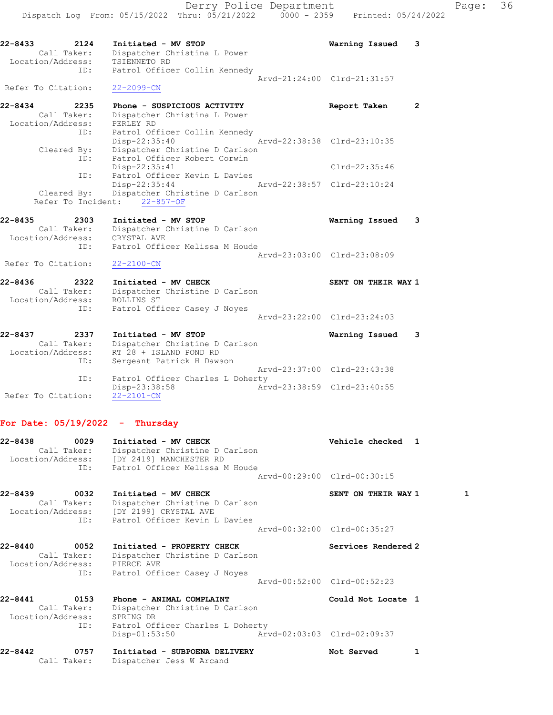22-8433 2124 Initiated - MV STOP Warning Issued 3 Call Taker: Dispatcher Christina L Power Location/Address: TSIENNETO RD ID: Patrol Officer Collin Kennedy Arvd-21:24:00 Clrd-21:31:57 Refer To Citation: 22-2099-CN 22-8434 2235 Phone - SUSPICIOUS ACTIVITY CHARE Report Taken 2 Call Taker: Dispatcher Christina L Power Location/Address: PERLEY RD ID: Patrol Officer Collin Kennedy Disp-22:35:40 Arvd-22:38:38 Clrd-23:10:35 Cleared By: Dispatcher Christine D Carlson ID: Patrol Officer Robert Corwin Disp-22:35:41 Clrd-22:35:46 ID: Patrol Officer Kevin L Davies Disp-22:35:44 Arvd-22:38:57 Clrd-23:10:24 Cleared By: Dispatcher Christine D Carlson Refer To Incident: 22-857-OF 22-8435 2303 Initiated - MV STOP Warning Issued 3 Call Taker: Dispatcher Christine D Carlson Location/Address: CRYSTAL AVE ID: Patrol Officer Melissa M Houde Arvd-23:03:00 Clrd-23:08:09 Refer To Citation: 22-2100-CN 22-8436 2322 Initiated - MV CHECK SENT ON THEIR WAY 1 Call Taker: Dispatcher Christine D Carlson Location/Address: ROLLINS ST ID: Patrol Officer Casey J Noyes Arvd-23:22:00 Clrd-23:24:03 22-8437 2337 Initiated - MV STOP Warning Issued 3 Call Taker: Dispatcher Christine D Carlson Location/Address: RT 28 + ISLAND POND RD ID: Sergeant Patrick H Dawson Arvd-23:37:00 Clrd-23:43:38

ID: Patrol Officer Charles L Doherty<br>Disp-23:38:58 Arv Disp-23:38:58 Arvd-23:38:59 Clrd-23:40:55 Refer To Citation: 22-2101-CN

#### For Date:  $05/19/2022 -$  Thursday

| 22-8438<br>0029<br>Call Taker:                                 | Initiated - MV CHECK<br>Dispatcher Christine D Carlson<br>Location/Address: [DY 2419] MANCHESTER RD<br>ID: Patrol Officer Melissa M Houde                         | Vehicle checked 1<br>Arvd-00:29:00 Clrd-00:30:15   |              |
|----------------------------------------------------------------|-------------------------------------------------------------------------------------------------------------------------------------------------------------------|----------------------------------------------------|--------------|
| 22-8439<br>0032<br>Call Taker:                                 | Initiated - MV CHECK<br>Dispatcher Christine D Carlson<br>Location/Address: [DY 2199] CRYSTAL AVE<br>ID: Patrol Officer Kevin L Davies                            | SENT ON THEIR WAY 1<br>Arvd-00:32:00 Clrd-00:35:27 | $\mathbf{1}$ |
| 22-8440<br>0052<br>Call Taker:<br>Location/Address: PIERCE AVE | Initiated - PROPERTY CHECK<br>Dispatcher Christine D Carlson<br>ID: Patrol Officer Casey J Noyes                                                                  | Services Rendered 2<br>Arvd-00:52:00 Clrd-00:52:23 |              |
| 22-8441<br>0153<br>Call Taker:<br>Location/Address:            | Phone - ANIMAL COMPLAINT<br>Dispatcher Christine D Carlson<br>SPRING DR<br>ID: Patrol Officer Charles L Doherty<br>Arvd-02:03:03 Clrd-02:09:37<br>$Disp-01:53:50$ | Could Not Locate 1                                 |              |
| $22 - 8442$<br>0757<br>Call Taker:                             | Initiated - SUBPOENA DELIVERY<br>Dispatcher Jess W Arcand                                                                                                         | 1<br>Not Served                                    |              |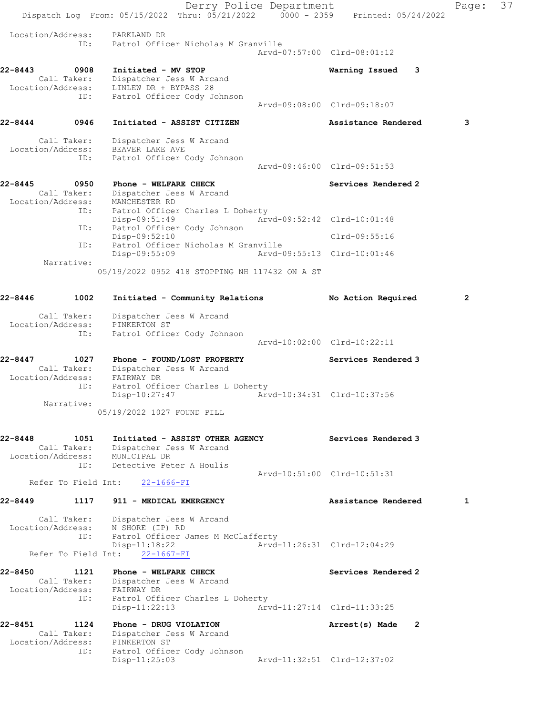Derry Police Department Fage: 37 Dispatch Log From: 05/15/2022 Thru: 05/21/2022 0000 - 2359 Printed: 05/24/2022 Location/Address: PARKLAND DR ID: Patrol Officer Nicholas M Granville Arvd-07:57:00 Clrd-08:01:12 22-8443 0908 Initiated - MV STOP Warning Issued 3 Call Taker: Dispatcher Jess W Arcand Location/Address: LINLEW DR + BYPASS 28 ID: Patrol Officer Cody Johnson Arvd-09:08:00 Clrd-09:18:07 22-8444 0946 Initiated - ASSIST CITIZEN Assistance Rendered 3 Call Taker: Dispatcher Jess W Arcand Location/Address: BEAVER LAKE AVE ID: Patrol Officer Cody Johnson Arvd-09:46:00 Clrd-09:51:53 22-8445 0950 Phone - WELFARE CHECK Services Rendered 2 Call Taker: Dispatcher Jess W Arcand Location/Address: MANCHESTER RD ID: Patrol Officer Charles L Doherty Disp-09:51:49 Arvd-09:52:42 Clrd-10:01:48 ID: Patrol Officer Cody Johnson Disp-09:52:10 Clrd-09:55:16 ID: Patrol Officer Nicholas M Granville Disp-09:55:09 Arvd-09:55:13 Clrd-10:01:46 Narrative: 05/19/2022 0952 418 STOPPING NH 117432 ON A ST 22-8446 1002 Initiated - Community Relations No Action Required 2 Call Taker: Dispatcher Jess W Arcand Location/Address: PINKERTON ST ID: Patrol Officer Cody Johnson Arvd-10:02:00 Clrd-10:22:11 22-8447 1027 Phone - FOUND/LOST PROPERTY Services Rendered 3 Call Taker: Dispatcher Jess W Arcand Location/Address: FAIRWAY DR ID: Patrol Officer Charles L Doherty Disp-10:27:47 Arvd-10:34:31 Clrd-10:37:56 Narrative: 05/19/2022 1027 FOUND PILL 22-8448 1051 Initiated - ASSIST OTHER AGENCY Services Rendered 3 Call Taker: Dispatcher Jess W Arcand Location/Address: MUNICIPAL DR ID: Detective Peter A Houlis Arvd-10:51:00 Clrd-10:51:31 Refer To Field Int: 22-1666-FI 22-8449 1117 911 - MEDICAL EMERGENCY 1990 Assistance Rendered 1 Call Taker: Dispatcher Jess W Arcand Location/Address: N SHORE (IP) RD ID: Patrol Officer James M McClafferty Disp-11:18:22 Arvd-11:26:31 Clrd-12:04:29 Refer To Field Int: 22-1667-FI 22-8450 1121 Phone - WELFARE CHECK Services Rendered 2 Call Taker: Dispatcher Jess W Arcand Location/Address: FAIRWAY DR ID: Patrol Officer Charles L Doherty Disp-11:22:13 Arvd-11:27:14 Clrd-11:33:25 22-8451 1124 Phone - DRUG VIOLATION Arrest(s) Made 2 Call Taker: Dispatcher Jess W Arcand Location/Address: PINKERTON ST ID: Patrol Officer Cody Johnson Disp-11:25:03 Arvd-11:32:51 Clrd-12:37:02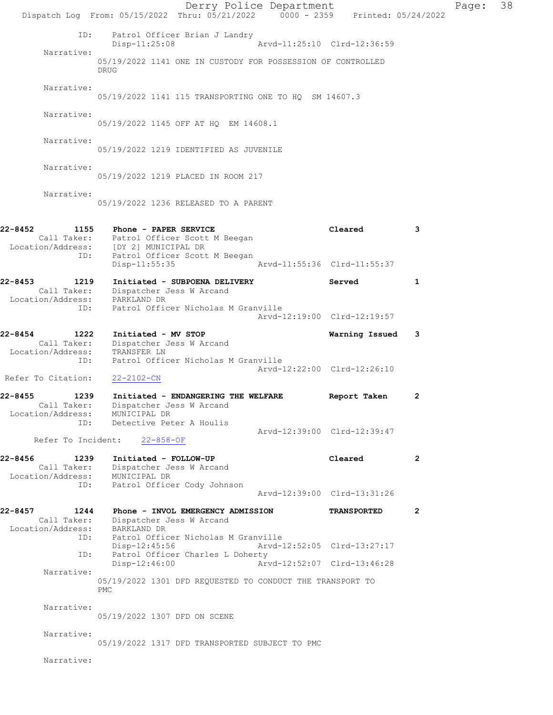|                                                                         | Dispatch Log From: 05/15/2022 Thru: 05/21/2022 0000 - 2359 Printed: 05/24/2022                                                                    | Derry Police Department |                             |                | Page: | 38 |
|-------------------------------------------------------------------------|---------------------------------------------------------------------------------------------------------------------------------------------------|-------------------------|-----------------------------|----------------|-------|----|
| ID:                                                                     | Patrol Officer Brian J Landry<br>Disp-11:25:08                                                                                                    |                         | Arvd-11:25:10 Clrd-12:36:59 |                |       |    |
| Narrative:                                                              | 05/19/2022 1141 ONE IN CUSTODY FOR POSSESSION OF CONTROLLED<br><b>DRUG</b>                                                                        |                         |                             |                |       |    |
| Narrative:                                                              | 05/19/2022 1141 115 TRANSPORTING ONE TO HQ SM 14607.3                                                                                             |                         |                             |                |       |    |
| Narrative:                                                              | 05/19/2022 1145 OFF AT HQ EM 14608.1                                                                                                              |                         |                             |                |       |    |
| Narrative:                                                              | 05/19/2022 1219 IDENTIFIED AS JUVENILE                                                                                                            |                         |                             |                |       |    |
| Narrative:                                                              | 05/19/2022 1219 PLACED IN ROOM 217                                                                                                                |                         |                             |                |       |    |
| Narrative:                                                              | 05/19/2022 1236 RELEASED TO A PARENT                                                                                                              |                         |                             |                |       |    |
| 22-8452<br>ID:                                                          | 1155 Phone - PAPER SERVICE<br>Call Taker: Patrol Officer Scott M Beegan<br>Location/Address: [DY 2] MUNICIPAL DR<br>Patrol Officer Scott M Beegan |                         | Cleared                     | 3              |       |    |
|                                                                         | Disp-11:55:35                                                                                                                                     |                         | Arvd-11:55:36 Clrd-11:55:37 |                |       |    |
| 22-8453<br>1219<br>Location/Address:                                    | Initiated - SUBPOENA DELIVERY<br>Call Taker: Dispatcher Jess W Arcand<br>PARKLAND DR                                                              |                         | Served                      | 1              |       |    |
| ID:                                                                     | Patrol Officer Nicholas M Granville                                                                                                               |                         | Arvd-12:19:00 Clrd-12:19:57 |                |       |    |
| 22-8454<br>1222<br>Call Taker:<br>Location/Address:<br>ID:              | Initiated - MV STOP<br>Dispatcher Jess W Arcand<br>TRANSFER LN<br>Patrol Officer Nicholas M Granville                                             |                         | Warning Issued 3            |                |       |    |
| Refer To Citation:                                                      | 22-2102-CN                                                                                                                                        |                         | Arvd-12:22:00 Clrd-12:26:10 |                |       |    |
| 22-8455<br>1239<br>Location/Address:                                    | Initiated - ENDANGERING THE WELFARE<br>Call Taker: Dispatcher Jess W Arcand<br>MUNICIPAL DR<br>ID: Detective Peter A Houlis                       |                         | Report Taken                | 2              |       |    |
| Refer To Incident:                                                      | $22 - 858 - OF$                                                                                                                                   |                         | Arvd-12:39:00 Clrd-12:39:47 |                |       |    |
| 22-8456<br>1239<br>Call Taker:<br>Location/Address: MUNICIPAL DR<br>ID: | Initiated - FOLLOW-UP<br>Dispatcher Jess W Arcand<br>Patrol Officer Cody Johnson                                                                  |                         | Cleared                     | $\overline{2}$ |       |    |
|                                                                         |                                                                                                                                                   |                         | Arvd-12:39:00 Clrd-13:31:26 |                |       |    |
| 22-8457<br>1244<br>Call Taker:<br>Location/Address: BARKLAND DR<br>ID:  | Phone - INVOL EMERGENCY ADMISSION<br>Dispatcher Jess W Arcand<br>Patrol Officer Nicholas M Granville                                              |                         | <b>TRANSPORTED</b>          | $\overline{2}$ |       |    |
| ID:                                                                     | Disp-12:45:56<br>Patrol Officer Charles L Doherty                                                                                                 |                         | Arvd-12:52:05 Clrd-13:27:17 |                |       |    |
| Narrative:                                                              | Disp-12:46:00                                                                                                                                     |                         | Arvd-12:52:07 Clrd-13:46:28 |                |       |    |
|                                                                         | 05/19/2022 1301 DFD REQUESTED TO CONDUCT THE TRANSPORT TO<br><b>PMC</b>                                                                           |                         |                             |                |       |    |
| Narrative:                                                              | 05/19/2022 1307 DFD ON SCENE                                                                                                                      |                         |                             |                |       |    |
| Narrative:                                                              | 05/19/2022 1317 DFD TRANSPORTED SUBJECT TO PMC                                                                                                    |                         |                             |                |       |    |
| Narrative:                                                              |                                                                                                                                                   |                         |                             |                |       |    |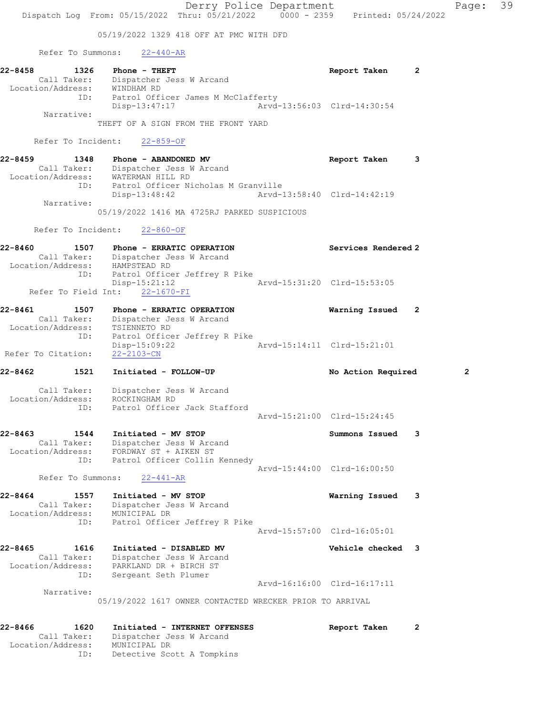Derry Police Department Fage: 39 Dispatch Log From: 05/15/2022 Thru: 05/21/2022 0000 - 2359 Printed: 05/24/2022 05/19/2022 1329 418 OFF AT PMC WITH DFD Refer To Summons: 22-440-AR 22-8458 1326 Phone - THEFT Report Taken 2 Call Taker: Dispatcher Jess W Arcand Location/Address: WINDHAM RD ID: Patrol Officer James M McClafferty Disp-13:47:17 Arvd-13:56:03 Clrd-14:30:54 Narrative: THEFT OF A SIGN FROM THE FRONT YARD Refer To Incident: 22-859-OF 22-8459 1348 Phone - ABANDONED MV **Report Taken** 3 Call Taker: Dispatcher Jess W Arcand Location/Address: WATERMAN HILL RD ID: Patrol Officer Nicholas M Granville Disp-13:48:42 Arvd-13:58:40 Clrd-14:42:19 Narrative: 05/19/2022 1416 MA 4725RJ PARKED SUSPICIOUS Refer To Incident: 22-860-OF 22-8460 1507 Phone - ERRATIC OPERATION Services Rendered 2 Call Taker: Dispatcher Jess W Arcand Location/Address: HAMPSTEAD RD ID: Patrol Officer Jeffrey R Pike Disp-15:21:12 Arvd-15:31:20 Clrd-15:53:05 Refer To Field Int: 22-1670-FI 22-8461 1507 Phone - ERRATIC OPERATION Warning Issued 2 Call Taker: Dispatcher Jess W Arcand Location/Address: TSIENNETO RD ID: Patrol Officer Jeffrey R Pike Disp-15:09:22 Arvd-15:14:11 Clrd-15:21:01 Refer To Citation: 22-2103-CN 22-8462 1521 Initiated - FOLLOW-UP No Action Required 2 Call Taker: Dispatcher Jess W Arcand Location/Address: ROCKINGHAM RD ID: Patrol Officer Jack Stafford Arvd-15:21:00 Clrd-15:24:45 22-8463 1544 Initiated - MV STOP Summons Issued 3 Call Taker: Dispatcher Jess W Arcand Location/Address: FORDWAY ST + AIKEN ST ID: Patrol Officer Collin Kennedy Arvd-15:44:00 Clrd-16:00:50 Refer To Summons: 22-441-AR 22-8464 1557 Initiated - MV STOP Warning Issued 3 Call Taker: Dispatcher Jess W Arcand Location/Address: MUNICIPAL DR ID: Patrol Officer Jeffrey R Pike Arvd-15:57:00 Clrd-16:05:01 22-8465 1616 Initiated - DISABLED MV 1990 Vehicle checked 3 Call Taker: Dispatcher Jess W Arcand Location/Address: PARKLAND DR + BIRCH ST ID: Sergeant Seth Plumer Arvd-16:16:00 Clrd-16:17:11 Narrative: 05/19/2022 1617 OWNER CONTACTED WRECKER PRIOR TO ARRIVAL 22-8466 1620 Initiated - INTERNET OFFENSES Report Taken 2 Call Taker: Dispatcher Jess W Arcand

Location/Address: MUNICIPAL DR

ID: Detective Scott A Tompkins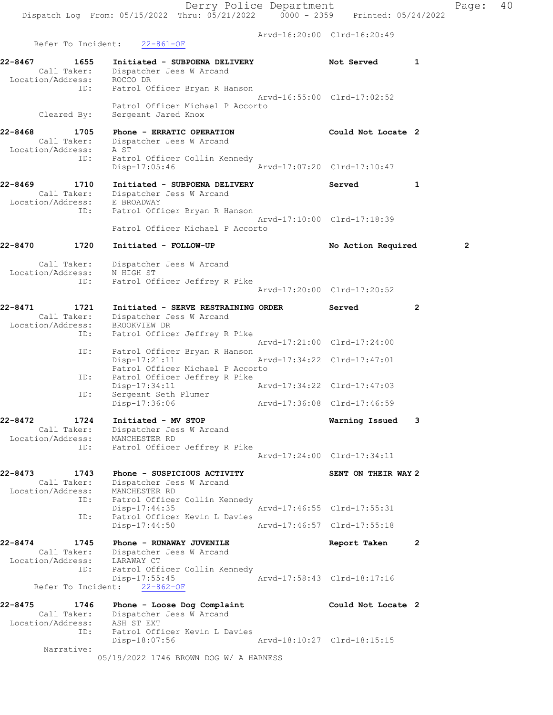Arvd-16:20:00 Clrd-16:20:49

Refer To Incident: 22-861-OF 22-8467 1655 Initiated - SUBPOENA DELIVERY 1 Not Served 1 Call Taker: Dispatcher Jess W Arcand Location/Address: ROCCO DR ID: Patrol Officer Bryan R Hanson Arvd-16:55:00 Clrd-17:02:52 Patrol Officer Michael P Accorto Cleared By: Sergeant Jared Knox 22-8468 1705 Phone - ERRATIC OPERATION Could Not Locate 2 Call Taker: Dispatcher Jess W Arcand Location/Address: A ST ID: Patrol Officer Collin Kennedy Disp-17:05:46 Arvd-17:07:20 Clrd-17:10:47 22-8469 1710 Initiated - SUBPOENA DELIVERY Served 1 Call Taker: Dispatcher Jess W Arcand Location/Address: E BROADWAY ID: Patrol Officer Bryan R Hanson Arvd-17:10:00 Clrd-17:18:39 Patrol Officer Michael P Accorto 22-8470 1720 Initiated - FOLLOW-UP No Action Required 2 Call Taker: Dispatcher Jess W Arcand Location/Address: N HIGH ST ID: Patrol Officer Jeffrey R Pike Arvd-17:20:00 Clrd-17:20:52 22-8471 1721 Initiated - SERVE RESTRAINING ORDER Served 2 Call Taker: Dispatcher Jess W Arcand Location/Address: BROOKVIEW DR ID: Patrol Officer Jeffrey R Pike Arvd-17:21:00 Clrd-17:24:00 ID: Patrol Officer Bryan R Hanson<br>Disp-17:21:11 Disp-17:21:11 Arvd-17:34:22 Clrd-17:47:01 Patrol Officer Michael P Accorto<br>ID: Patrol Officer Jeffrey R Pike ID: Patrol Officer Jeffrey R Pike Disp-17:34:11 Arvd-17:34:22 Clrd-17:47:03 ID: Sergeant Seth Plumer Disp-17:36:06 Arvd-17:36:08 Clrd-17:46:59 22-8472 1724 Initiated - MV STOP Warning Issued 3 Call Taker: Dispatcher Jess W Arcand Location/Address: MANCHESTER RD ID: Patrol Officer Jeffrey R Pike Arvd-17:24:00 Clrd-17:34:11 22-8473 1743 Phone - SUSPICIOUS ACTIVITY SENT ON THEIR WAY 2 Call Taker: Dispatcher Jess W Arcand Location/Address: MANCHESTER RD ID: Patrol Officer Collin Kennedy Disp-17:44:35 Arvd-17:46:55 Clrd-17:55:31 ID: Patrol Officer Kevin L Davies Disp-17:44:50 Arvd-17:46:57 Clrd-17:55:18 22-8474 1745 Phone - RUNAWAY JUVENILE Report Taken 2 Call Taker: Dispatcher Jess W Arcand Location/Address: LARAWAY CT ID: Patrol Officer Collin Kennedy Disp-17:55:45 Arvd-17:58:43 Clrd-18:17:16 Refer To Incident: 22-862-OF 22-8475 1746 Phone - Loose Dog Complaint Could Not Locate 2 Call Taker: Dispatcher Jess W Arcand Location/Address: ASH ST EXT ID: Patrol Officer Kevin L Davies Disp-18:07:56 Arvd-18:10:27 Clrd-18:15:15 Narrative: 05/19/2022 1746 BROWN DOG W/ A HARNESS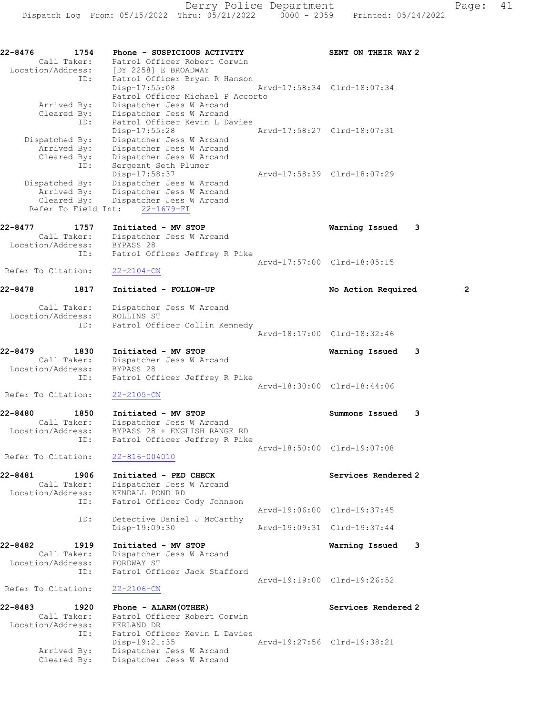22-8476 1754 Phone - SUSPICIOUS ACTIVITY SENT ON THEIR WAY 2 Call Taker: Patrol Officer Robert Corwin Location/Address: [DY 2258] E BROADWAY ID: Patrol Officer Bryan R Hanson Disp-17:55:08 Arvd-17:58:34 Clrd-18:07:34 Patrol Officer Michael P Accorto Arrived By: Dispatcher Jess W Arcand Cleared By: Dispatcher Jess W Arcand ID: Patrol Officer Kevin L Davies Disp-17:55:28 Arvd-17:58:27 Clrd-18:07:31 Dispatched By: Dispatcher Jess W Arcand Arrived By: Dispatcher Jess W Arcand Cleared By: Dispatcher Jess W Arcand ID: Sergeant Seth Plumer Disp-17:58:37 Arvd-17:58:39 Clrd-18:07:29 Dispatched By: Dispatcher Jess W Arcand Arrived By: Dispatcher Jess W Arcand Cleared By: Dispatcher Jess W Arcand Refer To Field Int: 22-1679-FI 22-8477 1757 Initiated - MV STOP Warning Issued 3 Call Taker: Dispatcher Jess W Arcand Location/Address: BYPASS 28 ID: Patrol Officer Jeffrey R Pike Arvd-17:57:00 Clrd-18:05:15 Refer To Citation: 22-2104-CN 22-8478 1817 Initiated - FOLLOW-UP No Action Required 2 Call Taker: Dispatcher Jess W Arcand Location/Address: ROLLINS ST ID: Patrol Officer Collin Kennedy Arvd-18:17:00 Clrd-18:32:46 22-8479 1830 Initiated - MV STOP Warning Issued 3 Call Taker: Dispatcher Jess W Arcand Location/Address: BYPASS 28 ID: Patrol Officer Jeffrey R Pike Arvd-18:30:00 Clrd-18:44:06 Refer To Citation: 22-2105-CN 22-8480 1850 Initiated - MV STOP Summons Issued 3 Call Taker: Dispatcher Jess W Arcand Location/Address: BYPASS 28 + ENGLISH RANGE RD ID: Patrol Officer Jeffrey R Pike Arvd-18:50:00 Clrd-19:07:08 Refer To Citation: 22-816-004010 22-8481 1906 Initiated - PED CHECK Services Rendered 2 Call Taker: Dispatcher Jess W Arcand Location/Address: KENDALL POND RD ID: Patrol Officer Cody Johnson Arvd-19:06:00 Clrd-19:37:45 ID: Detective Daniel J McCarthy<br>Disp-19:09:30 Disp-19:09:30 Arvd-19:09:31 Clrd-19:37:44 22-8482 1919 Initiated - MV STOP Warning Issued 3 Call Taker: Dispatcher Jess W Arcand Location/Address: FORDWAY ST ID: Patrol Officer Jack Stafford Arvd-19:19:00 Clrd-19:26:52 Refer To Citation: 22-2106-CN 22-8483 1920 Phone - ALARM(OTHER) Services Rendered 2 Call Taker: Patrol Officer Robert Corwin Location/Address: FERLAND DR ID: Patrol Officer Kevin L Davies Disp-19:21:35 Arvd-19:27:56 Clrd-19:38:21 Arrived By: Dispatcher Jess W Arcand Cleared By: Dispatcher Jess W Arcand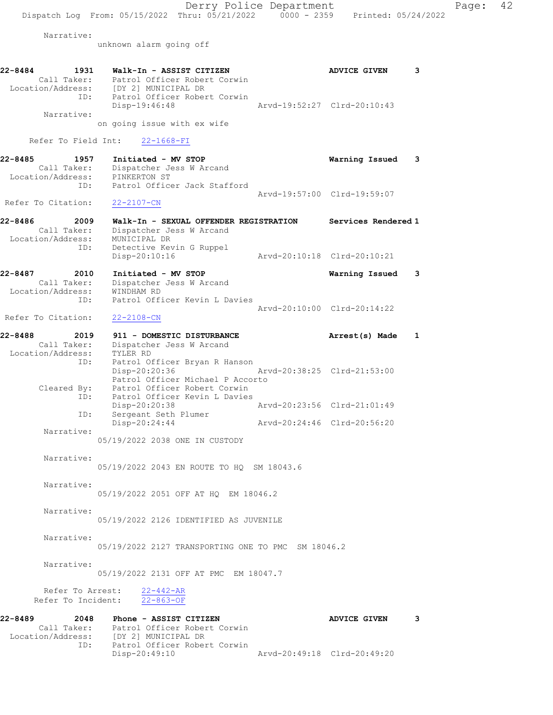Narrative:

unknown alarm going off

| 22-8484<br>Location/Address: | 1931<br>Call Taker:<br>ID: | Walk-In - ASSIST CITIZEN<br>Patrol Officer Robert Corwin<br>(DY 21 MUNICIPAL DR<br>Patrol Officer Robert Corwin<br>Disp-19:46:48 | <b>ADVICE GIVEN</b><br>Aryd-19:52:27 Clrd-20:10:43 |   |
|------------------------------|----------------------------|----------------------------------------------------------------------------------------------------------------------------------|----------------------------------------------------|---|
|                              | Narrative:                 | on going issue with ex wife<br>Refer To Field Int: 22-1668-FI                                                                    |                                                    |   |
| 22-8485<br>Location/Address: | 1957<br>Call Taker:<br>ID: | Initiated - MV STOP<br>Dispatcher Jess W Arcand<br>PINKERTON ST<br>Patrol Officer Jack Stafford                                  | Warning Issued                                     | з |
|                              |                            |                                                                                                                                  | Arvd-19:57:00 Clrd-19:59:07                        |   |

Refer To Citation: 22-2107-CN

- 22-8486 2009 Walk-In SEXUAL OFFENDER REGISTRATION Services Rendered 1 Call Taker: Dispatcher Jess W Arcand Location/Address: MUNICIPAL DR ID: Detective Kevin G Ruppel Disp-20:10:16 Arvd-20:10:18 Clrd-20:10:21
- 22-8487 2010 Initiated MV STOP Warning Issued 3 Call Taker: Dispatcher Jess W Arcand Location/Address: WINDHAM RD ID: Patrol Officer Kevin L Davies Arvd-20:10:00 Clrd-20:14:22

Refer To Citation: 22-2108-CN

| 22-8488<br>2019   | 911 - DOMESTIC DISTURBANCE       | Arrest(s) Made              |  |
|-------------------|----------------------------------|-----------------------------|--|
| Call Taker:       | Dispatcher Jess W Arcand         |                             |  |
| Location/Address: | TYLER RD                         |                             |  |
| ID:               | Patrol Officer Bryan R Hanson    |                             |  |
|                   | Disp-20:20:36                    | Arvd-20:38:25 Clrd-21:53:00 |  |
|                   | Patrol Officer Michael P Accorto |                             |  |
| Cleared By:       | Patrol Officer Robert Corwin     |                             |  |
| ID:               | Patrol Officer Kevin L Davies    |                             |  |
|                   | $Disp-20:20:38$                  | Arvd-20:23:56 Clrd-21:01:49 |  |
| ID:               | Sergeant Seth Plumer             |                             |  |
|                   | Disp-20:24:44                    | Arvd-20:24:46 Clrd-20:56:20 |  |
| Narrative:        |                                  |                             |  |

05/19/2022 2038 ONE IN CUSTODY

 Narrative: 05/19/2022 2043 EN ROUTE TO HQ SM 18043.6

Narrative:

05/19/2022 2051 OFF AT HQ EM 18046.2

Narrative:

05/19/2022 2126 IDENTIFIED AS JUVENILE

Narrative:

 Narrative: 05/19/2022 2131 OFF AT PMC EM 18047.7

Refer To Arrest:  $\frac{22-442-AR}{22-863-OF}$ Refer To Incident:

| 22-8489<br>2048   | Phone - ASSIST CITIZEN       | <b>ADVICE GIVEN</b>         | . २ |
|-------------------|------------------------------|-----------------------------|-----|
| Call Taker:       | Patrol Officer Robert Corwin |                             |     |
| Location/Address: | [DY 2] MUNICIPAL DR          |                             |     |
| ID:               | Patrol Officer Robert Corwin |                             |     |
|                   | Disp-20:49:10                | Aryd-20:49:18 Clrd-20:49:20 |     |

05/19/2022 2127 TRANSPORTING ONE TO PMC SM 18046.2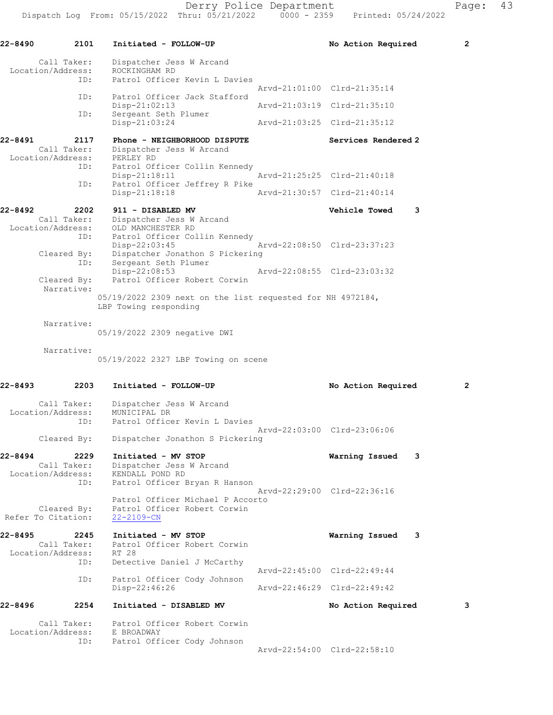| 22-8490                          | 2101                       | Initiated - FOLLOW-UP                                                                               | No Action Required          | $\mathbf{2}$ |
|----------------------------------|----------------------------|-----------------------------------------------------------------------------------------------------|-----------------------------|--------------|
| Location/Address:                | Call Taker:<br>ID:         | Dispatcher Jess W Arcand<br>ROCKINGHAM RD<br>Patrol Officer Kevin L Davies                          |                             |              |
|                                  | ID:                        | Patrol Officer Jack Stafford                                                                        | Arvd-21:01:00 Clrd-21:35:14 |              |
|                                  |                            | Disp-21:02:13                                                                                       | Arvd-21:03:19 Clrd-21:35:10 |              |
|                                  | ID:                        | Sergeant Seth Plumer<br>Disp-21:03:24                                                               | Arvd-21:03:25 Clrd-21:35:12 |              |
| 22-8491                          | 2117<br>Call Taker:        | Phone - NEIGHBORHOOD DISPUTE<br>Dispatcher Jess W Arcand                                            | Services Rendered 2         |              |
| Location/Address:                | ID:                        | PERLEY RD<br>Patrol Officer Collin Kennedy<br>$Disp-21:18:11$                                       | Arvd-21:25:25 Clrd-21:40:18 |              |
|                                  | ID:                        | Patrol Officer Jeffrey R Pike<br>Disp-21:18:18                                                      | Arvd-21:30:57 Clrd-21:40:14 |              |
| 22-8492                          | 2202                       | 911 - DISABLED MV                                                                                   | Vehicle Towed<br>3          |              |
| Location/Address:                | Call Taker:<br>ID:         | Dispatcher Jess W Arcand<br>OLD MANCHESTER RD<br>Patrol Officer Collin Kennedy                      |                             |              |
|                                  | Cleared By:<br>ID:         | Disp-22:03:45<br>Dispatcher Jonathon S Pickering<br>Sergeant Seth Plumer                            | Arvd-22:08:50 Clrd-23:37:23 |              |
|                                  | Cleared By:<br>Narrative:  | $Disp-22:08:53$<br>Patrol Officer Robert Corwin                                                     | Arvd-22:08:55 Clrd-23:03:32 |              |
|                                  |                            | 05/19/2022 2309 next on the list requested for NH 4972184,<br>LBP Towing responding                 |                             |              |
|                                  | Narrative:                 | 05/19/2022 2309 negative DWI                                                                        |                             |              |
|                                  | Narrative:                 | 05/19/2022 2327 LBP Towing on scene                                                                 |                             |              |
| 22-8493                          | 2203                       | Initiated - FOLLOW-UP                                                                               | No Action Required          | $\mathbf{2}$ |
| Location/Address:                | Call Taker:<br>ID:         | Dispatcher Jess W Arcand<br>MUNICIPAL DR<br>Patrol Officer Kevin L Davies                           | Arvd-22:03:00 Clrd-23:06:06 |              |
|                                  | Cleared By:                | Dispatcher Jonathon S Pickering                                                                     |                             |              |
| $22 - 8494$<br>Location/Address: | 2229<br>Call Taker:<br>ID: | Initiated - MV STOP<br>Dispatcher Jess W Arcand<br>KENDALL POND RD<br>Patrol Officer Bryan R Hanson | 3<br>Warning Issued         |              |
| Refer To Citation:               | Cleared By:                | Patrol Officer Michael P Accorto<br>Patrol Officer Robert Corwin<br>22-2109-CN                      | Arvd-22:29:00 Clrd-22:36:16 |              |
| $22 - 8495$<br>Location/Address: | 2245<br>Call Taker:<br>ID: | Initiated - MV STOP<br>Patrol Officer Robert Corwin<br>RT 28<br>Detective Daniel J McCarthy         | Warning Issued<br>3         |              |
|                                  | ID:                        | Patrol Officer Cody Johnson                                                                         | Arvd-22:45:00 Clrd-22:49:44 |              |
|                                  |                            | Disp-22:46:26                                                                                       | Arvd-22:46:29 Clrd-22:49:42 |              |
| 22-8496                          | 2254                       | Initiated - DISABLED MV                                                                             | No Action Required          | 3            |
| Location/Address:                | Call Taker:                | Patrol Officer Robert Corwin<br>E BROADWAY                                                          |                             |              |
|                                  | ID:                        | Patrol Officer Cody Johnson                                                                         | Arvd-22:54:00 Clrd-22:58:10 |              |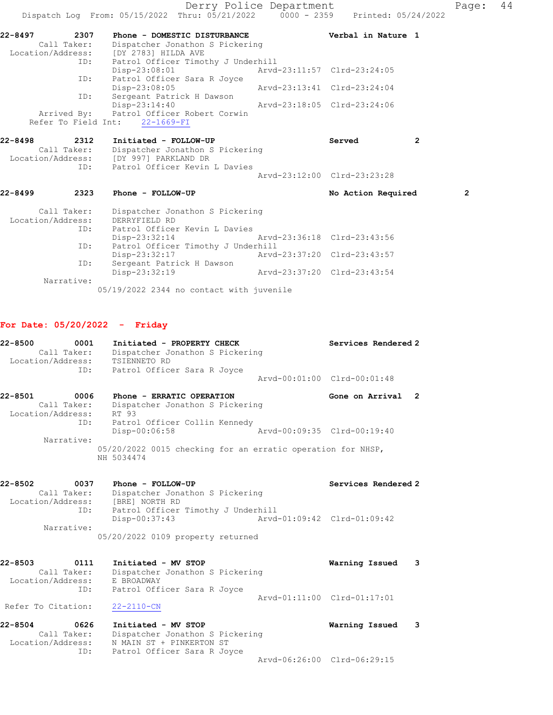|                   |             | Dispatch Log From: 05/15/2022 Thru: 05/21/2022 0000 - 2359 Printed: 05/24/2022 | Derry Police Department     |                             | Page:          | 44 |
|-------------------|-------------|--------------------------------------------------------------------------------|-----------------------------|-----------------------------|----------------|----|
| 22-8497           |             | 2307 Phone - DOMESTIC DISTURBANCE                                              |                             | Verbal in Nature 1          |                |    |
|                   |             | Call Taker: Dispatcher Jonathon S Pickering                                    |                             |                             |                |    |
|                   |             | Location/Address: [DY 2783] HILDA AVE                                          |                             |                             |                |    |
|                   | ID:         | Patrol Officer Timothy J Underhill                                             |                             |                             |                |    |
|                   |             | $Disp-23:08:01$                                                                |                             |                             |                |    |
|                   | ID:         | Patrol Officer Sara R Joyce                                                    |                             |                             |                |    |
|                   |             | Disp-23:08:05                                                                  | Arvd-23:13:41 Clrd-23:24:04 |                             |                |    |
|                   | ID:         | Sergeant Patrick H Dawson                                                      |                             |                             |                |    |
|                   |             | Disp-23:14:40                                                                  | Arvd-23:18:05 Clrd-23:24:06 |                             |                |    |
|                   |             | Arrived By: Patrol Officer Robert Corwin                                       |                             |                             |                |    |
|                   |             | Refer To Field Int: 22-1669-FI                                                 |                             |                             |                |    |
| 22-8498           |             | 2312 Initiated - FOLLOW-UP                                                     |                             | Served<br>$\overline{2}$    |                |    |
|                   |             | Call Taker: Dispatcher Jonathon S Pickering                                    |                             |                             |                |    |
|                   |             | Location/Address: [DY 997] PARKLAND DR                                         |                             |                             |                |    |
|                   | ID:         | Patrol Officer Kevin L Davies                                                  |                             |                             |                |    |
|                   |             |                                                                                |                             | Arvd-23:12:00 Clrd-23:23:28 |                |    |
| $22 - 8499$       | 2323        | Phone - FOLLOW-UP                                                              |                             | No Action Required          | $\overline{2}$ |    |
|                   | Call Taker: | Dispatcher Jonathon S Pickering                                                |                             |                             |                |    |
| Location/Address: |             | DERRYFIELD RD                                                                  |                             |                             |                |    |
|                   | ID:         | Patrol Officer Kevin L Davies                                                  |                             |                             |                |    |
|                   |             | Disp-23:32:14 Arvd-23:36:18 Clrd-23:43:56                                      |                             |                             |                |    |
|                   | ID:         | Patrol Officer Timothy J Underhill                                             |                             |                             |                |    |
|                   |             | Disp-23:32:17                                                                  | Arvd-23:37:20 Clrd-23:43:57 |                             |                |    |
|                   | ID:         | Sergeant Patrick H Dawson                                                      |                             |                             |                |    |
|                   |             | Disp-23:32:19                                                                  | Arvd-23:37:20 Clrd-23:43:54 |                             |                |    |

Narrative:

05/19/2022 2344 no contact with juvenile

### For Date: 05/20/2022 - Friday

| Initiated - PROPERTY CHECK      | Services Rendered 2         |
|---------------------------------|-----------------------------|
| Dispatcher Jonathon S Pickering |                             |
| TSIENNETO RD                    |                             |
| Patrol Officer Sara R Joyce     |                             |
|                                 | Aryd-00:01:00 Clrd-00:01:48 |
|                                 |                             |

22-8501 0006 Phone - ERRATIC OPERATION Gone on Arrival 2 Call Taker: Dispatcher Jonathon S Pickering Location/Address: RT 93 ID: Patrol Officer Collin Kennedy Disp-00:06:58 Arvd-00:09:35 Clrd-00:19:40 Narrative: 05/20/2022 0015 checking for an erratic operation for NHSP, NH 5034474

22-8502 0037 Phone - FOLLOW-UP Services Rendered 2 Call Taker: Dispatcher Jonathon S Pickering Location/Address: [BRE] NORTH RD ID: Patrol Officer Timothy J Underhill Disp-00:37:43 Arvd-01:09:42 Clrd-01:09:42 Narrative: 05/20/2022 0109 property returned

22-8503 0111 Initiated - MV STOP Warning Issued 3 Call Taker: Dispatcher Jonathon S Pickering Location/Address: E BROADWAY ID: Patrol Officer Sara R Joyce Arvd-01:11:00 Clrd-01:17:01 Refer To Citation: 22-2110-CN

22-8504 0626 Initiated - MV STOP Warning Issued 3 Call Taker: Dispatcher Jonathon S Pickering Location/Address: N MAIN ST + PINKERTON ST ID: Patrol Officer Sara R Joyce Arvd-06:26:00 Clrd-06:29:15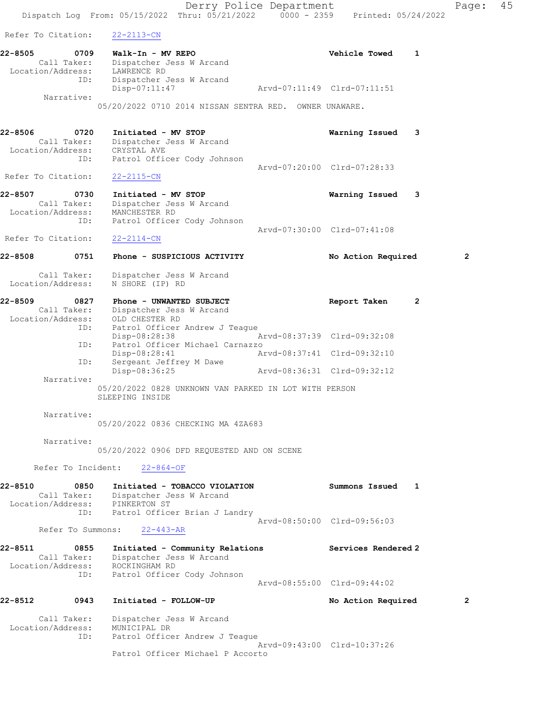Derry Police Department Fage: 45 Dispatch Log From: 05/15/2022 Thru: 05/21/2022 0000 - 2359 Printed: 05/24/2022 Refer To Citation: 22-2113-CN 22-8505 0709 Walk-In - MV REPO Vehicle Towed 1 Call Taker: Dispatcher Jess W Arcand Location/Address: LAWRENCE RD ID: Dispatcher Jess W Arcand Disp-07:11:47 Arvd-07:11:49 Clrd-07:11:51 Narrative: 05/20/2022 0710 2014 NISSAN SENTRA RED. OWNER UNAWARE. 22-8506 0720 Initiated - MV STOP Warning Issued 3 Call Taker: Dispatcher Jess W Arcand Location/Address: CRYSTAL AVE ID: Patrol Officer Cody Johnson Arvd-07:20:00 Clrd-07:28:33 Refer To Citation: 22-2115-CN 22-8507 0730 Initiated - MV STOP Warning Issued 3 Call Taker: Dispatcher Jess W Arcand Location/Address: MANCHESTER RD ID: Patrol Officer Cody Johnson Arvd-07:30:00 Clrd-07:41:08 Refer To Citation: 22-2114-CN 22-8508 0751 Phone - SUSPICIOUS ACTIVITY No Action Required 2 Call Taker: Dispatcher Jess W Arcand Location/Address: N SHORE (IP) RD 22-8509 0827 Phone - UNWANTED SUBJECT Report Taken 2 Call Taker: Dispatcher Jess W Arcand Location/Address: OLD CHESTER RD ID: Patrol Officer Andrew J Teague Disp-08:28:38 Arvd-08:37:39 Clrd-09:32:08 ID: Patrol Officer Michael Carnazzo Disp-08:28:41 Arvd-08:37:41 Clrd-09:32:10 ID: Sergeant Jeffrey M Dawe Disp-08:36:25 Arvd-08:36:31 Clrd-09:32:12 Narrative: 05/20/2022 0828 UNKNOWN VAN PARKED IN LOT WITH PERSON SLEEPING INSIDE Narrative: 05/20/2022 0836 CHECKING MA 4ZA683 Narrative: 05/20/2022 0906 DFD REQUESTED AND ON SCENE Refer To Incident: 22-864-OF 22-8510 0850 Initiated - TOBACCO VIOLATION Summons Issued 1 Call Taker: Dispatcher Jess W Arcand Location/Address: PINKERTON ST ID: Patrol Officer Brian J Landry Arvd-08:50:00 Clrd-09:56:03 Refer To Summons: 22-443-AR 22-8511 0855 Initiated - Community Relations Services Rendered 2 Call Taker: Dispatcher Jess W Arcand Location/Address: ROCKINGHAM RD ID: Patrol Officer Cody Johnson Arvd-08:55:00 Clrd-09:44:02 22-8512 0943 Initiated - FOLLOW-UP No Action Required 2 Call Taker: Dispatcher Jess W Arcand Location/Address: MUNICIPAL DR ID: Patrol Officer Andrew J Teague Arvd-09:43:00 Clrd-10:37:26

Patrol Officer Michael P Accorto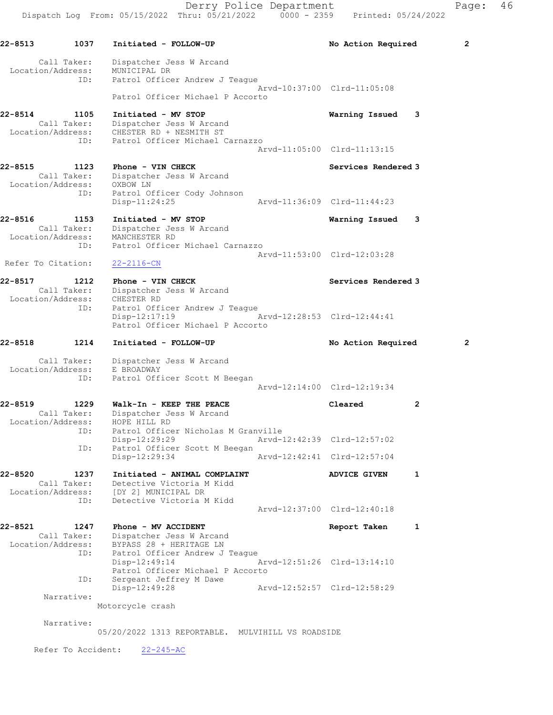22-8513 1037 Initiated - FOLLOW-UP 12 No Action Required 2 Call Taker: Dispatcher Jess W Arcand Location/Address: MUNICIPAL DR ID: Patrol Officer Andrew J Teague Arvd-10:37:00 Clrd-11:05:08 Patrol Officer Michael P Accorto 22-8514 1105 Initiated - MV STOP Warning Issued 3 Call Taker: Dispatcher Jess W Arcand Location/Address: CHESTER RD + NESMITH ST ID: Patrol Officer Michael Carnazzo Arvd-11:05:00 Clrd-11:13:15 22-8515 1123 Phone - VIN CHECK Services Rendered 3 Call Taker: Dispatcher Jess W Arcand Location/Address: OXBOW LN ID: Patrol Officer Cody Johnson Disp-11:24:25 Arvd-11:36:09 Clrd-11:44:23 22-8516 1153 Initiated - MV STOP Warning Issued 3 Call Taker: Dispatcher Jess W Arcand Location/Address: MANCHESTER RD ID: Patrol Officer Michael Carnazzo Arvd-11:53:00 Clrd-12:03:28 Refer To Citation: 22-2116-CN 22-8517 1212 Phone - VIN CHECK Services Rendered 3 Call Taker: Dispatcher Jess W Arcand Location/Address: CHESTER RD ID: Patrol Officer Andrew J Teague Disp-12:17:19 Arvd-12:28:53 Clrd-12:44:41 Patrol Officer Michael P Accorto 22-8518 1214 Initiated - FOLLOW-UP No Action Required 2 Call Taker: Dispatcher Jess W Arcand Location/Address: E BROADWAY ID: Patrol Officer Scott M Beegan Arvd-12:14:00 Clrd-12:19:34 22-8519 1229 Walk-In - KEEP THE PEACE Cleared 2 Call Taker: Dispatcher Jess W Arcand Location/Address: HOPE HILL RD ID: Patrol Officer Nicholas M Granville Disp-12:29:29 Arvd-12:42:39 Clrd-12:57:02<br>ID: Patrol Officer Scott M Beegan Patrol Officer Scott M Beegan Disp-12:29:34 Arvd-12:42:41 Clrd-12:57:04 22-8520 1237 Initiated - ANIMAL COMPLAINT ADVICE GIVEN 1 Call Taker: Detective Victoria M Kidd Location/Address: [DY 2] MUNICIPAL DR ID: Detective Victoria M Kidd Arvd-12:37:00 Clrd-12:40:18 22-8521 1247 Phone - MV ACCIDENT Report Taken 1 Call Taker: Dispatcher Jess W Arcand Location/Address: BYPASS 28 + HERITAGE LN ID: Patrol Officer Andrew J Teague Disp-12:49:14 Arvd-12:51:26 Clrd-13:14:10 Patrol Officer Michael P Accorto ID: Sergeant Jeffrey M Dawe Disp-12:49:28 Arvd-12:52:57 Clrd-12:58:29 Narrative: Motorcycle crash Narrative:

05/20/2022 1313 REPORTABLE. MULVIHILL VS ROADSIDE

Refer To Accident: 22-245-AC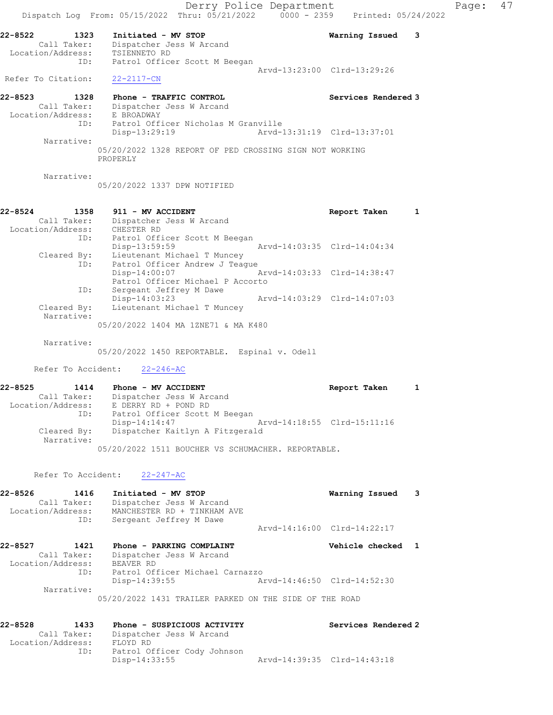Location/Address: E BROADWAY ID: Patrol Officer Nicholas M Granville Disp-13:29:19 Arvd-13:31:19 Clrd-13:37:01 Narrative: 05/20/2022 1328 REPORT OF PED CROSSING SIGN NOT WORKING PROPERLY

Narrative:

05/20/2022 1337 DPW NOTIFIED

#### 22-8524 1358 911 - MV ACCIDENT Report Taken 1 Call Taker: Dispatcher Jess W Arcand Location/Address: CHESTER RD ID: Patrol Officer Scott M Beegan Disp-13:59:59 Arvd-14:03:35 Clrd-14:04:34 Cleared By: Lieutenant Michael T Muncey ID: Patrol Officer Andrew J Teague<br>Disp-14:00:07 A Arvd-14:03:33 Clrd-14:38:47 Patrol Officer Michael P Accorto ID: Sergeant Jeffrey M Dawe Disp-14:03:23 Arvd-14:03:29 Clrd-14:07:03 Cleared By: Lieutenant Michael T Muncey Narrative: 05/20/2022 1404 MA 1ZNE71 & MA K480

Narrative:

05/20/2022 1450 REPORTABLE. Espinal v. Odell

Refer To Accident: 22-246-AC

### 22-8525 1414 Phone - MV ACCIDENT 1 1 Report Taken 1 Call Taker: Dispatcher Jess W Arcand Location/Address: E DERRY RD + POND RD ID: Patrol Officer Scott M Beegan Disp-14:14:47 Arvd-14:18:55 Clrd-15:11:16 Cleared By: Dispatcher Kaitlyn A Fitzgerald Narrative: 05/20/2022 1511 BOUCHER VS SCHUMACHER. REPORTABLE.

Refer To Accident: 22-247-AC

| 22-8526           | 1416                         | Initiated - MV STOP                                     | Warning Issued              | $\overline{\phantom{a}}$ 3 |
|-------------------|------------------------------|---------------------------------------------------------|-----------------------------|----------------------------|
| Location/Address: | Call Taker:                  | Dispatcher Jess W Arcand<br>MANCHESTER RD + TINKHAM AVE |                             |                            |
|                   | ID:                          | Sergeant Jeffrey M Dawe                                 |                             |                            |
|                   |                              |                                                         | Arvd-14:16:00 Clrd-14:22:17 |                            |
| 22-8527           | 1421<br>$0.433$ males $\sim$ | Phone - PARKING COMPLAINT<br>Disset shake Tage M Beach  | Vehicle checked 1           |                            |

 Call Taker: Dispatcher Jess W Arcand Location/Address: BEAVER RD ID: Patrol Officer Michael Carnazzo Disp-14:39:55 Arvd-14:46:50 Clrd-14:52:30 Narrative: 05/20/2022 1431 TRAILER PARKED ON THE SIDE OF THE ROAD

| $22 - 8528$       | 1433        | Phone - SUSPICIOUS ACTIVITY | Services Rendered 2         |
|-------------------|-------------|-----------------------------|-----------------------------|
|                   | Call Taker: | Dispatcher Jess W Arcand    |                             |
| Location/Address: |             | FLOYD RD                    |                             |
|                   | ID:         | Patrol Officer Cody Johnson |                             |
|                   |             | Disp-14:33:55               | Arvd-14:39:35 Clrd-14:43:18 |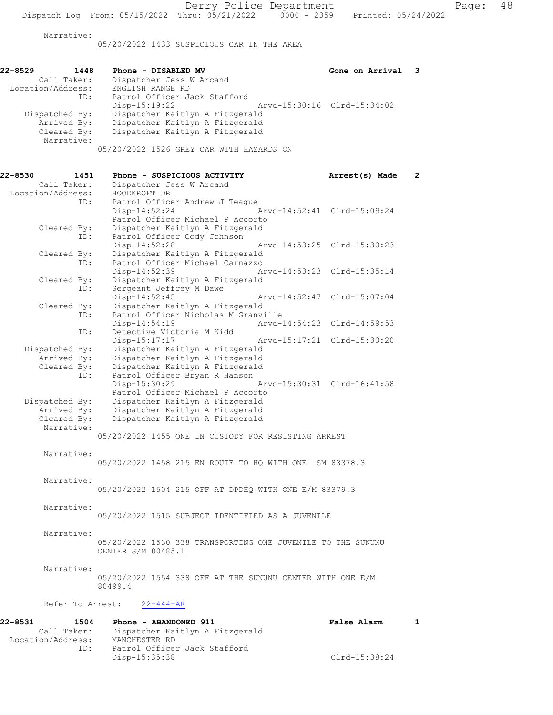05/20/2022 1433 SUSPICIOUS CAR IN THE AREA

| $22 - 8529$<br>1448 |     | Phone - DISABLED MV                      |                             | Gone on Arrival 3 |  |
|---------------------|-----|------------------------------------------|-----------------------------|-------------------|--|
| Call Taker:         |     | Dispatcher Jess W Arcand                 |                             |                   |  |
| Location/Address:   |     | ENGLISH RANGE RD                         |                             |                   |  |
|                     | ID: | Patrol Officer Jack Stafford             |                             |                   |  |
|                     |     | $Disp-15:19:22$                          | Arvd-15:30:16 Clrd-15:34:02 |                   |  |
| Dispatched By:      |     | Dispatcher Kaitlyn A Fitzgerald          |                             |                   |  |
| Arrived By:         |     | Dispatcher Kaitlyn A Fitzgerald          |                             |                   |  |
| Cleared By:         |     | Dispatcher Kaitlyn A Fitzgerald          |                             |                   |  |
| Narrative:          |     |                                          |                             |                   |  |
|                     |     | 05/20/2022 1526 GREY CAR WITH HAZARDS ON |                             |                   |  |

| 22-8530 | 1451              | Phone - SUSPICIOUS ACTIVITY<br>Arrest(s) Made<br>$\overline{2}$ |  |
|---------|-------------------|-----------------------------------------------------------------|--|
|         | Call Taker:       | Dispatcher Jess W Arcand                                        |  |
|         | Location/Address: | HOODKROFT DR                                                    |  |
|         | ID:               | Patrol Officer Andrew J Teague                                  |  |
|         |                   | Arvd-14:52:41 Clrd-15:09:24<br>Disp-14:52:24                    |  |
|         |                   | Patrol Officer Michael P Accorto                                |  |
|         | Cleared By:       | Dispatcher Kaitlyn A Fitzgerald                                 |  |
|         | ID:               | Patrol Officer Cody Johnson                                     |  |
|         |                   | Disp-14:52:28<br>Arvd-14:53:25 Clrd-15:30:23                    |  |
|         | Cleared By:       | Dispatcher Kaitlyn A Fitzgerald                                 |  |
|         | ID:               | Patrol Officer Michael Carnazzo                                 |  |
|         |                   | Disp-14:52:39<br>Arvd-14:53:23 Clrd-15:35:14                    |  |
|         | Cleared By:       | Dispatcher Kaitlyn A Fitzgerald                                 |  |
|         | ID:               | Sergeant Jeffrey M Dawe                                         |  |
|         |                   | Disp-14:52:45<br>Arvd-14:52:47 Clrd-15:07:04                    |  |
|         | Cleared By:       | Dispatcher Kaitlyn A Fitzgerald                                 |  |
|         | ID:               | Patrol Officer Nicholas M Granville                             |  |
|         |                   | Disp-14:54:19<br>Arvd-14:54:23 Clrd-14:59:53                    |  |
|         | ID:               | Detective Victoria M Kidd                                       |  |
|         |                   | Disp-15:17:17<br>Arvd-15:17:21 Clrd-15:30:20                    |  |
|         | Dispatched By:    | Dispatcher Kaitlyn A Fitzgerald                                 |  |
|         | Arrived By:       | Dispatcher Kaitlyn A Fitzgerald                                 |  |
|         | Cleared By:       | Dispatcher Kaitlyn A Fitzgerald                                 |  |
|         | ID:               | Patrol Officer Bryan R Hanson                                   |  |
|         |                   | Disp-15:30:29<br>Arvd-15:30:31 Clrd-16:41:58                    |  |
|         |                   | Patrol Officer Michael P Accorto                                |  |
|         | Dispatched By:    | Dispatcher Kaitlyn A Fitzgerald                                 |  |
|         | Arrived By:       | Dispatcher Kaitlyn A Fitzgerald                                 |  |
|         | Cleared By:       | Dispatcher Kaitlyn A Fitzgerald                                 |  |
|         | Narrative:        |                                                                 |  |
|         |                   | 05/20/2022 1455 ONE IN CUSTODY FOR RESISTING ARREST             |  |
|         |                   |                                                                 |  |
|         | Narrative:        |                                                                 |  |
|         |                   | 05/20/2022 1458 215 EN ROUTE TO HQ WITH ONE SM 83378.3          |  |
|         |                   |                                                                 |  |
|         | Narrative:        |                                                                 |  |
|         |                   | 05/20/2022 1504 215 OFF AT DPDHQ WITH ONE E/M 83379.3           |  |
|         |                   |                                                                 |  |
|         | Narrative:        |                                                                 |  |
|         |                   | 05/20/2022 1515 SUBJECT IDENTIFIED AS A JUVENILE                |  |
|         |                   |                                                                 |  |
|         | Narrative:        |                                                                 |  |
|         |                   | 05/20/2022 1530 338 TRANSPORTING ONE JUVENILE TO THE SUNUNU     |  |
|         |                   | CENTER S/M 80485.1                                              |  |
|         |                   |                                                                 |  |
|         | Narrative:        |                                                                 |  |

05/20/2022 1554 338 OFF AT THE SUNUNU CENTER WITH ONE E/M 80499.4

# Refer To Arrest:  $22-444-R$

| 22-8531<br>1504   | Phone - ABANDONED 911           | <b>False Alarm</b> |  |
|-------------------|---------------------------------|--------------------|--|
| Call Taker:       | Dispatcher Kaitlyn A Fitzgerald |                    |  |
| Location/Address: | MANCHESTER RD                   |                    |  |
| ID:               | Patrol Officer Jack Stafford    |                    |  |
|                   | Disp-15:35:38                   | Clrd-15:38:24      |  |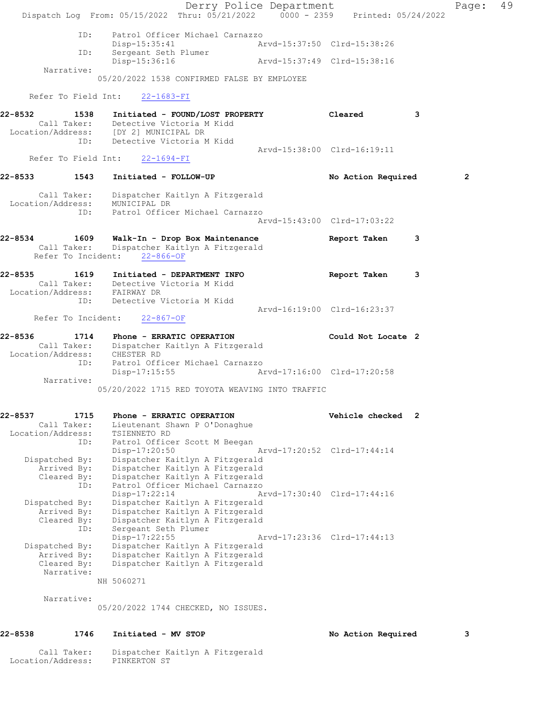Derry Police Department Fage: 49 Dispatch Log From: 05/15/2022 Thru: 05/21/2022 0000 - 2359 Printed: 05/24/2022 ID: Patrol Officer Michael Carnazzo Disp-15:35:41 Arvd-15:37:50 Clrd-15:38:26 ID: Sergeant Seth Plumer Disp-15:36:16 Arvd-15:37:49 Clrd-15:38:16 Narrative: 05/20/2022 1538 CONFIRMED FALSE BY EMPLOYEE Refer To Field Int: 22-1683-FI 22-8532 1538 Initiated - FOUND/LOST PROPERTY Cleared 3 Call Taker: Detective Victoria M Kidd Location/Address: [DY 2] MUNICIPAL DR ID: Detective Victoria M Kidd Arvd-15:38:00 Clrd-16:19:11 Refer To Field Int: 22-1694-FI 22-8533 1543 Initiated - FOLLOW-UP No Action Required 2 Call Taker: Dispatcher Kaitlyn A Fitzgerald Location/Address: MUNICIPAL DR ID: Patrol Officer Michael Carnazzo Arvd-15:43:00 Clrd-17:03:22 22-8534 1609 Walk-In - Drop Box Maintenance Report Taken 3 Call Taker: Dispatcher Kaitlyn A Fitzgerald Refer To Incident: 22-866-OF 22-8535 1619 Initiated - DEPARTMENT INFO Report Taken 3 Call Taker: Detective Victoria M Kidd Location/Address: FAIRWAY DR ID: Detective Victoria M Kidd Arvd-16:19:00 Clrd-16:23:37 Refer To Incident: 22-867-OF 22-8536 1714 Phone - ERRATIC OPERATION Could Not Locate 2 Call Taker: Dispatcher Kaitlyn A Fitzgerald Location/Address: CHESTER RD ID: Patrol Officer Michael Carnazzo Disp-17:15:55 Arvd-17:16:00 Clrd-17:20:58 Narrative: 05/20/2022 1715 RED TOYOTA WEAVING INTO TRAFFIC 22-8537 1715 Phone - ERRATIC OPERATION Vehicle checked 2 Call Taker: Lieutenant Shawn P O'Donaghue Location/Address: TSIENNETO RD ID: Patrol Officer Scott M Beegan Disp-17:20:50 Arvd-17:20:52 Clrd-17:44:14 Dispatched By: Dispatcher Kaitlyn A Fitzgerald Arrived By: Dispatcher Kaitlyn A Fitzgerald Cleared By: Dispatcher Kaitlyn A Fitzgerald ID: Patrol Officer Michael Carnazzo Disp-17:22:14 Arvd-17:30:40 Clrd-17:44:16 Dispatched By: Dispatcher Kaitlyn A Fitzgerald Arrived By: Dispatcher Kaitlyn A Fitzgerald Cleared By: Dispatcher Kaitlyn A Fitzgerald ID: Sergeant Seth Plumer Disp-17:22:55 Arvd-17:23:36 Clrd-17:44:13 Dispatched By: Dispatcher Kaitlyn A Fitzgerald Arrived By: Dispatcher Kaitlyn A Fitzgerald Cleared By: Dispatcher Kaitlyn A Fitzgerald Narrative: NH 5060271 Narrative: 05/20/2022 1744 CHECKED, NO ISSUES. 22-8538 1746 Initiated - MV STOP No Action Required 3

 Call Taker: Dispatcher Kaitlyn A Fitzgerald Location/Address: PINKERTON ST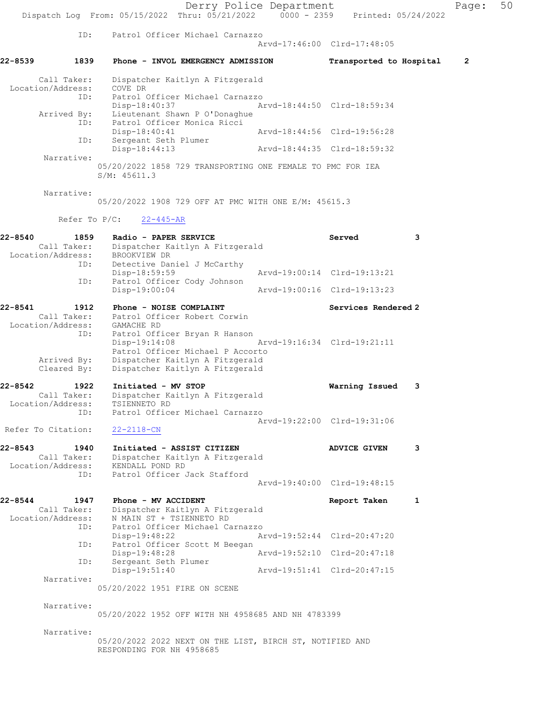Derry Police Department Page: 50 Dispatch Log From: 05/15/2022 Thru: 05/21/2022 0000 - 2359 Printed: 05/24/2022 ID: Patrol Officer Michael Carnazzo Arvd-17:46:00 Clrd-17:48:05 22-8539 1839 Phone - INVOL EMERGENCY ADMISSION Transported to Hospital 2 Call Taker: Dispatcher Kaitlyn A Fitzgerald Location/Address: COVE DR ID: Patrol Officer Michael Carnazzo Disp-18:40:37 Arvd-18:44:50 Clrd-18:59:34 Arrived By: Lieutenant Shawn P O'Donaghue ID: Patrol Officer Monica Ricci Disp-18:40:41 Arvd-18:44:56 Clrd-19:56:28 ID: Sergeant Seth Plumer<br>Disp-18:44:13 Arvd-18:44:35 Clrd-18:59:32 Narrative: 05/20/2022 1858 729 TRANSPORTING ONE FEMALE TO PMC FOR IEA S/M: 45611.3 Narrative: 05/20/2022 1908 729 OFF AT PMC WITH ONE E/M: 45615.3 Refer To P/C: 22-445-AR 22-8540 1859 Radio - PAPER SERVICE Served 3 Call Taker: Dispatcher Kaitlyn A Fitzgerald Location/Address: BROOKVIEW DR ID: Detective Daniel J McCarthy<br>Disp-18:59:59 Disp-18:59:59<br>Disp-18:59:59 Arvd-19:00:14 Clrd-19:13:21<br>ID: Patrol Officer Cody Johnson Patrol Officer Cody Johnson<br>Disp-19:00:04 Disp-19:00:04 Arvd-19:00:16 Clrd-19:13:23 22-8541 1912 Phone - NOISE COMPLAINT 1992 Services Rendered 2 Call Taker: Patrol Officer Robert Corwin Location/Address: GAMACHE RD ID: Patrol Officer Bryan R Hanson Disp-19:14:08 Arvd-19:16:34 Clrd-19:21:11 Patrol Officer Michael P Accorto Arrived By: Dispatcher Kaitlyn A Fitzgerald Cleared By: Dispatcher Kaitlyn A Fitzgerald 22-8542 1922 Initiated - MV STOP Warning Issued 3 Call Taker: Dispatcher Kaitlyn A Fitzgerald Location/Address: TSIENNETO RD ID: Patrol Officer Michael Carnazzo Arvd-19:22:00 Clrd-19:31:06 Refer To Citation: 22-2118-CN 22-8543 1940 Initiated - ASSIST CITIZEN ADVICE GIVEN 3 Call Taker: Dispatcher Kaitlyn A Fitzgerald Location/Address: KENDALL POND RD ID: Patrol Officer Jack Stafford Arvd-19:40:00 Clrd-19:48:15 22-8544 1947 Phone - MV ACCIDENT Report Taken 1 Call Taker: Dispatcher Kaitlyn A Fitzgerald Location/Address: N MAIN ST + TSIENNETO RD ID: Patrol Officer Michael Carnazzo Disp-19:48:22 Arvd-19:52:44 Clrd-20:47:20 ID: Patrol Officer Scott M Beegan Disp-19:48:28 Arvd-19:52:10 Clrd-20:47:18 ID: Sergeant Seth Plumer Disp-19:51:40 Arvd-19:51:41 Clrd-20:47:15 Narrative: 05/20/2022 1951 FIRE ON SCENE Narrative: 05/20/2022 1952 OFF WITH NH 4958685 AND NH 4783399 Narrative: 05/20/2022 2022 NEXT ON THE LIST, BIRCH ST, NOTIFIED AND RESPONDING FOR NH 4958685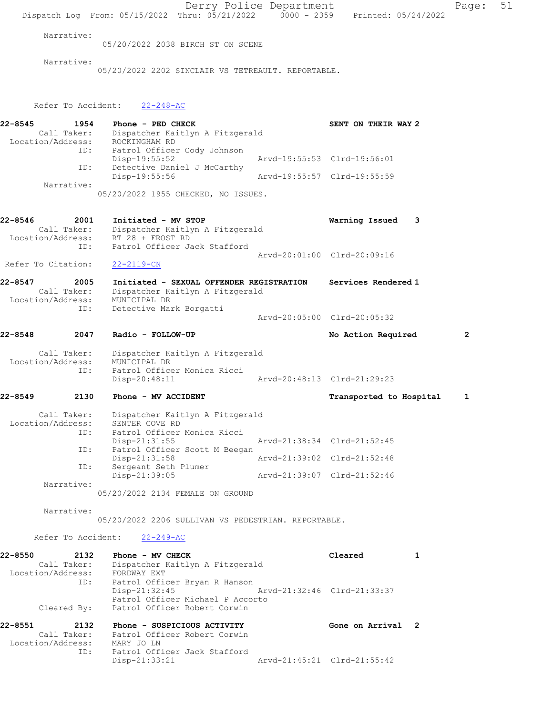Derry Police Department Page: 51 Dispatch Log From: 05/15/2022 Thru: 05/21/2022 0000 - 2359 Printed: 05/24/2022 Narrative: 05/20/2022 2038 BIRCH ST ON SCENE Narrative: 05/20/2022 2202 SINCLAIR VS TETREAULT. REPORTABLE. Refer To Accident: 22-248-AC 22-8545 1954 Phone - PED CHECK SENT ON THEIR WAY 2 Call Taker: Dispatcher Kaitlyn A Fitzgerald Location/Address: ROCKINGHAM RD ID: Patrol Officer Cody Johnson Disp-19:55:52 Arvd-19:55:53 Clrd-19:56:01 ID: Detective Daniel J McCarthy<br>Disp-19:55:56 Arvd-19:55:57 Clrd-19:55:59 Narrative: 05/20/2022 1955 CHECKED, NO ISSUES. 22-8546 2001 Initiated - MV STOP Warning Issued 3 Call Taker: Dispatcher Kaitlyn A Fitzgerald Location/Address: RT 28 + FROST RD ID: Patrol Officer Jack Stafford Arvd-20:01:00 Clrd-20:09:16 Refer To Citation: 22-2119-CN 22-8547 2005 Initiated - SEXUAL OFFENDER REGISTRATION Services Rendered 1 Call Taker: Dispatcher Kaitlyn A Fitzgerald Location/Address: MUNICIPAL DR ID: Detective Mark Borgatti Arvd-20:05:00 Clrd-20:05:32 22-8548 2047 Radio - FOLLOW-UP No Action Required 2 Call Taker: Dispatcher Kaitlyn A Fitzgerald Location/Address: MUNICIPAL DR ID: Patrol Officer Monica Ricci Disp-20:48:11 Arvd-20:48:13 Clrd-21:29:23 22-8549 2130 Phone - MV ACCIDENT TRANSPORTED Transported to Hospital 1 Call Taker: Dispatcher Kaitlyn A Fitzgerald Location/Address: SENTER COVE RD ID: Patrol Officer Monica Ricci<br>Disp-21:31:55 Arvd-21:38:34 Clrd-21:52:45 ID: Patrol Officer Scott M Beegan<br>Disp-21:31:58 Mrvd-21:39:02 Clrd-21:52:48 Disp-21:31:58 Arvd-21:39:02 Clrd-21:52:48 ID: Sergeant Seth Plumer Disp-21:39:05 Arvd-21:39:07 Clrd-21:52:46 Narrative: 05/20/2022 2134 FEMALE ON GROUND Narrative: 05/20/2022 2206 SULLIVAN VS PEDESTRIAN. REPORTABLE. Refer To Accident: 22-249-AC 22-8550 2132 Phone - MV CHECK Cleared 1 Call Taker: Dispatcher Kaitlyn A Fitzgerald Location/Address: FORDWAY EXT ID: Patrol Officer Bryan R Hanson Disp-21:32:45 Arvd-21:32:46 Clrd-21:33:37 Patrol Officer Michael P Accorto Cleared By: Patrol Officer Robert Corwin 22-8551 2132 Phone - SUSPICIOUS ACTIVITY Gone on Arrival 2 Call Taker: Patrol Officer Robert Corwin Location/Address: MARY JO LN ID: Patrol Officer Jack Stafford Disp-21:33:21 Arvd-21:45:21 Clrd-21:55:42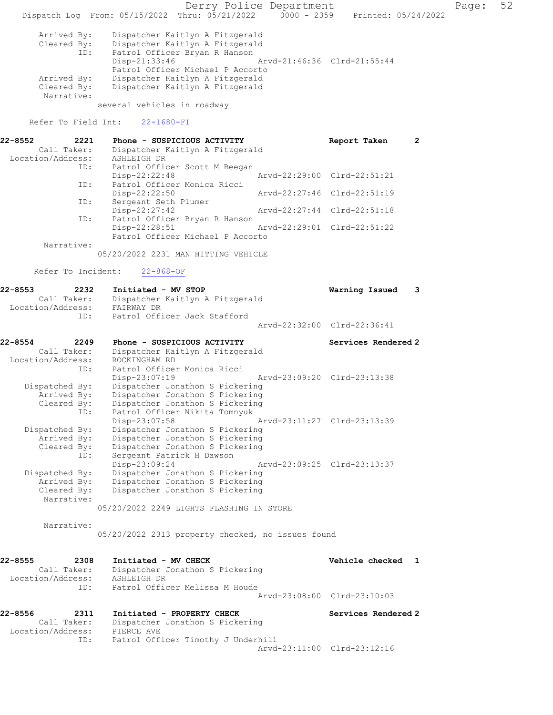Derry Police Department Fage: 52 Dispatch Log From: 05/15/2022 Thru: 05/21/2022 0000 - 2359 Printed: 05/24/2022 Arrived By: Dispatcher Kaitlyn A Fitzgerald Cleared By: Dispatcher Kaitlyn A Fitzgerald<br>ID: Patrol Officer Bryan R Hanson Patrol Officer Bryan R Hanson<br>Disp-21:33:46 Disp-21:33:46 Arvd-21:46:36 Clrd-21:55:44 Patrol Officer Michael P Accorto Arrived By: Dispatcher Kaitlyn A Fitzgerald Cleared By: Dispatcher Kaitlyn A Fitzgerald Narrative: several vehicles in roadway Refer To Field Int: 22-1680-FI 22-8552 2221 Phone - SUSPICIOUS ACTIVITY TERED Report Taken 2 Call Taker: Dispatcher Kaitlyn A Fitzgerald Location/Address: ASHLEIGH DR ID: Patrol Officer Scott M Beegan<br>Disp-22:22:48 Disp-22:22:48 Arvd-22:29:00 Clrd-22:51:21 ID: Patrol Officer Monica Ricci Disp-22:22:50 Arvd-22:27:46 Clrd-22:51:19 ID: Sergeant Seth Plumer<br>Disp-22:27:42 Disp-22:27:42 Arvd-22:27:44 Clrd-22:51:18<br>ID: Patrol Officer Bryan R Hanson Patrol Officer Bryan R Hanson<br>Disp-22:28:51 Arvd-22:29:01 Clrd-22:51:22 Disp-22:28:51 Patrol Officer Michael P Accorto Narrative: 05/20/2022 2231 MAN HITTING VEHICLE Refer To Incident: 22-868-OF 22-8553 2232 Initiated - MV STOP Warning Issued 3 Call Taker: Dispatcher Kaitlyn A Fitzgerald Location/Address: FAIRWAY DR ID: Patrol Officer Jack Stafford Arvd-22:32:00 Clrd-22:36:41 22-8554 2249 Phone - SUSPICIOUS ACTIVITY Services Rendered 2 Call Taker: Dispatcher Kaitlyn A Fitzgerald Location/Address: ROCKINGHAM RD ID: Patrol Officer Monica Ricci Disp-23:07:19 Arvd-23:09:20 Clrd-23:13:38 Dispatched By: Dispatcher Jonathon S Pickering Arrived By: Dispatcher Jonathon S Pickering Cleared By: Dispatcher Jonathon S Pickering ID: Patrol Officer Nikita Tomnyuk Disp-23:07:58 Arvd-23:11:27 Clrd-23:13:39 Dispatched By: Dispatcher Jonathon S Pickering Arrived By: Dispatcher Jonathon S Pickering Cleared By: Dispatcher Jonathon S Pickering ID: Sergeant Patrick H Dawson Disp-23:09:24 Arvd-23:09:25 Clrd-23:13:37 Dispatched By: Dispatcher Jonathon S Pickering Arrived By: Dispatcher Jonathon S Pickering Cleared By: Dispatcher Jonathon S Pickering Narrative: 05/20/2022 2249 LIGHTS FLASHING IN STORE Narrative: 05/20/2022 2313 property checked, no issues found 22-8555 2308 Initiated - MV CHECK Vehicle checked 1 Call Taker: Dispatcher Jonathon S Pickering Location/Address: ASHLEIGH DR ID: Patrol Officer Melissa M Houde Arvd-23:08:00 Clrd-23:10:03 22-8556 2311 Initiated - PROPERTY CHECK Services Rendered 2 Call Taker: Dispatcher Jonathon S Pickering Location/Address: PIERCE AVE ID: Patrol Officer Timothy J Underhill Arvd-23:11:00 Clrd-23:12:16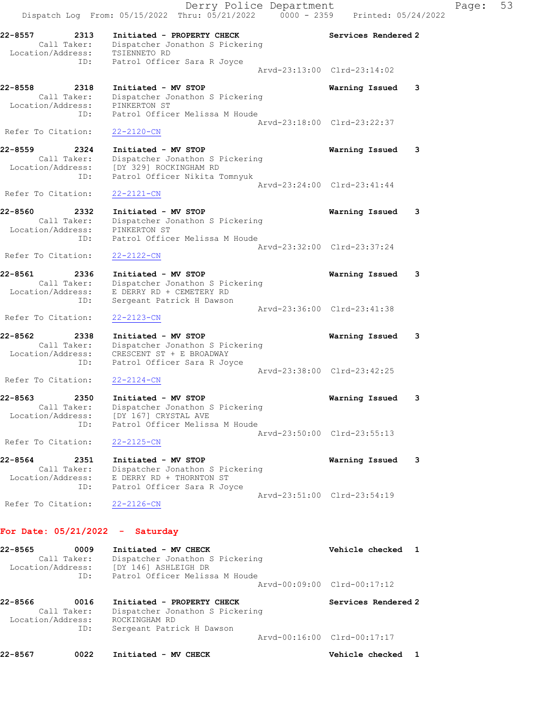Derry Police Department Controller Page: 53 Dispatch Log From: 05/15/2022 Thru: 05/21/2022 0000 - 2359 Printed: 05/24/2022 22-8557 2313 Initiated - PROPERTY CHECK Services Rendered 2 Call Taker: Dispatcher Jonathon S Pickering Location/Address: TSIENNETO RD ID: Patrol Officer Sara R Joyce Arvd-23:13:00 Clrd-23:14:02 22-8558 2318 Initiated - MV STOP Warning Issued 3 Call Taker: Dispatcher Jonathon S Pickering Location/Address: PINKERTON ST ID: Patrol Officer Melissa M Houde Arvd-23:18:00 Clrd-23:22:37 Refer To Citation: 22-2120-CN 22-8559 2324 Initiated - MV STOP Warning Issued 3 Call Taker: Dispatcher Jonathon S Pickering Location/Address: [DY 329] ROCKINGHAM RD ID: Patrol Officer Nikita Tomnyuk Arvd-23:24:00 Clrd-23:41:44 Refer To Citation: 22-2121-CN 22-8560 2332 Initiated - MV STOP Warning Issued 3 Call Taker: Dispatcher Jonathon S Pickering Location/Address: PINKERTON ST ID: Patrol Officer Melissa M Houde Arvd-23:32:00 Clrd-23:37:24 Refer To Citation: 22-2122-CN 22-8561 2336 Initiated - MV STOP Warning Issued 3 Call Taker: Dispatcher Jonathon S Pickering Location/Address: E DERRY RD + CEMETERY RD ID: Sergeant Patrick H Dawson Arvd-23:36:00 Clrd-23:41:38 Refer To Citation: 22-2123-CN 22-8562 2338 Initiated - MV STOP Warning Issued 3 Call Taker: Dispatcher Jonathon S Pickering Location/Address: CRESCENT ST + E BROADWAY ID: Patrol Officer Sara R Joyce Arvd-23:38:00 Clrd-23:42:25 Refer To Citation: 22-2124-CN 22-8563 2350 Initiated - MV STOP Warning Issued 3 Call Taker: Dispatcher Jonathon S Pickering Location/Address: [DY 167] CRYSTAL AVE ID: Patrol Officer Melissa M Houde Arvd-23:50:00 Clrd-23:55:13 Refer To Citation: 22-2125-CN 22-8564 2351 Initiated - MV STOP Warning Issued 3 Call Taker: Dispatcher Jonathon S Pickering Location/Address: E DERRY RD + THORNTON ST ID: Patrol Officer Sara R Joyce Arvd-23:51:00 Clrd-23:54:19 Refer To Citation: 22-2126-CN For Date: 05/21/2022 - Saturday 22-8565 0009 Initiated - MV CHECK Vehicle checked 1 Call Taker: Dispatcher Jonathon S Pickering Location/Address: [DY 146] ASHLEIGH DR ID: Patrol Officer Melissa M Houde Arvd-00:09:00 Clrd-00:17:12 22-8566 0016 Initiated - PROPERTY CHECK Services Rendered 2 Call Taker: Dispatcher Jonathon S Pickering Location/Address: ROCKINGHAM RD

22-8567 0022 Initiated - MV CHECK CHECK Vehicle checked 1

Arvd-00:16:00 Clrd-00:17:17

ID: Sergeant Patrick H Dawson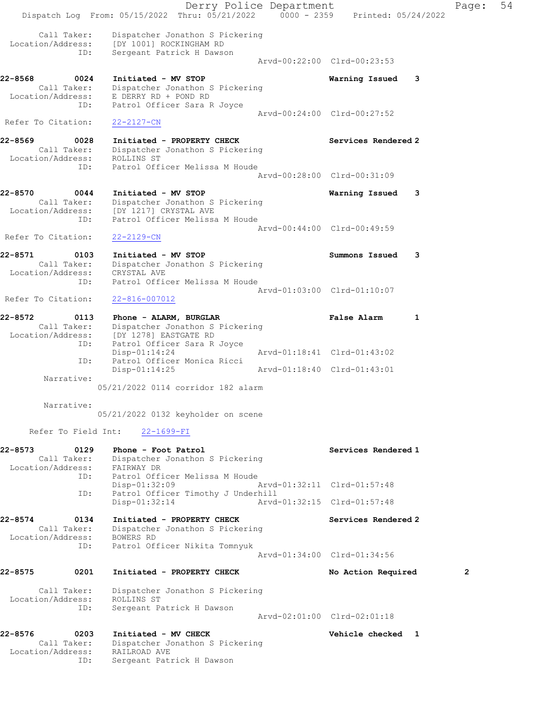Derry Police Department Page: 54 Dispatch Log From:  $05/15/2022$  Thru:  $05/21/2022$  0000 - 2359 Printed: 05/24/2022 Call Taker: Dispatcher Jonathon S Pickering Location/Address: [DY 1001] ROCKINGHAM RD ID: Sergeant Patrick H Dawson Arvd-00:22:00 Clrd-00:23:53 22-8568 0024 Initiated - MV STOP Warning Issued 3 Call Taker: Dispatcher Jonathon S Pickering Location/Address: E DERRY RD + POND RD ID: Patrol Officer Sara R Joyce Arvd-00:24:00 Clrd-00:27:52<br>22-2127-CN Refer To Citation: 22-8569 0028 Initiated - PROPERTY CHECK Services Rendered 2 Call Taker: Dispatcher Jonathon S Pickering Location/Address: ROLLINS ST ID: Patrol Officer Melissa M Houde Arvd-00:28:00 Clrd-00:31:09 22-8570 0044 Initiated - MV STOP Warning Issued 3 Call Taker: Dispatcher Jonathon S Pickering Location/Address: [DY 1217] CRYSTAL AVE ID: Patrol Officer Melissa M Houde Arvd-00:44:00 Clrd-00:49:59<br>22-2129-CN Refer To Citation: 22-8571 0103 Initiated - MV STOP Summons Issued 3 Call Taker: Dispatcher Jonathon S Pickering Location/Address: CRYSTAL AVE ID: Patrol Officer Melissa M Houde Arvd-01:03:00 Clrd-01:10:07 Refer To Citation: 22-816-007012 22-8572 0113 Phone - ALARM, BURGLAR False Alarm 1 Call Taker: Dispatcher Jonathon S Pickering Location/Address: [DY 1278] EASTGATE RD ID: Patrol Officer Sara R Joyce Disp-01:14:24 Arvd-01:18:41 Clrd-01:43:02 ID: Patrol Officer Monica Ricci Disp-01:14:25 Arvd-01:18:40 Clrd-01:43:01 Narrative: 05/21/2022 0114 corridor 182 alarm Narrative: 05/21/2022 0132 keyholder on scene Refer To Field Int: 22-1699-FI 22-8573 0129 Phone - Foot Patrol Services Rendered 1 Call Taker: Dispatcher Jonathon S Pickering Location/Address: FAIRWAY DR ID: Patrol Officer Melissa M Houde Disp-01:32:09 Arvd-01:32:11 Clrd-01:57:48 ID: Patrol Officer Timothy J Underhill<br>Disp-01:32:14 Arvd- Disp-01:32:14 Arvd-01:32:15 Clrd-01:57:48 22-8574 0134 Initiated - PROPERTY CHECK Services Rendered 2 Call Taker: Dispatcher Jonathon S Pickering Location/Address: BOWERS RD ID: Patrol Officer Nikita Tomnyuk Arvd-01:34:00 Clrd-01:34:56 22-8575 0201 Initiated - PROPERTY CHECK No Action Required 2 Call Taker: Dispatcher Jonathon S Pickering Location/Address: ROLLINS ST ID: Sergeant Patrick H Dawson Arvd-02:01:00 Clrd-02:01:18 22-8576 0203 Initiated - MV CHECK Vehicle checked 1 Call Taker: Dispatcher Jonathon S Pickering Location/Address: RAILROAD AVE ID: Sergeant Patrick H Dawson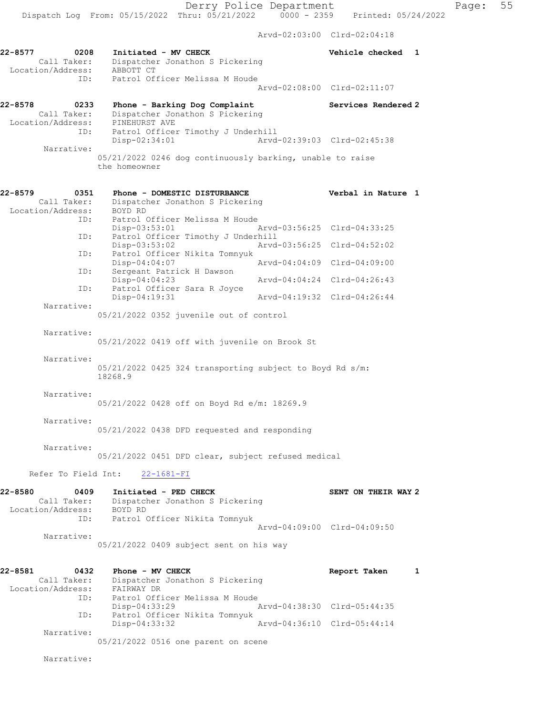Arvd-02:03:00 Clrd-02:04:18

| 22-8577<br>0208<br>Call Taker:<br>Location/Address: | Initiated - MV CHECK<br>Dispatcher Jonathon S Pickering<br>ABBOTT CT                     | Vehicle checked<br>1        |
|-----------------------------------------------------|------------------------------------------------------------------------------------------|-----------------------------|
| ID:                                                 | Patrol Officer Melissa M Houde                                                           | Aryd-02:08:00 Clrd-02:11:07 |
| $22 - 8578$<br>0233<br>Call Taker:                  | Phone - Barking Dog Complaint<br>Dispatcher Jonathon S Pickering                         | Services Rendered 2         |
| Location/Address:<br>ID:                            | PINEHURST AVE<br>Patrol Officer Timothy J Underhill<br>Disp-02:34:01                     | Arvd-02:39:03 Clrd-02:45:38 |
| Narrative:                                          | 05/21/2022 0246 dog continuously barking, unable to raise<br>the homeowner               |                             |
| 22-8579<br>0351                                     | Phone - DOMESTIC DISTURBANCE                                                             | Verbal in Nature 1          |
| Call Taker:                                         | Dispatcher Jonathon S Pickering                                                          |                             |
| Location/Address:<br>ID:                            | BOYD RD<br>Patrol Officer Melissa M Houde<br>Disp-03:53:01                               | Arvd-03:56:25 Clrd-04:33:25 |
| ID:                                                 | Patrol Officer Timothy J Underhill<br>Disp-03:53:02                                      | Aryd-03:56:25 Clrd-04:52:02 |
| ID:                                                 | Patrol Officer Nikita Tomnyuk<br>Disp-04:04:07                                           | Arvd-04:04:09 Clrd-04:09:00 |
| ID:                                                 | Sergeant Patrick H Dawson<br>Disp-04:04:23                                               | Arvd-04:04:24 Clrd-04:26:43 |
| ID:                                                 | Patrol Officer Sara R Joyce<br>Disp-04:19:31                                             | Arvd-04:19:32 Clrd-04:26:44 |
| Narrative:                                          |                                                                                          |                             |
| Narrative:                                          | 05/21/2022 0352 juvenile out of control<br>05/21/2022 0419 off with juvenile on Brook St |                             |
| Narrative:                                          | $05/21/2022$ 0425 324 transporting subject to Boyd Rd s/m:<br>18268.9                    |                             |
| Narrative:                                          | 05/21/2022 0428 off on Boyd Rd e/m: 18269.9                                              |                             |
| Narrative:                                          | 05/21/2022 0438 DFD requested and responding                                             |                             |
| Narrative:                                          | 05/21/2022 0451 DFD clear, subject refused medical                                       |                             |
| Refer To Field Int:                                 | $22 - 1681 - FI$                                                                         |                             |
| 22-8580<br>0409                                     | Initiated - PED CHECK                                                                    | SENT ON THEIR WAY 2         |
| Location/Address:                                   | Call Taker: Dispatcher Jonathon S Pickering<br>BOYD RD                                   |                             |
| ID:                                                 | Patrol Officer Nikita Tomnyuk                                                            | Arvd-04:09:00 Clrd-04:09:50 |
| Narrative:                                          | 05/21/2022 0409 subject sent on his way                                                  |                             |
| 22-8581<br>0432                                     | Phone - MV CHECK<br>Call Taker: Dispatcher Jonathon S Pickering                          | Report Taken<br>1           |
| Location/Address: FAIRWAY DR<br>ID:                 | Patrol Officer Melissa M Houde                                                           |                             |
| ID:                                                 | $Disp-04:33:29$<br>Patrol Officer Nikita Tomnyuk                                         | Arvd-04:38:30 Clrd-05:44:35 |
| Narrative:                                          | Disp-04:33:32                                                                            | Arvd-04:36:10 Clrd-05:44:14 |
|                                                     | 05/21/2022 0516 one parent on scene                                                      |                             |

Narrative: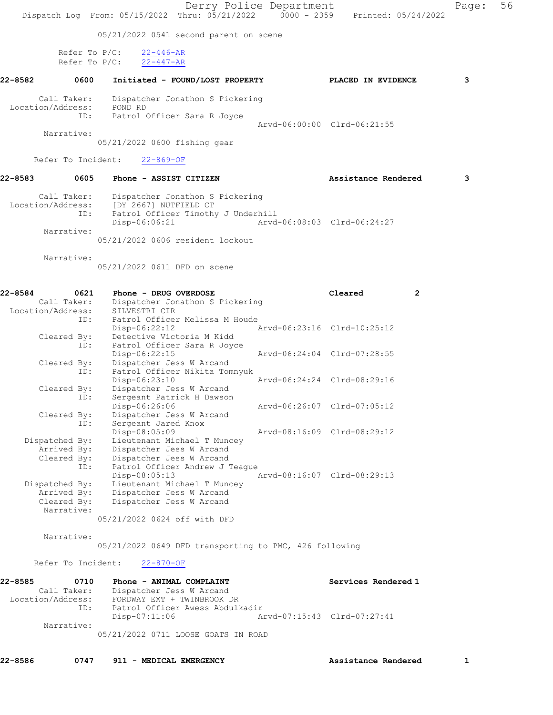Derry Police Department Page: 56 Dispatch Log From: 05/15/2022 Thru: 05/21/2022 0000 - 2359 Printed: 05/24/2022 05/21/2022 0541 second parent on scene Refer To P/C:  $\frac{22-446-AR}{22-447-AR}$ Refer To  $P/C$ : 22-8582 0600 Initiated - FOUND/LOST PROPERTY PLACED IN EVIDENCE 3 Call Taker: Dispatcher Jonathon S Pickering Location/Address: POND RD ID: Patrol Officer Sara R Joyce Arvd-06:00:00 Clrd-06:21:55 Narrative: 05/21/2022 0600 fishing gear Refer To Incident: 22-869-OF 22-8583 0605 Phone - ASSIST CITIZEN Assistance Rendered 3 Call Taker: Dispatcher Jonathon S Pickering Location/Address: [DY 2667] NUTFIELD CT ID: Patrol Officer Timothy J Underhill Disp-06:06:21 Arvd-06:08:03 Clrd-06:24:27 Narrative: 05/21/2022 0606 resident lockout Narrative: 05/21/2022 0611 DFD on scene 22-8584 0621 Phone - DRUG OVERDOSE Cleared 2 Call Taker: Dispatcher Jonathon S Pickering Location/Address: SILVESTRI CIR ID: Patrol Officer Melissa M Houde Disp-06:22:12 Arvd-06:23:16 Clrd-10:25:12 Cleared By: Detective Victoria M Kidd ID: Patrol Officer Sara R Joyce Disp-06:22:15 Arvd-06:24:04 Clrd-07:28:55<br>Cleared By: Dispatcher Jess W Arcand<br>ID: Patrol Officer Nikita Tomnyuk Dispatcher Jess W Arcand Patrol Officer Nikita Tomnyuk<br>Disp-06:23:10 Disp-06:23:10 Arvd-06:24:24 Clrd-08:29:16 Cleared By: Dispatcher Jess W Arcand ID: Sergeant Patrick H Dawson Disp-06:26:06 Arvd-06:26:07 Cleared By: Dispatcher Jess W Arcand Cleared By: Dispatcher Jess W Arcand ID: Sergeant Jared Knox Disp-08:05:09 Arvd-08:16:09 Clrd-08:29:12 Dispatched By: Lieutenant Michael T Muncey Arrived By: Dispatcher Jess W Arcand<br>Cleared By: Dispatcher Jess W Arcand By: Dispatcher Jess W Arcand<br>ID: Patrol Officer Andrew J T Patrol Officer Andrew J Teague<br>Disp-08:05:13 Disp-08:05:13 Arvd-08:16:07 Clrd-08:29:13 Dispatched By: Lieutenant Michael T Muncey Arrived By: Dispatcher Jess W Arcand Cleared By: Dispatcher Jess W Arcand Narrative: 05/21/2022 0624 off with DFD Narrative: 05/21/2022 0649 DFD transporting to PMC, 426 following Refer To Incident: 22-870-OF 22-8585 0710 Phone - ANIMAL COMPLAINT Services Rendered 1 Call Taker: Dispatcher Jess W Arcand Location/Address: FORDWAY EXT + TWINBROOK DR ID: Patrol Officer Awess Abdulkadir Arvd-07:15:43 Clrd-07:27:41 Narrative: 05/21/2022 0711 LOOSE GOATS IN ROAD

22-8586 0747 911 - MEDICAL EMERGENCY Assistance Rendered 1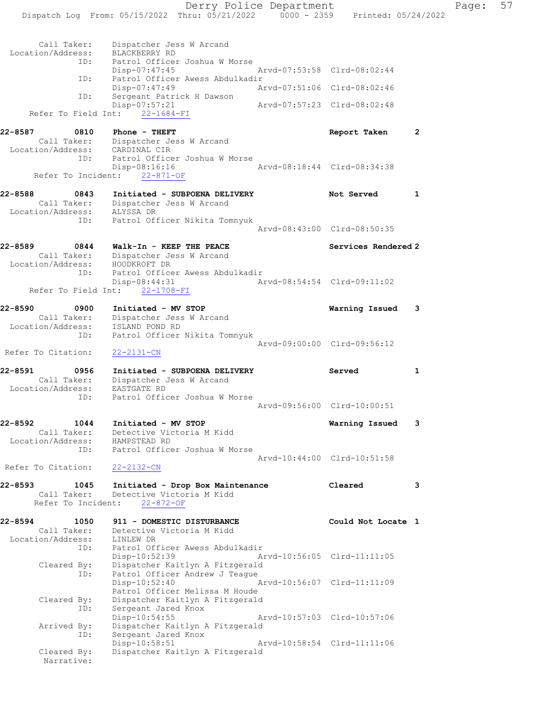Derry Police Department Fage: 57 Dispatch Log From: 05/15/2022 Thru: 05/21/2022 0000 - 2359 Printed: 05/24/2022 Call Taker: Dispatcher Jess W Arcand Location/Address: BLACKBERRY RD ID: Patrol Officer Joshua W Morse Disp-07:47:45 Arvd-07:53:58 Clrd-08:02:44 ID: Patrol Officer Awess Abdulkadir<br>Disp-07:47:49 Ar Disp-07:47:49 Arvd-07:51:06 Clrd-08:02:46 ID: Sergeant Patrick H Dawson Disp-07:57:21 Arvd-07:57:23 Clrd-08:02:48 Refer To Field Int: 22-1684-FI 22-8587 0810 Phone - THEFT Report Taken 2 Call Taker: Dispatcher Jess W Arcand Location/Address: CARDINAL CIR ID: Patrol Officer Joshua W Morse<br>Disp-08:16:16 Disp-08:16:16 Arvd-08:18:44 Clrd-08:34:38 Refer To Incident:  $22-871-OF$ 22-8588 0843 Initiated - SUBPOENA DELIVERY Not Served 1 Call Taker: Dispatcher Jess W Arcand Location/Address: ALYSSA DR ID: Patrol Officer Nikita Tomnyuk Arvd-08:43:00 Clrd-08:50:35 22-8589 0844 Walk-In - KEEP THE PEACE Services Rendered 2 Call Taker: Dispatcher Jess W Arcand Location/Address: HOODKROFT DR ID: Patrol Officer Awess Abdulkadir Disp-08:44:31 Arvd-08:54:54 Clrd-09:11:02 Refer To Field Int: 22-1708-FI 22-8590 0900 Initiated - MV STOP Warning Issued 3 Call Taker: Dispatcher Jess W Arcand Location/Address: ISLAND POND RD ID: Patrol Officer Nikita Tomnyuk Arvd-09:00:00 Clrd-09:56:12 Refer To Citation: 22-2131-CN 22-8591 0956 Initiated - SUBPOENA DELIVERY Served 1 Call Taker: Dispatcher Jess W Arcand Location/Address: EASTGATE RD ID: Patrol Officer Joshua W Morse Arvd-09:56:00 Clrd-10:00:51 22-8592 1044 Initiated - MV STOP Warning Issued 3 Call Taker: Detective Victoria M Kidd Location/Address: HAMPSTEAD RD ID: Patrol Officer Joshua W Morse Arvd-10:44:00 Clrd-10:51:58 Refer To Citation: 22-2132-CN 22-8593 1045 Initiated - Drop Box Maintenance Cleared 3 Call Taker: Detective Victoria M Kidd Refer To Incident: 22-872-OF 22-8594 1050 911 - DOMESTIC DISTURBANCE Could Not Locate 1 Call Taker: Detective Victoria M Kidd Location/Address: LINLEW DR ID: Patrol Officer Awess Abdulkadir Disp-10:52:39 Arvd-10:56:05 Clrd-11:11:05 Cleared By: Dispatcher Kaitlyn A Fitzgerald ID: Patrol Officer Andrew J Teague<br>Disp-10:52:40 Arvd-10:56:07 Clrd-11:11:09 Patrol Officer Melissa M Houde Cleared By: Dispatcher Kaitlyn A Fitzgerald ID: Sergeant Jared Knox Disp-10:54:55 Arvd-10:57:03 Clrd-10:57:06 Arrived By: Dispatcher Kaitlyn A Fitzgerald ID: Sergeant Jared Knox Disp-10:58:51 Arvd-10:58:54 Clrd-11:11:06 Cleared By: Dispatcher Kaitlyn A Fitzgerald Narrative: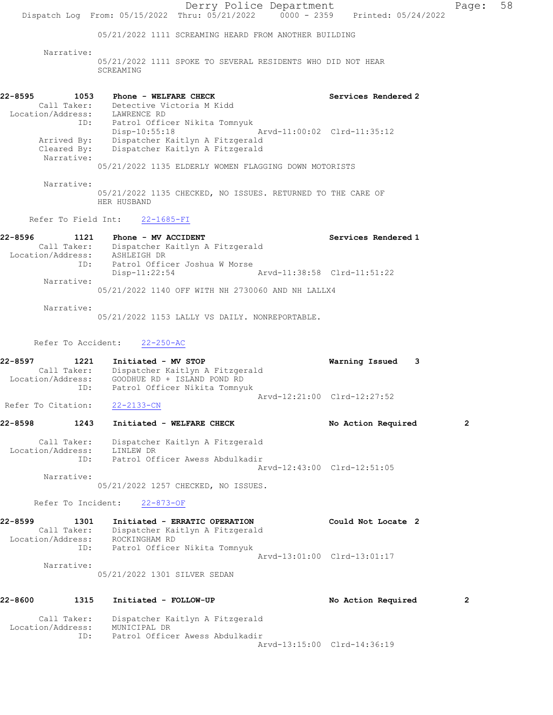Derry Police Department Fage: 58 Dispatch Log From: 05/15/2022 Thru: 05/21/2022 0000 - 2359 Printed: 05/24/2022 05/21/2022 1111 SCREAMING HEARD FROM ANOTHER BUILDING Narrative: 05/21/2022 1111 SPOKE TO SEVERAL RESIDENTS WHO DID NOT HEAR SCREAMING 22-8595 1053 Phone - WELFARE CHECK Services Rendered 2 Call Taker: Detective Victoria M Kidd Location/Address: LAWRENCE RD ID: Patrol Officer Nikita Tomnyuk Disp-10:55:18 Arvd-11:00:02 Clrd-11:35:12 Arrived By: Dispatcher Kaitlyn A Fitzgerald Cleared By: Dispatcher Kaitlyn A Fitzgerald Narrative: 05/21/2022 1135 ELDERLY WOMEN FLAGGING DOWN MOTORISTS Narrative: 05/21/2022 1135 CHECKED, NO ISSUES. RETURNED TO THE CARE OF HER HUSBAND Refer To Field Int: 22-1685-FI 22-8596 1121 Phone - MV ACCIDENT Services Rendered 1 Call Taker: Dispatcher Kaitlyn A Fitzgerald Location/Address: ASHLEIGH DR ID: Patrol Officer Joshua W Morse Disp-11:22:54 Arvd-11:38:58 Clrd-11:51:22 Narrative: 05/21/2022 1140 OFF WITH NH 2730060 AND NH LALLX4 Narrative: 05/21/2022 1153 LALLY VS DAILY. NONREPORTABLE. Refer To Accident: 22-250-AC 22-8597 1221 Initiated - MV STOP Warning Issued 3 Call Taker: Dispatcher Kaitlyn A Fitzgerald Location/Address: GOODHUE RD + ISLAND POND RD ID: Patrol Officer Nikita Tomnyuk Arvd-12:21:00 Clrd-12:27:52 Refer To Citation: 22-2133-CN 22-8598 1243 Initiated - WELFARE CHECK No Action Required 2 Call Taker: Dispatcher Kaitlyn A Fitzgerald Location/Address: LINLEW DR ID: Patrol Officer Awess Abdulkadir Arvd-12:43:00 Clrd-12:51:05 Narrative: 05/21/2022 1257 CHECKED, NO ISSUES. Refer To Incident: 22-873-OF 22-8599 1301 Initiated - ERRATIC OPERATION Could Not Locate 2 Call Taker: Dispatcher Kaitlyn A Fitzgerald Location/Address: ROCKINGHAM RD ID: Patrol Officer Nikita Tomnyuk Arvd-13:01:00 Clrd-13:01:17 Narrative: 05/21/2022 1301 SILVER SEDAN 22-8600 1315 Initiated - FOLLOW-UP No Action Required 2 Call Taker: Dispatcher Kaitlyn A Fitzgerald Location/Address: MUNICIPAL DR ID: Patrol Officer Awess Abdulkadir Arvd-13:15:00 Clrd-14:36:19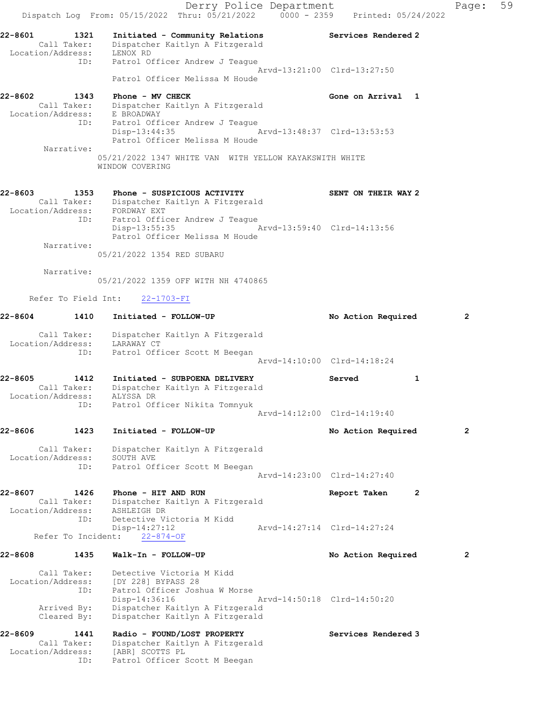Derry Police Department Controller Page: 59 Dispatch Log From: 05/15/2022 Thru: 05/21/2022 0000 - 2359 Printed: 05/24/2022 22-8601 1321 Initiated - Community Relations Services Rendered 2 Call Taker: Dispatcher Kaitlyn A Fitzgerald Location/Address: LENOX RD ID: Patrol Officer Andrew J Teague Arvd-13:21:00 Clrd-13:27:50 Patrol Officer Melissa M Houde 22-8602 1343 Phone - MV CHECK CHECH CHECH Gone on Arrival 1 Call Taker: Dispatcher Kaitlyn A Fitzgerald Location/Address: E BROADWAY ID: Patrol Officer Andrew J Teague Disp-13:44:35 Arvd-13:48:37 Clrd-13:53:53 Patrol Officer Melissa M Houde Narrative: 05/21/2022 1347 WHITE VAN WITH YELLOW KAYAKSWITH WHITE WINDOW COVERING 22-8603 1353 Phone - SUSPICIOUS ACTIVITY SENT ON THEIR WAY 2 Call Taker: Dispatcher Kaitlyn A Fitzgerald Location/Address: FORDWAY EXT ID: Patrol Officer Andrew J Teague Disp-13:55:35 Arvd-13:59:40 Clrd-14:13:56 Patrol Officer Melissa M Houde Narrative: 05/21/2022 1354 RED SUBARU Narrative: 05/21/2022 1359 OFF WITH NH 4740865 Refer To Field Int: 22-1703-FI 22-8604 1410 Initiated - FOLLOW-UP No Action Required 2 Call Taker: Dispatcher Kaitlyn A Fitzgerald Location/Address: LARAWAY CT ID: Patrol Officer Scott M Beegan Arvd-14:10:00 Clrd-14:18:24 22-8605 1412 Initiated - SUBPOENA DELIVERY Served 1 Call Taker: Dispatcher Kaitlyn A Fitzgerald Location/Address: ALYSSA DR ID: Patrol Officer Nikita Tomnyuk Arvd-14:12:00 Clrd-14:19:40 22-8606 1423 Initiated - FOLLOW-UP No Action Required 2 Call Taker: Dispatcher Kaitlyn A Fitzgerald Location/Address: SOUTH AVE ID: Patrol Officer Scott M Beegan Arvd-14:23:00 Clrd-14:27:40 22-8607 1426 Phone - HIT AND RUN Report Taken 2 Call Taker: Dispatcher Kaitlyn A Fitzgerald Location/Address: ASHLEIGH DR ID: Detective Victoria M Kidd Disp-14:27:12 Arvd-14:27:14 Clrd-14:27:24 Refer To Incident: 22-874-OF 22-8608 1435 Walk-In - FOLLOW-UP No Action Required 2 Call Taker: Detective Victoria M Kidd Location/Address: [DY 228] BYPASS 28 ID: Patrol Officer Joshua W Morse Disp-14:36:16 Arvd-14:50:18 Clrd-14:50:20 Arrived By: Dispatcher Kaitlyn A Fitzgerald Cleared By: Dispatcher Kaitlyn A Fitzgerald 22-8609 1441 Radio - FOUND/LOST PROPERTY Services Rendered 3 Call Taker: Dispatcher Kaitlyn A Fitzgerald Location/Address: [ABR] SCOTTS PL ID: Patrol Officer Scott M Beegan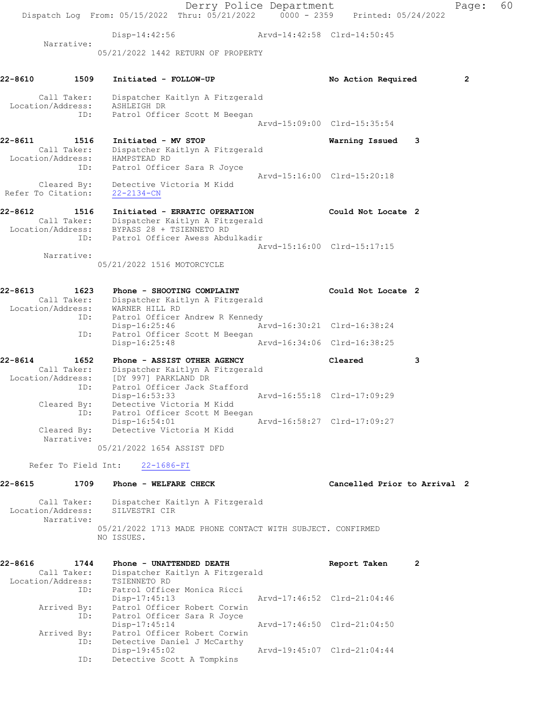Derry Police Department Fage: 60 Dispatch Log From: 05/15/2022 Thru: 05/21/2022 0000 - 2359 Printed: 05/24/2022 Disp-14:42:56 Arvd-14:42:58 Clrd-14:50:45 Narrative: 05/21/2022 1442 RETURN OF PROPERTY 22-8610 1509 Initiated - FOLLOW-UP No Action Required 2 Call Taker: Dispatcher Kaitlyn A Fitzgerald Location/Address: ASHLEIGH DR ID: Patrol Officer Scott M Beegan Arvd-15:09:00 Clrd-15:35:54 22-8611 1516 Initiated - MV STOP Warning Issued 3 Call Taker: Dispatcher Kaitlyn A Fitzgerald Location/Address: HAMPSTEAD RD ID: Patrol Officer Sara R Joyce Arvd-15:16:00 Clrd-15:20:18 Cleared By: Detective Victoria M Kidd Refer To Citation: 22-2134-CN 22-8612 1516 Initiated - ERRATIC OPERATION Could Not Locate 2 Call Taker: Dispatcher Kaitlyn A Fitzgerald Location/Address: BYPASS 28 + TSIENNETO RD ID: Patrol Officer Awess Abdulkadir Arvd-15:16:00 Clrd-15:17:15 Narrative: 05/21/2022 1516 MOTORCYCLE 22-8613 1623 Phone - SHOOTING COMPLAINT COULT Could Not Locate 2 Call Taker: Dispatcher Kaitlyn A Fitzgerald Location/Address: WARNER HILL RD ID: Patrol Officer Andrew R Kennedy Disp-16:25:46 Arvd-16:30:21 Clrd-16:38:24 ID: Patrol Officer Scott M Beegan Disp-16:25:48 Arvd-16:34:06 Clrd-16:38:25 22-8614 1652 Phone - ASSIST OTHER AGENCY Cleared 3 Call Taker: Dispatcher Kaitlyn A Fitzgerald Location/Address: [DY 997] PARKLAND DR ID: Patrol Officer Jack Stafford Disp-16:53:33 Arvd-16:55:18 Clrd-17:09:29 Cleared By: Detective Victoria M Kidd ID: Patrol Officer Scott M Beegan Disp-16:54:01 Arvd-16:58:27 Clrd-17:09:27 Cleared By: Detective Victoria M Kidd Narrative: 05/21/2022 1654 ASSIST DFD Refer To Field Int: 22-1686-FI 22-8615 1709 Phone - WELFARE CHECK CHECT Cancelled Prior to Arrival 2 Call Taker: Dispatcher Kaitlyn A Fitzgerald Location/Address: SILVESTRI CIR Narrative: 05/21/2022 1713 MADE PHONE CONTACT WITH SUBJECT. CONFIRMED NO ISSUES. 22-8616 1744 Phone - UNATTENDED DEATH Report Taken 2 Call Taker: Dispatcher Kaitlyn A Fitzgerald Location/Address: TSIENNETO RD ID: Patrol Officer Monica Ricci Disp-17:45:13 Arvd-17:46:52 Clrd-21:04:46 Arrived By: Patrol Officer Robert Corwin ID: Patrol Officer Sara R Joyce Disp-17:45:14 Arvd-17:46:50 Clrd-21:04:50 Arrived By: Patrol Officer Robert Corwin ID: Detective Daniel J McCarthy Disp-19:45:02 Arvd-19:45:07 Clrd-21:04:44 ID: Detective Scott A Tompkins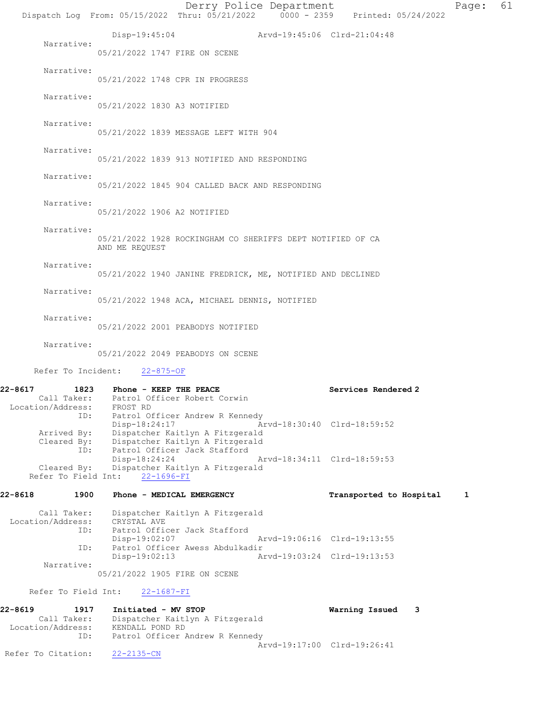Derry Police Department Page: 61 Dispatch Log From: 05/15/2022 Thru: 05/21/2022 0000 - 2359 Printed: 05/24/2022 Disp-19:45:04 Arvd-19:45:06 Clrd-21:04:48 Narrative: 05/21/2022 1747 FIRE ON SCENE Narrative: 05/21/2022 1748 CPR IN PROGRESS Narrative: 05/21/2022 1830 A3 NOTIFIED Narrative: 05/21/2022 1839 MESSAGE LEFT WITH 904 Narrative: 05/21/2022 1839 913 NOTIFIED AND RESPONDING Narrative: 05/21/2022 1845 904 CALLED BACK AND RESPONDING Narrative: 05/21/2022 1906 A2 NOTIFIED Narrative: 05/21/2022 1928 ROCKINGHAM CO SHERIFFS DEPT NOTIFIED OF CA AND ME REQUEST Narrative: 05/21/2022 1940 JANINE FREDRICK, ME, NOTIFIED AND DECLINED Narrative: 05/21/2022 1948 ACA, MICHAEL DENNIS, NOTIFIED Narrative: 05/21/2022 2001 PEABODYS NOTIFIED Narrative: 05/21/2022 2049 PEABODYS ON SCENE Refer To Incident: 22-875-OF 22-8617 1823 Phone - KEEP THE PEACE Network Services Rendered 2 Call Taker: Patrol Officer Robert Corwin Location/Address: FROST RD ID: Patrol Officer Andrew R Kennedy<br>Disp-18:24:17 Ar Disp-18:24:17 Arvd-18:30:40 Clrd-18:59:52 Arrived By: Dispatcher Kaitlyn A Fitzgerald Cleared By: Dispatcher Kaitlyn A Fitzgerald ID: Patrol Officer Jack Stafford Disp-18:24:24 Arvd-18:34:11 Clrd-18:59:53<br>Cleared By: Dispatcher Kaitlyn A Fitzgerald Dispatcher Kaitlyn A Fitzgerald Refer To Field Int: 22-1696-FI 22-8618 1900 Phone - MEDICAL EMERGENCY 1 Transported to Hospital 1 Call Taker: Dispatcher Kaitlyn A Fitzgerald Location/Address: CRYSTAL AVE ID: Patrol Officer Jack Stafford Disp-19:02:07 Arvd-19:06:16 Clrd-19:13:55<br>ID: Patrol Officer Awess Abdulkadir Patrol Officer Awess Abdulkadir<br>Disp-19:02:13 Am Disp-19:02:13 Arvd-19:03:24 Clrd-19:13:53 Narrative: 05/21/2022 1905 FIRE ON SCENE Refer To Field Int: 22-1687-FI 22-8619 1917 Initiated - MV STOP Warning Issued 3 Call Taker: Dispatcher Kaitlyn A Fitzgerald Location/Address: KENDALL POND RD ID: Patrol Officer Andrew R Kennedy Arvd-19:17:00 Clrd-19:26:41 Refer To Citation: 22-2135-CN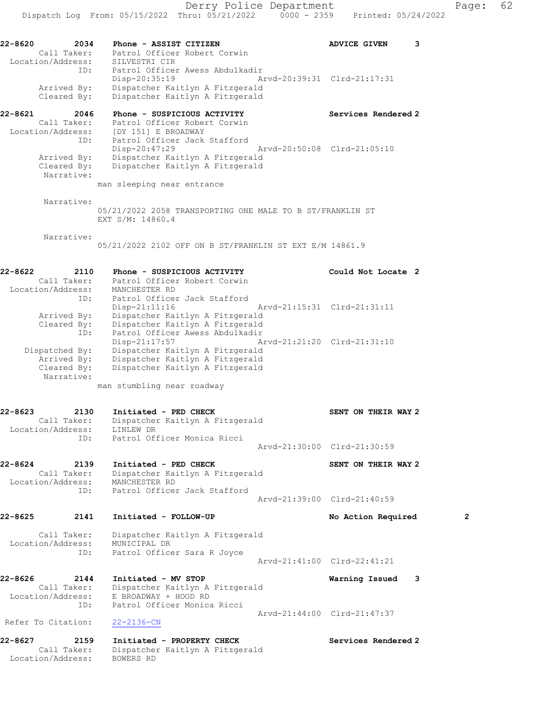ID: Patrol Officer Awess Abdulkadir Disp-20:35:19 Arvd-20:39:31 Clrd-21:17:31 Arrived By: Dispatcher Kaitlyn A Fitzgerald Cleared By: Dispatcher Kaitlyn A Fitzgerald

22-8621 2046 Phone - SUSPICIOUS ACTIVITY Services Rendered 2 Call Taker: Patrol Officer Robert Corwin Location/Address: [DY 151] E BROADWAY ID: Patrol Officer Jack Stafford Disp-20:47:29 Arvd-20:50:08 Clrd-21:05:10 Arrived By: Dispatcher Kaitlyn A Fitzgerald Cleared By: Dispatcher Kaitlyn A Fitzgerald Narrative:

man sleeping near entrance

 Narrative: 05/21/2022 2058 TRANSPORTING ONE MALE TO B ST/FRANKLIN ST EXT S/M: 14860.4

Narrative:

05/21/2022 2102 OFF ON B ST/FRANKLIN ST EXT E/M 14861.9

### 22-8622 2110 Phone - SUSPICIOUS ACTIVITY Could Not Locate 2 Call Taker: Patrol Officer Robert Corwin Location/Address: MANCHESTER RD ID: Patrol Officer Jack Stafford Disp-21:11:16 Arvd-21:15:31 Clrd-21:31:11 Arrived By: Dispatcher Kaitlyn A Fitzgerald Cleared By: Dispatcher Kaitlyn A Fitzgerald ID: Patrol Officer Awess Abdulkadir Disp-21:17:57 Arvd-21:21:20 Clrd-21:31:10 Dispatched By: Dispatcher Kaitlyn A Fitzgerald Arrived By: Dispatcher Kaitlyn A Fitzgerald Cleared By: Dispatcher Kaitlyn A Fitzgerald Narrative:

man stumbling near roadway

#### 22-8623 2130 Initiated - PED CHECK SENT ON THEIR WAY 2 Call Taker: Dispatcher Kaitlyn A Fitzgerald Location/Address: LINLEW DR ID: Patrol Officer Monica Ricci Arvd-21:30:00 Clrd-21:30:59

22-8624 2139 Initiated - PED CHECK SENT ON THEIR WAY 2 Call Taker: Dispatcher Kaitlyn A Fitzgerald Location/Address: MANCHESTER RD ID: Patrol Officer Jack Stafford Arvd-21:39:00 Clrd-21:40:59

22-8625 2141 Initiated - FOLLOW-UP No Action Required 2 Call Taker: Dispatcher Kaitlyn A Fitzgerald

 Location/Address: MUNICIPAL DR ID: Patrol Officer Sara R Joyce

Arvd-21:41:00 Clrd-22:41:21

22-8626 2144 Initiated - MV STOP Warning Issued 3 Call Taker: Dispatcher Kaitlyn A Fitzgerald Location/Address: E BROADWAY + HOOD RD ID: Patrol Officer Monica Ricci Arvd-21:44:00 Clrd-21:47:37

Refer To Citation: 22-2136-CN

22-8627 2159 Initiated - PROPERTY CHECK Services Rendered 2 Call Taker: Dispatcher Kaitlyn A Fitzgerald Location/Address: BOWERS RD